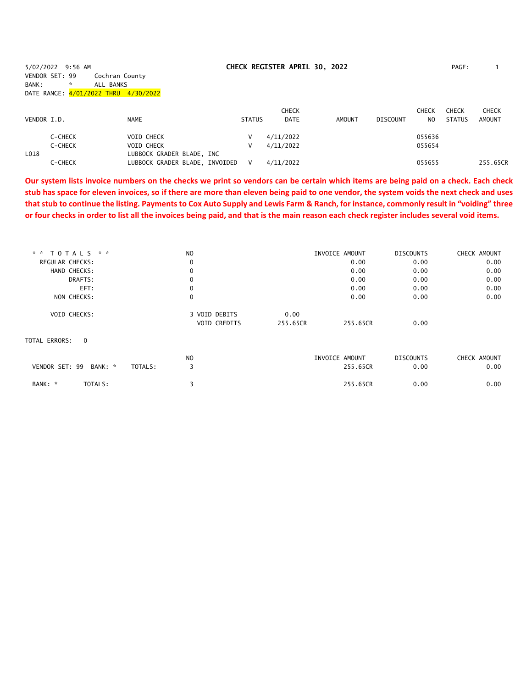5/02/2022 9:56 AM **CHECK REGISTER APRIL 30, 2022** PAGE: 1 VENDOR SET: 99 Cochran County BANK: \* ALL BANKS DATE RANGE: 4/01/2022 THRU 4/30/2022

| VENDOR I.D. |         | <b>NAME</b>                    | <b>STATUS</b> | <b>CHECK</b><br><b>DATE</b> | <b>AMOUNT</b> | DISCOUNT | CHECK<br>NO. | <b>CHECK</b><br><b>STATUS</b> | <b>CHECK</b><br>AMOUNT |
|-------------|---------|--------------------------------|---------------|-----------------------------|---------------|----------|--------------|-------------------------------|------------------------|
|             |         |                                |               |                             |               |          |              |                               |                        |
|             | C-CHECK | VOID CHECK                     |               | 4/11/2022                   |               |          | 055636       |                               |                        |
|             | C-CHECK | VOID CHECK                     |               | 4/11/2022                   |               |          | 055654       |                               |                        |
| L018        |         | LUBBOCK GRADER BLADE, INC      |               |                             |               |          |              |                               |                        |
|             | C-CHECK | LUBBOCK GRADER BLADE, INVOIDED | v             | 4/11/2022                   |               |          | 055655       |                               | 255.65CR               |

**Our system lists invoice numbers on the checks we print so vendors can be certain which items are being paid on a check. Each check stub has space for eleven invoices, so if there are more than eleven being paid to one vendor, the system voids the next check and uses that stub to continue the listing. Payments to Cox Auto Supply and Lewis Farm & Ranch, for instance, commonly result in "voiding" three or four checks in order to list all the invoices being paid, and that is the main reason each check register includes several void items.**

| * * TOTALS * *                  | N <sub>O</sub> |          | INVOICE AMOUNT | <b>DISCOUNTS</b> | CHECK AMOUNT |
|---------------------------------|----------------|----------|----------------|------------------|--------------|
| REGULAR CHECKS:                 | 0              |          | 0.00           | 0.00             | 0.00         |
| HAND CHECKS:                    | $\mathbf 0$    |          | 0.00           | 0.00             | 0.00         |
| DRAFTS:                         | 0              |          | 0.00           | 0.00             | 0.00         |
| EFT:                            | 0              |          | 0.00           | 0.00             | 0.00         |
| NON CHECKS:                     | 0              |          | 0.00           | 0.00             | 0.00         |
| <b>VOID CHECKS:</b>             | 3 VOID DEBITS  | 0.00     |                |                  |              |
|                                 | VOID CREDITS   | 255.65CR | 255.65CR       | 0.00             |              |
| TOTAL ERRORS:<br>$\overline{0}$ |                |          |                |                  |              |
|                                 | N <sub>O</sub> |          | INVOICE AMOUNT | <b>DISCOUNTS</b> | CHECK AMOUNT |
| VENDOR SET: 99<br>BANK: *       | 3<br>TOTALS:   |          | 255.65CR       | 0.00             | 0.00         |
| TOTALS:<br>BANK: *              |                |          | 255.65CR       | 0.00             | 0.00         |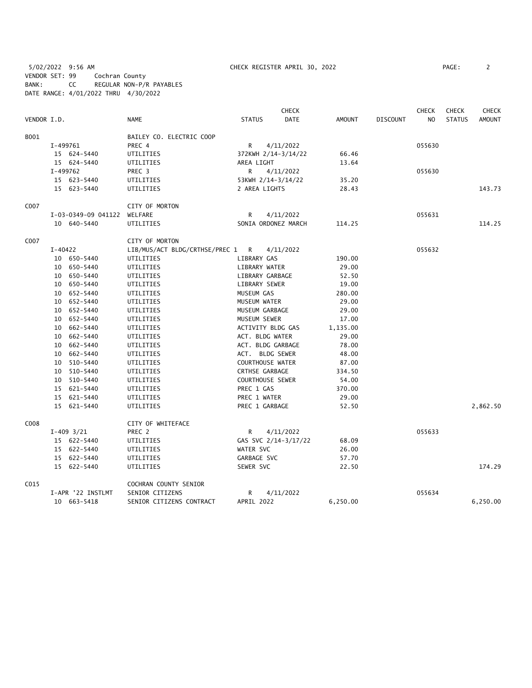5/02/2022 9:56 AM CHECK REGISTER APRIL 30, 2022 PAGE: 2 VENDOR SET: 99 Cochran County BANK: CC REGULAR NON-P/R PAYABLES DATE RANGE: 4/01/2022 THRU 4/30/2022

| PAGE : |  |  |  |
|--------|--|--|--|
|        |  |  |  |

|             |           |                     |                                  |                         | <b>CHECK</b>         |          |                 | <b>CHECK</b>   | <b>CHECK</b>  | <b>CHECK</b>  |
|-------------|-----------|---------------------|----------------------------------|-------------------------|----------------------|----------|-----------------|----------------|---------------|---------------|
| VENDOR I.D. |           |                     | NAME                             | <b>STATUS</b>           | <b>DATE</b>          | AMOUNT   | <b>DISCOUNT</b> | N <sub>O</sub> | <b>STATUS</b> | <b>AMOUNT</b> |
| B001        |           |                     | BAILEY CO. ELECTRIC COOP         |                         |                      |          |                 |                |               |               |
|             | I-499761  |                     | PREC 4                           | R                       | 4/11/2022            |          |                 | 055630         |               |               |
|             |           | 15 624-5440         | UTILITIES                        |                         | 372KWH 2/14-3/14/22  | 66.46    |                 |                |               |               |
|             |           | 15 624-5440         | UTILITIES                        | AREA LIGHT              |                      | 13.64    |                 |                |               |               |
|             | I-499762  |                     | PREC 3                           | R                       | 4/11/2022            |          |                 | 055630         |               |               |
|             |           | 15 623-5440         | UTILITIES                        | 53KWH 2/14-3/14/22      |                      | 35.20    |                 |                |               |               |
|             |           | 15 623-5440         | UTILITIES                        | 2 AREA LIGHTS           |                      | 28.43    |                 |                |               | 143.73        |
| C007        |           |                     | CITY OF MORTON                   |                         |                      |          |                 |                |               |               |
|             |           | I-03-0349-09 041122 | WELFARE                          | R                       | 4/11/2022            |          |                 | 055631         |               |               |
|             |           | 10 640-5440         | UTILITIES                        |                         | SONIA ORDONEZ MARCH  | 114.25   |                 |                |               | 114.25        |
| C007        |           |                     | CITY OF MORTON                   |                         |                      |          |                 |                |               |               |
|             | $I-40422$ |                     | LIB/MUS/ACT BLDG/CRTHSE/PREC 1 R |                         | 4/11/2022            |          |                 | 055632         |               |               |
|             |           | 10 650-5440         | UTILITIES                        | LIBRARY GAS             |                      | 190.00   |                 |                |               |               |
|             |           | 10 650-5440         | UTILITIES                        | LIBRARY WATER           |                      | 29.00    |                 |                |               |               |
|             |           | 10 650-5440         | UTILITIES                        | LIBRARY GARBAGE         |                      | 52.50    |                 |                |               |               |
|             |           | 10 650-5440         | UTILITIES                        | LIBRARY SEWER           |                      | 19.00    |                 |                |               |               |
|             |           | 10 652-5440         | UTILITIES                        | MUSEUM GAS              |                      | 280.00   |                 |                |               |               |
|             |           | 10 652-5440         | UTILITIES                        | MUSEUM WATER            |                      | 29.00    |                 |                |               |               |
|             |           | 10 652-5440         | UTILITIES                        | MUSEUM GARBAGE          |                      | 29.00    |                 |                |               |               |
|             |           | 10 652-5440         | UTILITIES                        | MUSEUM SEWER            |                      | 17.00    |                 |                |               |               |
|             |           | 10 662-5440         | UTILITIES                        | ACTIVITY BLDG GAS       |                      | 1,135.00 |                 |                |               |               |
|             |           | 10 662-5440         | UTILITIES                        | ACT. BLDG WATER         |                      | 29.00    |                 |                |               |               |
|             |           | 10 662-5440         | UTILITIES                        | ACT. BLDG GARBAGE       |                      | 78.00    |                 |                |               |               |
|             |           | 10 662-5440         | UTILITIES                        | ACT. BLDG SEWER         |                      | 48.00    |                 |                |               |               |
|             |           | 10 510-5440         | UTILITIES                        | COURTHOUSE WATER        |                      | 87.00    |                 |                |               |               |
|             |           | 10 510-5440         | UTILITIES                        | <b>CRTHSE GARBAGE</b>   |                      | 334.50   |                 |                |               |               |
|             |           | 10 510-5440         | UTILITIES                        | <b>COURTHOUSE SEWER</b> |                      | 54.00    |                 |                |               |               |
|             |           | 15 621-5440         | UTILITIES                        | PREC 1 GAS              |                      | 370.00   |                 |                |               |               |
|             |           | 15 621-5440         | UTILITIES                        | PREC 1 WATER            |                      | 29.00    |                 |                |               |               |
|             |           | 15 621-5440         | UTILITIES                        | PREC 1 GARBAGE          |                      | 52.50    |                 |                |               | 2,862.50      |
| C008        |           |                     | CITY OF WHITEFACE                |                         |                      |          |                 |                |               |               |
|             |           | $I-409$ $3/21$      | PREC 2                           | R                       | 4/11/2022            |          |                 | 055633         |               |               |
|             |           | 15 622-5440         | UTILITIES                        |                         | GAS SVC 2/14-3/17/22 | 68.09    |                 |                |               |               |
|             |           | 15 622-5440         | UTILITIES                        | WATER SVC               |                      | 26.00    |                 |                |               |               |
|             |           | 15 622-5440         | UTILITIES                        | GARBAGE SVC             |                      | 57.70    |                 |                |               |               |
|             |           | 15 622-5440         | UTILITIES                        | SEWER SVC               |                      | 22.50    |                 |                |               | 174.29        |
| C015        |           |                     | COCHRAN COUNTY SENIOR            |                         |                      |          |                 |                |               |               |
|             |           | I-APR '22 INSTLMT   | SENIOR CITIZENS                  | R                       | 4/11/2022            |          |                 | 055634         |               |               |
|             |           | 10 663-5418         | SENIOR CITIZENS CONTRACT         | APRIL 2022              |                      | 6,250.00 |                 |                |               | 6,250.00      |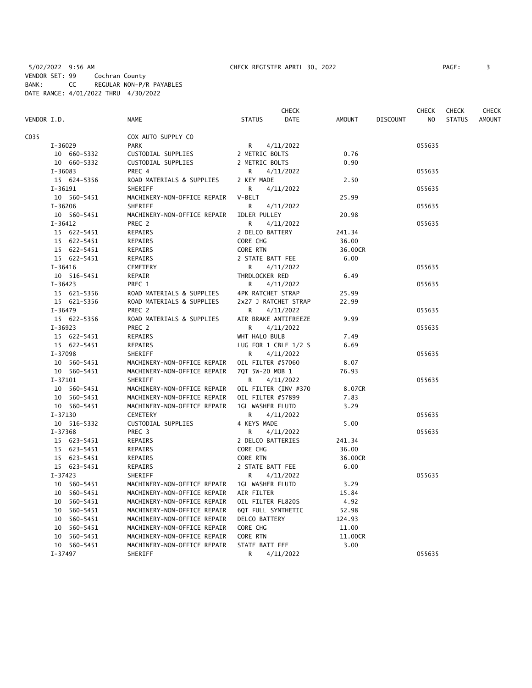5/02/2022 9:56 AM CHECK REGISTER APRIL 30, 2022 PAGE: 3 VENDOR SET: 99 Cochran County BANK: CC REGULAR NON-P/R PAYABLES DATE RANGE: 4/01/2022 THRU 4/30/2022

|             |             |                             | CHECK                   |               |                 | CHECK  | <b>CHECK</b>  | <b>CHECK</b>  |
|-------------|-------------|-----------------------------|-------------------------|---------------|-----------------|--------|---------------|---------------|
| VENDOR I.D. |             | <b>NAME</b>                 | <b>STATUS</b><br>DATE   | <b>AMOUNT</b> | <b>DISCOUNT</b> | NO     | <b>STATUS</b> | <b>AMOUNT</b> |
| C035        |             | COX AUTO SUPPLY CO          |                         |               |                 |        |               |               |
|             | $I - 36029$ | <b>PARK</b>                 | R.<br>4/11/2022         |               |                 | 055635 |               |               |
|             | 10 660-5332 | CUSTODIAL SUPPLIES          | 2 METRIC BOLTS          | 0.76          |                 |        |               |               |
|             | 10 660-5332 | CUSTODIAL SUPPLIES          | 2 METRIC BOLTS          | 0.90          |                 |        |               |               |
|             | $I-36083$   | PREC 4                      | 4/11/2022<br>R          |               |                 | 055635 |               |               |
|             | 15 624-5356 | ROAD MATERIALS & SUPPLIES   | 2 KEY MADE              | 2.50          |                 |        |               |               |
|             | $I-36191$   | SHERIFF                     | 4/11/2022<br>R          |               |                 | 055635 |               |               |
|             | 10 560-5451 | MACHINERY-NON-OFFICE REPAIR | V-BELT                  | 25.99         |                 |        |               |               |
|             | $I - 36206$ | SHERIFF                     | 4/11/2022<br>R.         |               |                 | 055635 |               |               |
|             | 10 560-5451 | MACHINERY-NON-OFFICE REPAIR | <b>IDLER PULLEY</b>     | 20.98         |                 |        |               |               |
|             | $I - 36412$ | PREC 2                      | R<br>4/11/2022          |               |                 | 055635 |               |               |
|             | 15 622-5451 | REPAIRS                     | 2 DELCO BATTERY         | 241.34        |                 |        |               |               |
|             | 15 622-5451 | REPAIRS                     | CORE CHG                | 36.00         |                 |        |               |               |
|             | 15 622-5451 | REPAIRS                     | CORE RTN                | 36.00CR       |                 |        |               |               |
|             | 15 622-5451 | REPAIRS                     | 2 STATE BATT FEE        | 6.00          |                 |        |               |               |
|             | $I - 36416$ | CEMETERY                    | R<br>4/11/2022          |               |                 | 055635 |               |               |
|             | 10 516-5451 | REPAIR                      | THRDLOCKER RED          | 6.49          |                 |        |               |               |
|             | $I - 36423$ | PREC 1                      | 4/11/2022<br>R.         |               |                 | 055635 |               |               |
|             | 15 621-5356 | ROAD MATERIALS & SUPPLIES   | 4PK RATCHET STRAP       | 25.99         |                 |        |               |               |
|             | 15 621-5356 | ROAD MATERIALS & SUPPLIES   | 2x27 J RATCHET STRAP    | 22.99         |                 |        |               |               |
|             | $I - 36479$ | PREC 2                      | R<br>4/11/2022          |               |                 | 055635 |               |               |
|             | 15 622-5356 | ROAD MATERIALS & SUPPLIES   | AIR BRAKE ANTIFREEZE    | 9.99          |                 |        |               |               |
|             | $I - 36923$ | PREC 2                      | R<br>4/11/2022          |               |                 | 055635 |               |               |
|             | 15 622-5451 | REPAIRS                     | WHT HALO BULB           | 7.49          |                 |        |               |               |
|             | 15 622-5451 | REPAIRS                     | LUG FOR 1 CBLE 1/2 S    | 6.69          |                 |        |               |               |
|             | $I-37098$   | SHERIFF                     | R.<br>4/11/2022         |               |                 | 055635 |               |               |
|             | 10 560-5451 | MACHINERY-NON-OFFICE REPAIR | OIL FILTER #57060       | 8.07          |                 |        |               |               |
|             | 10 560-5451 | MACHINERY-NON-OFFICE REPAIR | 7QT 5W-20 MOB 1         | 76.93         |                 |        |               |               |
|             | $I-37101$   | SHERIFF                     | 4/11/2022<br>R          |               |                 | 055635 |               |               |
|             | 10 560-5451 | MACHINERY-NON-OFFICE REPAIR | OIL FILTER (INV #370    | 8.07CR        |                 |        |               |               |
|             | 10 560-5451 | MACHINERY-NON-OFFICE REPAIR | OIL FILTER #57899       | 7.83          |                 |        |               |               |
|             | 10 560-5451 | MACHINERY-NON-OFFICE REPAIR | 1GL WASHER FLUID        | 3.29          |                 |        |               |               |
|             | $I - 37130$ | <b>CEMETERY</b>             | R<br>4/11/2022          |               |                 | 055635 |               |               |
|             | 10 516-5332 | CUSTODIAL SUPPLIES          | 4 KEYS MADE             | 5.00          |                 |        |               |               |
|             | $I - 37368$ | PREC 3                      | R<br>4/11/2022          |               |                 | 055635 |               |               |
|             | 15 623-5451 | REPAIRS                     | 2 DELCO BATTERIES       | 241.34        |                 |        |               |               |
|             | 15 623-5451 | REPAIRS                     | CORE CHG                | 36.00         |                 |        |               |               |
|             | 15 623-5451 | REPAIRS                     | CORE RTN                | 36.00CR       |                 |        |               |               |
|             | 15 623-5451 | REPAIRS                     | 2 STATE BATT FEE        | 6.00          |                 |        |               |               |
|             | $I-37423$   | SHERIFF                     | 4/11/2022<br>R          |               |                 | 055635 |               |               |
|             | 10 560-5451 | MACHINERY-NON-OFFICE REPAIR | <b>1GL WASHER FLUID</b> | 3.29          |                 |        |               |               |
|             | 10 560-5451 | MACHINERY-NON-OFFICE REPAIR | AIR FILTER              | 15.84         |                 |        |               |               |
|             | 10 560-5451 | MACHINERY-NON-OFFICE REPAIR | OIL FILTER FL820S       | 4.92          |                 |        |               |               |
|             | 10 560-5451 | MACHINERY-NON-OFFICE REPAIR | 6QT FULL SYNTHETIC      | 52.98         |                 |        |               |               |
|             | 10 560-5451 | MACHINERY-NON-OFFICE REPAIR | DELCO BATTERY           | 124.93        |                 |        |               |               |
|             | 10 560-5451 | MACHINERY-NON-OFFICE REPAIR | CORE CHG                | 11.00         |                 |        |               |               |
|             | 10 560-5451 | MACHINERY-NON-OFFICE REPAIR | CORE RTN                | 11.00CR       |                 |        |               |               |
|             | 10 560-5451 | MACHINERY-NON-OFFICE REPAIR | STATE BATT FEE          | 3.00          |                 |        |               |               |
|             | $I-37497$   | SHERIFF                     | R<br>4/11/2022          |               |                 | 055635 |               |               |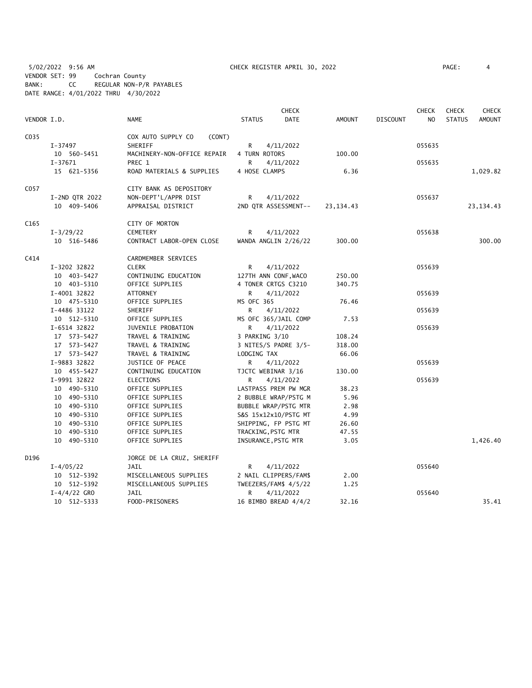5/02/2022 9:56 AM CHECK REGISTER APRIL 30, 2022 PAGE: 4 VENDOR SET: 99 Cochran County BANK: CC REGULAR NON-P/R PAYABLES DATE RANGE: 4/01/2022 THRU 4/30/2022

|                  |                  |                              |                       | <b>CHECK</b> |             |                 | <b>CHECK</b> | <b>CHECK</b>  | <b>CHECK</b>  |
|------------------|------------------|------------------------------|-----------------------|--------------|-------------|-----------------|--------------|---------------|---------------|
| VENDOR I.D.      |                  | <b>NAME</b>                  | <b>STATUS</b>         | <b>DATE</b>  | AMOUNT      | <b>DISCOUNT</b> | NO.          | <b>STATUS</b> | <b>AMOUNT</b> |
| C035             |                  | COX AUTO SUPPLY CO<br>(CONT) |                       |              |             |                 |              |               |               |
|                  | I-37497          | SHERIFF                      | R                     | 4/11/2022    |             |                 | 055635       |               |               |
|                  | 10 560-5451      | MACHINERY-NON-OFFICE REPAIR  | 4 TURN ROTORS         |              | 100.00      |                 |              |               |               |
|                  | $I-37671$        | PREC 1                       | R                     | 4/11/2022    |             |                 | 055635       |               |               |
|                  | 15 621-5356      | ROAD MATERIALS & SUPPLIES    | 4 HOSE CLAMPS         |              | 6.36        |                 |              |               | 1,029.82      |
| C057             |                  | CITY BANK AS DEPOSITORY      |                       |              |             |                 |              |               |               |
|                  | I-2ND QTR 2022   | NON-DEPT'L/APPR DIST         | R                     | 4/11/2022    |             |                 | 055637       |               |               |
|                  | 10 409-5406      | APPRAISAL DISTRICT           | 2ND QTR ASSESSMENT--  |              | 23, 134. 43 |                 |              |               | 23, 134. 43   |
| C <sub>165</sub> |                  | CITY OF MORTON               |                       |              |             |                 |              |               |               |
|                  | $I-3/29/22$      | <b>CEMETERY</b>              | R                     | 4/11/2022    |             |                 | 055638       |               |               |
|                  | 10 516-5486      | CONTRACT LABOR-OPEN CLOSE    | WANDA ANGLIN 2/26/22  |              | 300.00      |                 |              |               | 300.00        |
| C414             |                  | CARDMEMBER SERVICES          |                       |              |             |                 |              |               |               |
|                  | I-3202 32822     | <b>CLERK</b>                 | R                     | 4/11/2022    |             |                 | 055639       |               |               |
|                  | 10 403-5427      | CONTINUING EDUCATION         | 127TH ANN CONF, WACO  |              | 250.00      |                 |              |               |               |
|                  | 10 403-5310      | OFFICE SUPPLIES              | 4 TONER CRTGS C3210   |              | 340.75      |                 |              |               |               |
|                  | I-4001 32822     | ATTORNEY                     | R.                    | 4/11/2022    |             |                 | 055639       |               |               |
|                  | 10 475-5310      | OFFICE SUPPLIES              | MS OFC 365            |              | 76.46       |                 |              |               |               |
|                  | I-4486 33122     | SHERIFF                      | R                     | 4/11/2022    |             |                 | 055639       |               |               |
|                  | 10 512-5310      | OFFICE SUPPLIES              | MS OFC 365/JAIL COMP  |              | 7.53        |                 |              |               |               |
|                  | I-6514 32822     | JUVENILE PROBATION           | R                     | 4/11/2022    |             |                 | 055639       |               |               |
|                  | 17 573-5427      | TRAVEL & TRAINING            | 3 PARKING 3/10        |              | 108.24      |                 |              |               |               |
|                  | 17 573-5427      | TRAVEL & TRAINING            | 3 NITES/S PADRE 3/5-  |              | 318.00      |                 |              |               |               |
|                  | 17 573-5427      | TRAVEL & TRAINING            | LODGING TAX           |              | 66.06       |                 |              |               |               |
|                  | I-9883 32822     | JUSTICE OF PEACE             | R.                    | 4/11/2022    |             |                 | 055639       |               |               |
|                  | 10 455-5427      | CONTINUING EDUCATION         | TJCTC WEBINAR 3/16    |              | 130.00      |                 |              |               |               |
|                  | I-9991 32822     | ELECTIONS                    | R                     | 4/11/2022    |             |                 | 055639       |               |               |
|                  | 10 490-5310      | OFFICE SUPPLIES              | LASTPASS PREM PW MGR  |              | 38.23       |                 |              |               |               |
|                  | 10 490-5310      | OFFICE SUPPLIES              | 2 BUBBLE WRAP/PSTG M  |              | 5.96        |                 |              |               |               |
|                  | 10 490-5310      | OFFICE SUPPLIES              | BUBBLE WRAP/PSTG MTR  |              | 2.98        |                 |              |               |               |
|                  | 10 490-5310      | OFFICE SUPPLIES              | S&S 15x12x10/PSTG MT  |              | 4.99        |                 |              |               |               |
|                  | 10 490-5310      | OFFICE SUPPLIES              | SHIPPING, FP PSTG MT  |              | 26.60       |                 |              |               |               |
|                  | 10 490-5310      | OFFICE SUPPLIES              | TRACKING, PSTG MTR    |              | 47.55       |                 |              |               |               |
|                  | 10 490-5310      | OFFICE SUPPLIES              | INSURANCE, PSTG MTR   |              | 3.05        |                 |              |               | 1,426.40      |
|                  |                  |                              |                       |              |             |                 |              |               |               |
| D196             |                  | JORGE DE LA CRUZ, SHERIFF    |                       |              |             |                 |              |               |               |
|                  | $I - 4/05/22$    | JAIL                         | R                     | 4/11/2022    |             |                 | 055640       |               |               |
|                  | 10 512-5392      | MISCELLANEOUS SUPPLIES       | 2 NAIL CLIPPERS/FAM\$ |              | 2.00        |                 |              |               |               |
|                  | 10 512-5392      | MISCELLANEOUS SUPPLIES       | TWEEZERS/FAM\$ 4/5/22 |              | 1.25        |                 |              |               |               |
|                  | $I - 4/4/22$ GRO | JAIL                         | R                     | 4/11/2022    |             |                 | 055640       |               |               |
|                  | 10 512-5333      | FOOD-PRISONERS               | 16 BIMBO BREAD 4/4/2  |              | 32.16       |                 |              |               | 35.41         |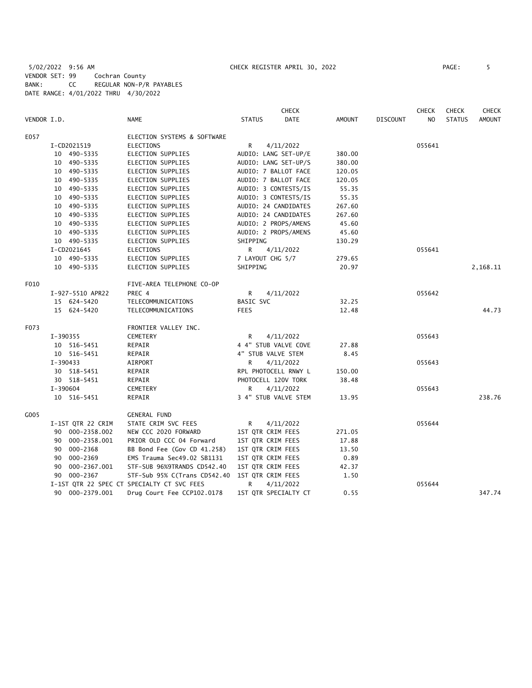5/02/2022 9:56 AM CHECK REGISTER APRIL 30, 2022 PAGE: 5 VENDOR SET: 99 Cochran County BANK: CC REGULAR NON-P/R PAYABLES DATE RANGE: 4/01/2022 THRU 4/30/2022

|             |                   |                                            |                      | <b>CHECK</b>         |               |                 | <b>CHECK</b> | <b>CHECK</b>  | <b>CHECK</b>  |
|-------------|-------------------|--------------------------------------------|----------------------|----------------------|---------------|-----------------|--------------|---------------|---------------|
| VENDOR I.D. |                   | <b>NAME</b>                                | <b>STATUS</b>        | DATE                 | <b>AMOUNT</b> | <b>DISCOUNT</b> | NO.          | <b>STATUS</b> | <b>AMOUNT</b> |
| E057        |                   | ELECTION SYSTEMS & SOFTWARE                |                      |                      |               |                 |              |               |               |
|             | I-CD2021519       | <b>ELECTIONS</b>                           | R                    | 4/11/2022            |               |                 | 055641       |               |               |
|             | 10 490-5335       | <b>ELECTION SUPPLIES</b>                   | AUDIO: LANG SET-UP/E |                      | 380.00        |                 |              |               |               |
|             | 10 490-5335       | <b>ELECTION SUPPLIES</b>                   | AUDIO: LANG SET-UP/S |                      | 380.00        |                 |              |               |               |
|             | 10 490-5335       | ELECTION SUPPLIES                          | AUDIO: 7 BALLOT FACE |                      | 120.05        |                 |              |               |               |
|             | 10 490-5335       | ELECTION SUPPLIES                          | AUDIO: 7 BALLOT FACE |                      | 120.05        |                 |              |               |               |
|             | 10 490-5335       | ELECTION SUPPLIES                          | AUDIO: 3 CONTESTS/IS |                      | 55.35         |                 |              |               |               |
|             | 10 490-5335       | ELECTION SUPPLIES                          | AUDIO: 3 CONTESTS/IS |                      | 55.35         |                 |              |               |               |
|             | 10 490-5335       | ELECTION SUPPLIES                          | AUDIO: 24 CANDIDATES |                      | 267.60        |                 |              |               |               |
|             | 10 490-5335       | <b>ELECTION SUPPLIES</b>                   | AUDIO: 24 CANDIDATES |                      | 267.60        |                 |              |               |               |
|             | 10 490-5335       | ELECTION SUPPLIES                          | AUDIO: 2 PROPS/AMENS |                      | 45.60         |                 |              |               |               |
|             | 10 490-5335       | ELECTION SUPPLIES                          | AUDIO: 2 PROPS/AMENS |                      | 45.60         |                 |              |               |               |
|             | 10 490-5335       | ELECTION SUPPLIES                          | SHIPPING             |                      | 130.29        |                 |              |               |               |
|             | I-CD2021645       | ELECTIONS                                  | R.                   | 4/11/2022            |               |                 | 055641       |               |               |
|             | 10 490-5335       | ELECTION SUPPLIES                          | 7 LAYOUT CHG 5/7     |                      | 279.65        |                 |              |               |               |
|             | 10 490-5335       | ELECTION SUPPLIES                          | SHIPPING             |                      | 20.97         |                 |              |               | 2,168.11      |
| F010        |                   | FIVE-AREA TELEPHONE CO-OP                  |                      |                      |               |                 |              |               |               |
|             | I-927-5510 APR22  | PREC 4                                     | R                    | 4/11/2022            |               |                 | 055642       |               |               |
|             | 15 624-5420       | TELECOMMUNICATIONS                         | BASIC SVC            |                      | 32.25         |                 |              |               |               |
|             | 15 624-5420       | TELECOMMUNICATIONS                         | <b>FEES</b>          |                      | 12.48         |                 |              |               | 44.73         |
| F073        |                   | FRONTIER VALLEY INC.                       |                      |                      |               |                 |              |               |               |
|             | I-390355          | CEMETERY                                   | R                    | 4/11/2022            |               |                 | 055643       |               |               |
|             | 10 516-5451       | REPAIR                                     | 4 4" STUB VALVE COVE |                      | 27.88         |                 |              |               |               |
|             | 10 516-5451       | REPAIR                                     | 4" STUB VALVE STEM   |                      | 8.45          |                 |              |               |               |
|             | $I - 390433$      | AIRPORT                                    | R                    | 4/11/2022            |               |                 | 055643       |               |               |
|             | 30 518-5451       | REPAIR                                     | RPL PHOTOCELL RNWY L |                      | 150.00        |                 |              |               |               |
|             | 30 518-5451       | REPAIR                                     | PHOTOCELL 120V TORK  |                      | 38.48         |                 |              |               |               |
|             | I-390604          | CEMETERY                                   | R                    | 4/11/2022            |               |                 | 055643       |               |               |
|             | 10 516-5451       | REPAIR                                     |                      | 3 4" STUB VALVE STEM | 13.95         |                 |              |               | 238.76        |
| G005        |                   | <b>GENERAL FUND</b>                        |                      |                      |               |                 |              |               |               |
|             | I-1ST QTR 22 CRIM | STATE CRIM SVC FEES                        | R                    | 4/11/2022            |               |                 | 055644       |               |               |
|             | 90 000-2358.002   | NEW CCC 2020 FORWARD                       | 1ST QTR CRIM FEES    |                      | 271.05        |                 |              |               |               |
|             | 90 000-2358.001   | PRIOR OLD CCC 04 Forward                   | 1ST QTR CRIM FEES    |                      | 17.88         |                 |              |               |               |
|             | 000-2368<br>90    | BB Bond Fee (Gov CD 41.258)                | 1ST QTR CRIM FEES    |                      | 13.50         |                 |              |               |               |
|             | 90 000-2369       | EMS Trauma Sec49.02 SB1131                 | 1ST QTR CRIM FEES    |                      | 0.89          |                 |              |               |               |
|             | 90 000-2367.001   | STF-SUB 96%9TRANDS CD542.40                | 1ST QTR CRIM FEES    |                      | 42.37         |                 |              |               |               |
|             | 90 000-2367       | STF-Sub 95% C(Trans CD542.40               | 1ST QTR CRIM FEES    |                      | 1.50          |                 |              |               |               |
|             |                   | I-1ST QTR 22 SPEC CT SPECIALTY CT SVC FEES | R                    | 4/11/2022            |               |                 | 055644       |               |               |
|             | 90 000-2379.001   | Drug Court Fee CCP102.0178                 | 1ST QTR SPECIALTY CT |                      | 0.55          |                 |              |               | 347.74        |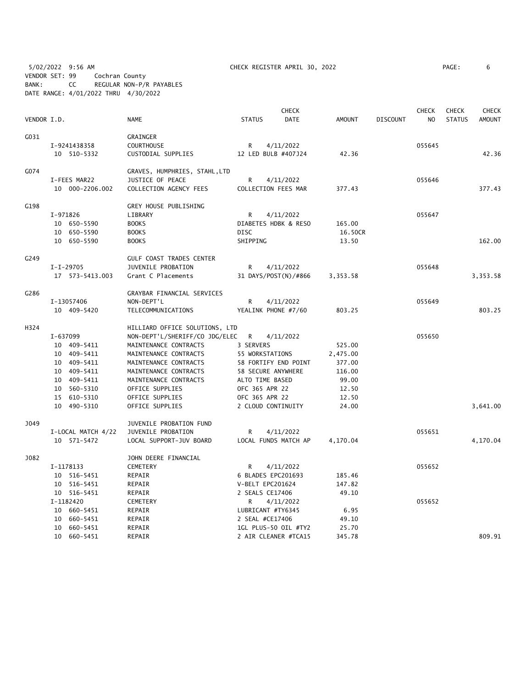5/02/2022 9:56 AM CHECK REGISTER APRIL 30, 2022 PAGE: 6 VENDOR SET: 99 Cochran County BANK: CC REGULAR NON-P/R PAYABLES DATE RANGE: 4/01/2022 THRU 4/30/2022

|             |          |                    |                                 |               |                      | <b>CHECK</b> |               |                 | <b>CHECK</b> | <b>CHECK</b>  | <b>CHECK</b>  |
|-------------|----------|--------------------|---------------------------------|---------------|----------------------|--------------|---------------|-----------------|--------------|---------------|---------------|
| VENDOR I.D. |          |                    | <b>NAME</b>                     | <b>STATUS</b> |                      | DATE         | <b>AMOUNT</b> | <b>DISCOUNT</b> | NO           | <b>STATUS</b> | <b>AMOUNT</b> |
| G031        |          |                    | GRAINGER                        |               |                      |              |               |                 |              |               |               |
|             |          | I-9241438358       | <b>COURTHOUSE</b>               | R             | 4/11/2022            |              |               |                 | 055645       |               |               |
|             |          | 10 510-5332        | CUSTODIAL SUPPLIES              |               | 12 LED BULB #407J24  |              | 42.36         |                 |              |               | 42.36         |
| G074        |          |                    | GRAVES, HUMPHRIES, STAHL, LTD   |               |                      |              |               |                 |              |               |               |
|             |          | I-FEES MAR22       | JUSTICE OF PEACE                | R             | 4/11/2022            |              |               |                 | 055646       |               |               |
|             |          | 10 000-2206.002    | COLLECTION AGENCY FEES          |               | COLLECTION FEES MAR  |              | 377.43        |                 |              |               | 377.43        |
| G198        |          |                    | GREY HOUSE PUBLISHING           |               |                      |              |               |                 |              |               |               |
|             | I-971826 |                    | LIBRARY                         | R             | 4/11/2022            |              |               |                 | 055647       |               |               |
|             |          | 10 650-5590        | <b>BOOKS</b>                    |               | DIABETES HDBK & RESO |              | 165.00        |                 |              |               |               |
|             |          | 10 650-5590        | <b>BOOKS</b>                    | <b>DISC</b>   |                      |              | 16.50CR       |                 |              |               |               |
|             |          | 10 650-5590        | <b>BOOKS</b>                    | SHIPPING      |                      |              | 13.50         |                 |              |               | 162.00        |
| G249        |          |                    | <b>GULF COAST TRADES CENTER</b> |               |                      |              |               |                 |              |               |               |
|             |          | $I-I-29705$        | JUVENILE PROBATION              | R             | 4/11/2022            |              |               |                 | 055648       |               |               |
|             |          | 17  573-5413.003   | Grant C Placements              |               | 31 DAYS/POST(N)/#866 |              | 3,353.58      |                 |              |               | 3,353.58      |
| G286        |          |                    | GRAYBAR FINANCIAL SERVICES      |               |                      |              |               |                 |              |               |               |
|             |          | I-13057406         | NON-DEPT'L                      | R             | 4/11/2022            |              |               |                 | 055649       |               |               |
|             |          | 10 409-5420        | TELECOMMUNICATIONS              |               | YEALINK PHONE #7/60  |              | 803.25        |                 |              |               | 803.25        |
| H324        |          |                    | HILLIARD OFFICE SOLUTIONS, LTD  |               |                      |              |               |                 |              |               |               |
|             | I-637099 |                    | NON-DEPT'L/SHERIFF/CO JDG/ELEC  | R             | 4/11/2022            |              |               |                 | 055650       |               |               |
|             |          | 10 409-5411        | MAINTENANCE CONTRACTS           | 3 SERVERS     |                      |              | 525.00        |                 |              |               |               |
|             |          | 10 409-5411        | MAINTENANCE CONTRACTS           |               | 55 WORKSTATIONS      |              | 2,475.00      |                 |              |               |               |
|             |          | 10 409-5411        | MAINTENANCE CONTRACTS           |               | 58 FORTIFY END POINT |              | 377.00        |                 |              |               |               |
|             |          | 10 409-5411        | MAINTENANCE CONTRACTS           |               | 58 SECURE ANYWHERE   |              | 116.00        |                 |              |               |               |
|             |          | 10 409-5411        | MAINTENANCE CONTRACTS           |               | ALTO TIME BASED      |              | 99.00         |                 |              |               |               |
|             |          | 10 560-5310        | OFFICE SUPPLIES                 |               | OFC 365 APR 22       |              | 12.50         |                 |              |               |               |
|             |          | 15 610-5310        | OFFICE SUPPLIES                 |               | OFC 365 APR 22       |              | 12.50         |                 |              |               |               |
|             |          | 10 490-5310        | OFFICE SUPPLIES                 |               | 2 CLOUD CONTINUITY   |              | 24.00         |                 |              |               | 3,641.00      |
| J049        |          |                    | JUVENILE PROBATION FUND         |               |                      |              |               |                 |              |               |               |
|             |          | I-LOCAL MATCH 4/22 | JUVENILE PROBATION              | R             | 4/11/2022            |              |               |                 | 055651       |               |               |
|             |          | 10 571-5472        | LOCAL SUPPORT-JUV BOARD         |               | LOCAL FUNDS MATCH AP |              | 4,170.04      |                 |              |               | 4,170.04      |
| J082        |          |                    | JOHN DEERE FINANCIAL            |               |                      |              |               |                 |              |               |               |
|             |          | I-1178133          | <b>CEMETERY</b>                 | R             | 4/11/2022            |              |               |                 | 055652       |               |               |
|             |          | 10 516-5451        | REPAIR                          |               | 6 BLADES EPC201693   |              | 185.46        |                 |              |               |               |
|             |          | 10 516-5451        | REPAIR                          |               | V-BELT EPC201624     |              | 147.82        |                 |              |               |               |
|             |          | 10 516-5451        | REPAIR                          |               | 2 SEALS CE17406      |              | 49.10         |                 |              |               |               |
|             |          | I-1182420          | CEMETERY                        | R             | 4/11/2022            |              |               |                 | 055652       |               |               |
|             | 10       | 660-5451           | REPAIR                          |               | LUBRICANT #TY6345    |              | 6.95          |                 |              |               |               |
|             | 10       | 660-5451           | REPAIR                          |               | 2 SEAL #CE17406      |              | 49.10         |                 |              |               |               |
|             |          | 10 660-5451        | REPAIR                          |               | 1GL PLUS-50 OIL #TY2 |              | 25.70         |                 |              |               |               |
|             |          | 10 660-5451        | REPAIR                          |               | 2 AIR CLEANER #TCA15 |              | 345.78        |                 |              |               | 809.91        |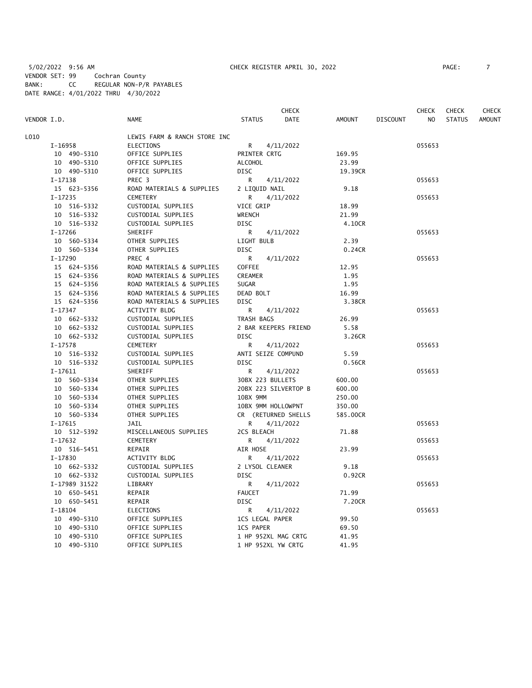5/02/2022 9:56 AM CHECK REGISTER APRIL 30, 2022 PAGE: 7 VENDOR SET: 99 Cochran County BANK: CC REGULAR NON-P/R PAYABLES DATE RANGE: 4/01/2022 THRU 4/30/2022

|             |               |             |                              |                           | CHECK                |                |                 | CHECK  | <b>CHECK</b>  | CHECK         |
|-------------|---------------|-------------|------------------------------|---------------------------|----------------------|----------------|-----------------|--------|---------------|---------------|
| VENDOR I.D. |               |             | <b>NAME</b>                  | <b>STATUS</b>             | <b>DATE</b>          | <b>AMOUNT</b>  | <b>DISCOUNT</b> | NO.    | <b>STATUS</b> | <b>AMOUNT</b> |
| L010        |               |             | LEWIS FARM & RANCH STORE INC |                           |                      |                |                 |        |               |               |
|             | I-16958       |             | <b>ELECTIONS</b>             | R                         | 4/11/2022            |                |                 | 055653 |               |               |
|             |               | 10 490-5310 | OFFICE SUPPLIES              | PRINTER CRTG              |                      | 169.95         |                 |        |               |               |
|             |               | 10 490-5310 | OFFICE SUPPLIES              | <b>ALCOHOL</b>            |                      | 23.99          |                 |        |               |               |
|             |               | 10 490-5310 | OFFICE SUPPLIES              | <b>DISC</b>               |                      | 19.39CR        |                 |        |               |               |
|             | I-17138       |             | PREC 3                       | R                         | 4/11/2022            |                |                 | 055653 |               |               |
|             |               | 15 623-5356 | ROAD MATERIALS & SUPPLIES    | 2 LIQUID NAIL             |                      | 9.18           |                 |        |               |               |
|             | $I-17235$     |             | <b>CEMETERY</b>              | R                         | 4/11/2022            |                |                 | 055653 |               |               |
|             | 10 516-5332   |             | CUSTODIAL SUPPLIES           | VICE GRIP                 |                      | 18.99          |                 |        |               |               |
|             |               | 10 516-5332 | CUSTODIAL SUPPLIES           | WRENCH                    |                      | 21.99          |                 |        |               |               |
|             |               | 10 516-5332 | CUSTODIAL SUPPLIES           | <b>DISC</b>               |                      | 4.10CR         |                 |        |               |               |
|             | I-17266       |             | SHERIFF                      | R                         | 4/11/2022            |                |                 | 055653 |               |               |
|             |               |             |                              |                           |                      |                |                 |        |               |               |
|             |               | 10 560-5334 | OTHER SUPPLIES               | LIGHT BULB<br><b>DISC</b> |                      | 2.39<br>0.24CR |                 |        |               |               |
|             |               | 10 560-5334 | OTHER SUPPLIES               |                           |                      |                |                 |        |               |               |
|             | I-17290       |             | PREC 4                       | R.                        | 4/11/2022            |                |                 | 055653 |               |               |
|             |               | 15 624-5356 | ROAD MATERIALS & SUPPLIES    | <b>COFFEE</b>             |                      | 12.95          |                 |        |               |               |
|             |               | 15 624-5356 | ROAD MATERIALS & SUPPLIES    | CREAMER                   |                      | 1.95           |                 |        |               |               |
|             |               | 15 624-5356 | ROAD MATERIALS & SUPPLIES    | <b>SUGAR</b>              |                      | 1.95           |                 |        |               |               |
|             |               | 15 624-5356 | ROAD MATERIALS & SUPPLIES    | DEAD BOLT                 |                      | 16.99          |                 |        |               |               |
|             |               | 15 624-5356 | ROAD MATERIALS & SUPPLIES    | <b>DISC</b>               |                      | 3.38CR         |                 |        |               |               |
|             | $I-17347$     |             | ACTIVITY BLDG                | R                         | 4/11/2022            |                |                 | 055653 |               |               |
|             |               | 10 662-5332 | CUSTODIAL SUPPLIES           | TRASH BAGS                |                      | 26.99          |                 |        |               |               |
|             |               | 10 662-5332 | CUSTODIAL SUPPLIES           |                           | 2 BAR KEEPERS FRIEND | 5.58           |                 |        |               |               |
|             |               | 10 662-5332 | CUSTODIAL SUPPLIES           | <b>DISC</b>               |                      | 3.26CR         |                 |        |               |               |
|             | I-17578       |             | <b>CEMETERY</b>              | R                         | 4/11/2022            |                |                 | 055653 |               |               |
|             |               | 10 516-5332 | CUSTODIAL SUPPLIES           |                           | ANTI SEIZE COMPUND   | 5.59           |                 |        |               |               |
|             |               | 10 516-5332 | CUSTODIAL SUPPLIES           | DISC                      |                      | 0.56CR         |                 |        |               |               |
|             | $I-17611$     |             | SHERIFF                      | R                         | 4/11/2022            |                |                 | 055653 |               |               |
|             | 10 560-5334   |             | OTHER SUPPLIES               |                           | 30BX 223 BULLETS     | 600.00         |                 |        |               |               |
|             | 10 560-5334   |             | OTHER SUPPLIES               |                           | 20BX 223 SILVERTOP B | 600.00         |                 |        |               |               |
|             |               | 10 560-5334 | OTHER SUPPLIES               | 10BX 9MM                  |                      | 250.00         |                 |        |               |               |
|             |               | 10 560-5334 | OTHER SUPPLIES               |                           | 10BX 9MM HOLLOWPNT   | 350.00         |                 |        |               |               |
|             |               | 10 560-5334 | OTHER SUPPLIES               |                           | CR (RETURNED SHELLS  | 585.00CR       |                 |        |               |               |
|             | $I-17615$     |             | <b>JAIL</b>                  | R.                        | 4/11/2022            |                |                 | 055653 |               |               |
|             |               | 10 512-5392 | MISCELLANEOUS SUPPLIES       | 2CS BLEACH                |                      | 71.88          |                 |        |               |               |
|             | $I-17632$     |             | CEMETERY                     | R                         | 4/11/2022            |                |                 | 055653 |               |               |
|             |               | 10 516-5451 | REPAIR                       | AIR HOSE                  |                      | 23.99          |                 |        |               |               |
|             | $I-17830$     |             | ACTIVITY BLDG                | R                         | 4/11/2022            |                |                 | 055653 |               |               |
|             |               | 10 662-5332 | CUSTODIAL SUPPLIES           |                           | 2 LYSOL CLEANER      | 9.18           |                 |        |               |               |
|             |               | 10 662-5332 | CUSTODIAL SUPPLIES           | <b>DISC</b>               |                      | 0.92CR         |                 |        |               |               |
|             | I-17989 31522 |             | LIBRARY                      | R                         | 4/11/2022            |                |                 | 055653 |               |               |
|             |               | 10 650-5451 | REPAIR                       | <b>FAUCET</b>             |                      | 71.99          |                 |        |               |               |
|             |               | 10 650-5451 | REPAIR                       | <b>DISC</b>               |                      | 7.20CR         |                 |        |               |               |
|             | $I-18104$     |             | ELECTIONS                    | R                         | 4/11/2022            |                |                 | 055653 |               |               |
|             |               | 10 490-5310 | OFFICE SUPPLIES              |                           | 1CS LEGAL PAPER      | 99.50          |                 |        |               |               |
|             |               | 10 490-5310 | OFFICE SUPPLIES              | <b>1CS PAPER</b>          |                      | 69.50          |                 |        |               |               |
|             |               | 10 490-5310 | OFFICE SUPPLIES              |                           | 1 HP 952XL MAG CRTG  | 41.95          |                 |        |               |               |
|             | 10 490-5310   |             | OFFICE SUPPLIES              |                           | 1 HP 952XL YW CRTG   | 41.95          |                 |        |               |               |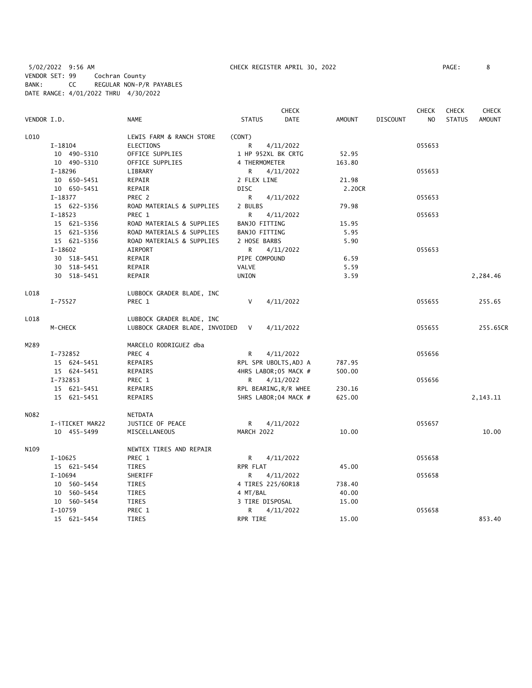5/02/2022 9:56 AM CHECK REGISTER APRIL 30, 2022 PAGE: 8 VENDOR SET: 99 Cochran County BANK: CC REGULAR NON-P/R PAYABLES DATE RANGE: 4/01/2022 THRU 4/30/2022

|             |                 |                                  | <b>CHECK</b>          |               |                 | <b>CHECK</b>   | <b>CHECK</b>  | <b>CHECK</b>  |
|-------------|-----------------|----------------------------------|-----------------------|---------------|-----------------|----------------|---------------|---------------|
| VENDOR I.D. |                 | <b>NAME</b>                      | <b>STATUS</b><br>DATE | <b>AMOUNT</b> | <b>DISCOUNT</b> | N <sub>O</sub> | <b>STATUS</b> | <b>AMOUNT</b> |
| L010        |                 | LEWIS FARM & RANCH STORE         | (CONT)                |               |                 |                |               |               |
|             | $I-18104$       | <b>ELECTIONS</b>                 | R<br>4/11/2022        |               |                 | 055653         |               |               |
|             | 10 490-5310     | OFFICE SUPPLIES                  | 1 HP 952XL BK CRTG    | 52.95         |                 |                |               |               |
|             | 10 490-5310     | OFFICE SUPPLIES                  | 4 THERMOMETER         | 163.80        |                 |                |               |               |
|             | I-18296         | LIBRARY                          | 4/11/2022<br>R        |               |                 | 055653         |               |               |
|             | 10 650-5451     | REPAIR                           | 2 FLEX LINE           | 21.98         |                 |                |               |               |
|             | 10 650-5451     | REPAIR                           | <b>DISC</b>           | 2.20CR        |                 |                |               |               |
|             | I-18377         | PREC 2                           | R<br>4/11/2022        |               |                 | 055653         |               |               |
|             | 15 622-5356     | ROAD MATERIALS & SUPPLIES        | 2 BULBS               | 79.98         |                 |                |               |               |
|             | $I-18523$       | PREC 1                           | R<br>4/11/2022        |               |                 | 055653         |               |               |
|             | 15 621-5356     | ROAD MATERIALS & SUPPLIES        | <b>BANJO FITTING</b>  | 15.95         |                 |                |               |               |
|             | 15 621-5356     | ROAD MATERIALS & SUPPLIES        | BANJO FITTING         | 5.95          |                 |                |               |               |
|             | 15 621-5356     | ROAD MATERIALS & SUPPLIES        | 2 HOSE BARBS          | 5.90          |                 |                |               |               |
|             | $I-18602$       | AIRPORT                          | R.<br>4/11/2022       |               |                 | 055653         |               |               |
|             | 30 518-5451     | REPAIR                           | PIPE COMPOUND         | 6.59          |                 |                |               |               |
|             | 30 518-5451     | REPAIR                           | VALVE                 | 5.59          |                 |                |               |               |
|             | 30 518-5451     | REPAIR                           | UNION                 | 3.59          |                 |                |               | 2,284.46      |
| L018        |                 | LUBBOCK GRADER BLADE, INC        |                       |               |                 |                |               |               |
|             | $I - 75527$     | PREC 1                           | V<br>4/11/2022        |               |                 | 055655         |               | 255.65        |
| L018        |                 | LUBBOCK GRADER BLADE, INC        |                       |               |                 |                |               |               |
|             | M-CHECK         | LUBBOCK GRADER BLADE, INVOIDED V | 4/11/2022             |               |                 | 055655         |               | 255.65CR      |
| M289        |                 | MARCELO RODRIGUEZ dba            |                       |               |                 |                |               |               |
|             | I-732852        | PREC 4                           | 4/11/2022<br>R        |               |                 | 055656         |               |               |
|             | 15 624-5451     | REPAIRS                          | RPL SPR UBOLTS, ADJ A | 787.95        |                 |                |               |               |
|             | 15 624-5451     | REPAIRS                          | 4HRS LABOR; 05 MACK # | 500.00        |                 |                |               |               |
|             | I-732853        | PREC 1                           | 4/11/2022<br>R        |               |                 | 055656         |               |               |
|             | 15 621-5451     | <b>REPAIRS</b>                   | RPL BEARING, R/R WHEE | 230.16        |                 |                |               |               |
|             | 15 621-5451     | REPAIRS                          | 5HRS LABOR; 04 MACK # | 625.00        |                 |                |               | 2,143.11      |
| N082        |                 | NETDATA                          |                       |               |                 |                |               |               |
|             | I-iTICKET MAR22 | JUSTICE OF PEACE                 | R.<br>4/11/2022       |               |                 | 055657         |               |               |
|             | 10 455-5499     | MISCELLANEOUS                    | MARCH 2022            | 10.00         |                 |                |               | 10.00         |
| N109        |                 | NEWTEX TIRES AND REPAIR          |                       |               |                 |                |               |               |
|             | I-10625         | PREC 1                           | 4/11/2022<br>R        |               |                 | 055658         |               |               |
|             | 15 621-5454     | <b>TIRES</b>                     | RPR FLAT              | 45.00         |                 |                |               |               |
|             | $I-10694$       | SHERIFF                          | R<br>4/11/2022        |               |                 | 055658         |               |               |
|             | 10 560-5454     | TIRES                            | 4 TIRES 225/60R18     | 738.40        |                 |                |               |               |
|             | 10 560-5454     | TIRES                            | 4 MT/BAL              | 40.00         |                 |                |               |               |
|             | 10 560-5454     | TIRES                            | 3 TIRE DISPOSAL       | 15.00         |                 |                |               |               |
|             | $I-10759$       | PREC 1                           | 4/11/2022<br>R        |               |                 | 055658         |               |               |
|             | 15 621-5454     | <b>TIRES</b>                     | RPR TIRE              | 15.00         |                 |                |               | 853.40        |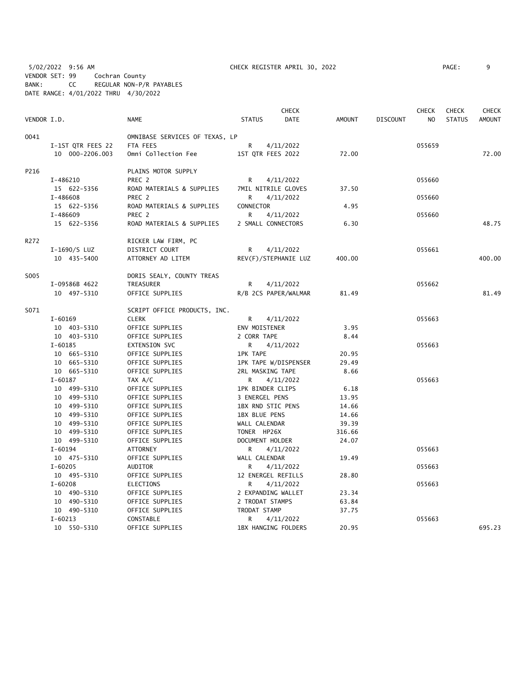5/02/2022 9:56 AM CHECK REGISTER APRIL 30, 2022 PAGE: 9 VENDOR SET: 99 Cochran County BANK: CC REGULAR NON-P/R PAYABLES DATE RANGE: 4/01/2022 THRU 4/30/2022

|             |                   |                                |                      | <b>CHECK</b>         |               |                 | <b>CHECK</b>   | <b>CHECK</b>  | <b>CHECK</b>  |
|-------------|-------------------|--------------------------------|----------------------|----------------------|---------------|-----------------|----------------|---------------|---------------|
| VENDOR I.D. |                   | <b>NAME</b>                    | <b>STATUS</b>        | <b>DATE</b>          | <b>AMOUNT</b> | <b>DISCOUNT</b> | N <sub>O</sub> | <b>STATUS</b> | <b>AMOUNT</b> |
| 0041        |                   | OMNIBASE SERVICES OF TEXAS, LP |                      |                      |               |                 |                |               |               |
|             | I-1ST QTR FEES 22 | FTA FEES                       | R                    | 4/11/2022            |               |                 | 055659         |               |               |
|             | 10 000-2206.003   | Omni Collection Fee            | 1ST QTR FEES 2022    |                      | 72.00         |                 |                |               | 72.00         |
| P216        |                   | PLAINS MOTOR SUPPLY            |                      |                      |               |                 |                |               |               |
|             | I-486210          | PREC <sub>2</sub>              | R                    | 4/11/2022            |               |                 | 055660         |               |               |
|             | 15 622-5356       | ROAD MATERIALS & SUPPLIES      |                      | 7MIL NITRILE GLOVES  | 37.50         |                 |                |               |               |
|             | I-486608          | PREC 2                         | R                    | 4/11/2022            |               |                 | 055660         |               |               |
|             | 15 622-5356       | ROAD MATERIALS & SUPPLIES      | CONNECTOR            |                      | 4.95          |                 |                |               |               |
|             | I-486609          | PREC 2                         | R                    | 4/11/2022            |               |                 | 055660         |               |               |
|             | 15 622-5356       | ROAD MATERIALS & SUPPLIES      | 2 SMALL CONNECTORS   |                      | 6.30          |                 |                |               | 48.75         |
| R272        |                   | RICKER LAW FIRM, PC            |                      |                      |               |                 |                |               |               |
|             | I-1690/S LUZ      | DISTRICT COURT                 | R                    | 4/11/2022            |               |                 | 055661         |               |               |
|             | 10 435-5400       | ATTORNEY AD LITEM              |                      | REV(F)/STEPHANIE LUZ | 400.00        |                 |                |               | 400.00        |
| S005        |                   | DORIS SEALY, COUNTY TREAS      |                      |                      |               |                 |                |               |               |
|             | I-09586B 4622     | TREASURER                      | R                    | 4/11/2022            |               |                 | 055662         |               |               |
|             | 10 497-5310       | OFFICE SUPPLIES                |                      | R/B 2CS PAPER/WALMAR | 81.49         |                 |                |               | 81.49         |
| S071        |                   | SCRIPT OFFICE PRODUCTS, INC.   |                      |                      |               |                 |                |               |               |
|             | $I - 60169$       | <b>CLERK</b>                   | R                    | 4/11/2022            |               |                 | 055663         |               |               |
|             | 10 403-5310       | OFFICE SUPPLIES                | ENV MOISTENER        |                      | 3.95          |                 |                |               |               |
|             | 10 403-5310       | OFFICE SUPPLIES                | 2 CORR TAPE          |                      | 8.44          |                 |                |               |               |
|             | $I - 60185$       | EXTENSION SVC                  | R.                   | 4/11/2022            |               |                 | 055663         |               |               |
|             | 10 665-5310       | OFFICE SUPPLIES                | <b>1PK TAPE</b>      |                      | 20.95         |                 |                |               |               |
|             | 10 665-5310       | OFFICE SUPPLIES                |                      | 1PK TAPE W/DISPENSER | 29.49         |                 |                |               |               |
|             | 10 665-5310       | OFFICE SUPPLIES                | 2RL MASKING TAPE     |                      | 8.66          |                 |                |               |               |
|             | $I - 60187$       | TAX A/C                        | R                    | 4/11/2022            |               |                 | 055663         |               |               |
|             | 10 499-5310       | OFFICE SUPPLIES                | 1PK BINDER CLIPS     |                      | 6.18          |                 |                |               |               |
|             | 10 499-5310       | OFFICE SUPPLIES                | 3 ENERGEL PENS       |                      | 13.95         |                 |                |               |               |
|             | 10 499-5310       | OFFICE SUPPLIES                | 1BX RND STIC PENS    |                      | 14.66         |                 |                |               |               |
|             | 10 499-5310       | OFFICE SUPPLIES                | <b>1BX BLUE PENS</b> |                      | 14.66         |                 |                |               |               |
|             | 10 499-5310       | OFFICE SUPPLIES                | WALL CALENDAR        |                      | 39.39         |                 |                |               |               |
|             | 10 499-5310       | OFFICE SUPPLIES                | TONER HP26X          |                      | 316.66        |                 |                |               |               |
|             | 10 499-5310       | OFFICE SUPPLIES                | DOCUMENT HOLDER      |                      | 24.07         |                 |                |               |               |
|             | $I - 60194$       | <b>ATTORNEY</b>                | R                    | 4/11/2022            |               |                 | 055663         |               |               |
|             | 10 475-5310       | OFFICE SUPPLIES                | WALL CALENDAR        |                      | 19.49         |                 |                |               |               |
|             | $I - 60205$       | AUDITOR                        | R                    | 4/11/2022            |               |                 | 055663         |               |               |
|             | 10 495-5310       | OFFICE SUPPLIES                | 12 ENERGEL REFILLS   |                      | 28.80         |                 |                |               |               |
|             | $I - 60208$       | ELECTIONS                      | R.                   | 4/11/2022            |               |                 | 055663         |               |               |
|             | 10 490-5310       | OFFICE SUPPLIES                | 2 EXPANDING WALLET   |                      | 23.34         |                 |                |               |               |
|             | 10 490-5310       | OFFICE SUPPLIES                | 2 TRODAT STAMPS      |                      | 63.84         |                 |                |               |               |
|             | 10 490-5310       | OFFICE SUPPLIES                | TRODAT STAMP         |                      | 37.75         |                 |                |               |               |
|             | $I - 60213$       | CONSTABLE                      | R                    | 4/11/2022            |               |                 | 055663         |               |               |
|             | 10 550-5310       | OFFICE SUPPLIES                |                      | 1BX HANGING FOLDERS  | 20.95         |                 |                |               | 695.23        |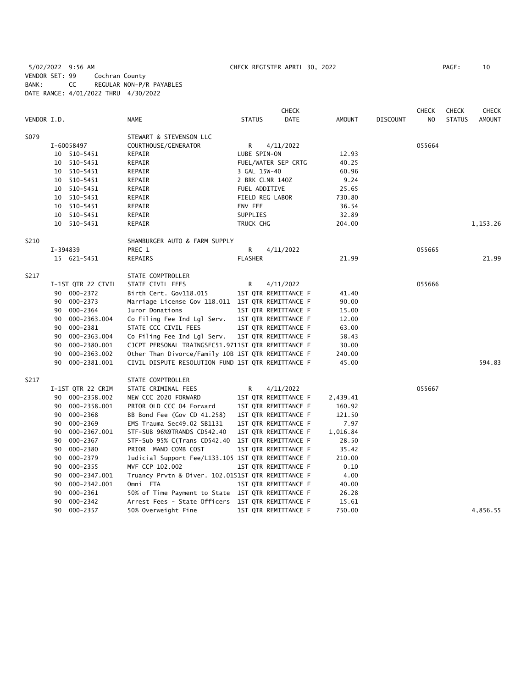5/02/2022 9:56 AM CHECK REGISTER APRIL 30, 2022 PAGE: 10 VENDOR SET: 99 Cochran County BANK: CC REGULAR NON-P/R PAYABLES DATE RANGE: 4/01/2022 THRU 4/30/2022

|             |    |                    |                                                    |                | <b>CHECK</b>         |          |                 | <b>CHECK</b> | <b>CHECK</b>  | <b>CHECK</b>  |
|-------------|----|--------------------|----------------------------------------------------|----------------|----------------------|----------|-----------------|--------------|---------------|---------------|
| VENDOR I.D. |    |                    | NAME                                               | <b>STATUS</b>  | <b>DATE</b>          | AMOUNT   | <b>DISCOUNT</b> | NO.          | <b>STATUS</b> | <b>AMOUNT</b> |
| S079        |    |                    | STEWART & STEVENSON LLC                            |                |                      |          |                 |              |               |               |
|             |    | I-60058497         | COURTHOUSE/GENERATOR                               | R              | 4/11/2022            |          |                 | 055664       |               |               |
|             |    | 10 510-5451        | REPAIR                                             | LUBE SPIN-ON   |                      | 12.93    |                 |              |               |               |
|             |    | 10 510-5451        | REPAIR                                             |                | FUEL/WATER SEP CRTG  | 40.25    |                 |              |               |               |
|             | 10 | 510-5451           | REPAIR                                             | 3 GAL 15W-40   |                      | 60.96    |                 |              |               |               |
|             | 10 | 510-5451           | REPAIR                                             |                | 2 BRK CLNR 140Z      | 9.24     |                 |              |               |               |
|             |    | 10 510-5451        | REPAIR                                             |                | FUEL ADDITIVE        | 25.65    |                 |              |               |               |
|             | 10 | 510-5451           | REPAIR                                             |                | FIELD REG LABOR      | 730.80   |                 |              |               |               |
|             |    | 10 510-5451        | REPAIR                                             | ENV FEE        |                      | 36.54    |                 |              |               |               |
|             | 10 | 510-5451           | REPAIR                                             | SUPPLIES       |                      | 32.89    |                 |              |               |               |
|             |    | 10 510-5451        | REPAIR                                             | TRUCK CHG      |                      | 204.00   |                 |              |               | 1,153.26      |
| S210        |    |                    | SHAMBURGER AUTO & FARM SUPPLY                      |                |                      |          |                 |              |               |               |
|             |    | I-394839           | PREC 1                                             | R              | 4/11/2022            |          |                 | 055665       |               |               |
|             |    | 15 621-5451        | REPAIRS                                            | <b>FLASHER</b> |                      | 21.99    |                 |              |               | 21.99         |
| S217        |    |                    | STATE COMPTROLLER                                  |                |                      |          |                 |              |               |               |
|             |    | I-1ST QTR 22 CIVIL | STATE CIVIL FEES                                   | R              | 4/11/2022            |          |                 | 055666       |               |               |
|             |    | 90 000-2372        | Birth Cert. Gov118.015                             |                | 1ST QTR REMITTANCE F | 41.40    |                 |              |               |               |
|             | 90 | 000-2373           | Marriage License Gov 118.011 1ST QTR REMITTANCE F  |                |                      | 90.00    |                 |              |               |               |
|             | 90 | 000-2364           | Juror Donations                                    |                | 1ST QTR REMITTANCE F | 15.00    |                 |              |               |               |
|             | 90 | 000-2363.004       | Co Filing Fee Ind Lgl Serv.                        |                | 1ST QTR REMITTANCE F | 12.00    |                 |              |               |               |
|             | 90 | 000-2381           | STATE CCC CIVIL FEES                               |                | 1ST QTR REMITTANCE F | 63.00    |                 |              |               |               |
|             | 90 | 000-2363.004       | Co Filing Fee Ind Lgl Serv.                        |                | 1ST QTR REMITTANCE F | 58.43    |                 |              |               |               |
|             | 90 | 000-2380.001       | CJCPT PERSONAL TRAINGSEC51.9711ST QTR REMITTANCE F |                |                      | 30.00    |                 |              |               |               |
|             | 90 | 000-2363.002       | Other Than Divorce/Family 10B 1ST QTR REMITTANCE F |                |                      | 240.00   |                 |              |               |               |
|             | 90 | 000-2381.001       | CIVIL DISPUTE RESOLUTION FUND 1ST QTR REMITTANCE F |                |                      | 45.00    |                 |              |               | 594.83        |
| S217        |    |                    | STATE COMPTROLLER                                  |                |                      |          |                 |              |               |               |
|             |    | I-1ST QTR 22 CRIM  | STATE CRIMINAL FEES                                | R              | 4/11/2022            |          |                 | 055667       |               |               |
|             |    | 90 000-2358.002    | NEW CCC 2020 FORWARD                               |                | 1ST QTR REMITTANCE F | 2,439.41 |                 |              |               |               |
|             | 90 | 000-2358.001       | PRIOR OLD CCC 04 Forward                           |                | 1ST QTR REMITTANCE F | 160.92   |                 |              |               |               |
|             | 90 | 000-2368           | BB Bond Fee (Gov CD 41.258)                        |                | 1ST QTR REMITTANCE F | 121.50   |                 |              |               |               |
|             | 90 | 000-2369           | EMS Trauma Sec49.02 SB1131                         |                | 1ST QTR REMITTANCE F | 7.97     |                 |              |               |               |
|             | 90 | 000-2367.001       | STF-SUB 96%9TRANDS CD542.40                        |                | 1ST QTR REMITTANCE F | 1,016.84 |                 |              |               |               |
|             | 90 | 000-2367           | STF-Sub 95% C(Trans CD542.40                       |                | 1ST QTR REMITTANCE F | 28.50    |                 |              |               |               |
|             | 90 | 000-2380           | PRIOR MAND COMB COST                               |                | 1ST QTR REMITTANCE F | 35.42    |                 |              |               |               |
|             | 90 | 000-2379           | Judicial Support Fee/L133.105 1ST QTR REMITTANCE F |                |                      | 210.00   |                 |              |               |               |
|             | 90 | 000-2355           | MVF CCP 102.002                                    |                | 1ST QTR REMITTANCE F | 0.10     |                 |              |               |               |
|             | 90 | 000-2347.001       | Truancy Prvtn & Diver. 102.0151ST QTR REMITTANCE F |                |                      | 4.00     |                 |              |               |               |
|             | 90 | 000-2342.001       | Omni FTA                                           |                | 1ST QTR REMITTANCE F | 40.00    |                 |              |               |               |
|             | 90 | 000-2361           | 50% of Time Payment to State 1ST QTR REMITTANCE F  |                |                      | 26.28    |                 |              |               |               |
|             | 90 | $000 - 2342$       | Arrest Fees - State Officers 1ST QTR REMITTANCE F  |                |                      | 15.61    |                 |              |               |               |
|             | 90 | 000-2357           | 50% Overweight Fine                                |                | 1ST QTR REMITTANCE F | 750.00   |                 |              |               | 4,856.55      |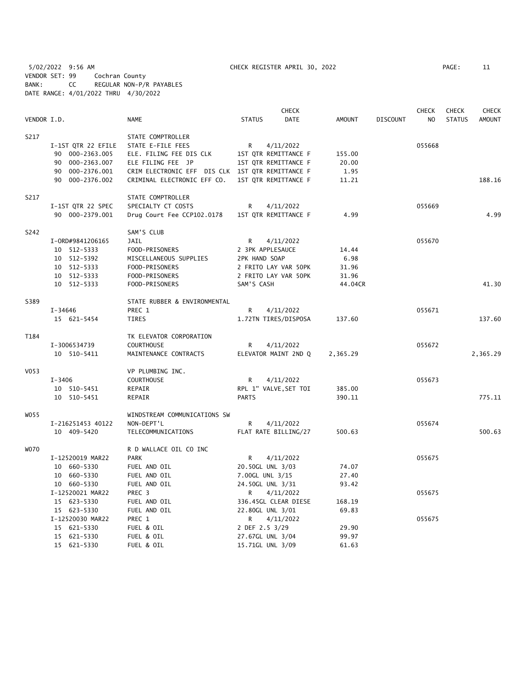5/02/2022 9:56 AM CHECK REGISTER APRIL 30, 2022 PAGE: 11 VENDOR SET: 99 Cochran County BANK: CC REGULAR NON-P/R PAYABLES DATE RANGE: 4/01/2022 THRU 4/30/2022

|             |                    |                                                  |                  | <b>CHECK</b>          |               |                 | <b>CHECK</b> | <b>CHECK</b>  | <b>CHECK</b>  |
|-------------|--------------------|--------------------------------------------------|------------------|-----------------------|---------------|-----------------|--------------|---------------|---------------|
| VENDOR I.D. |                    | <b>NAME</b>                                      | <b>STATUS</b>    | <b>DATE</b>           | <b>AMOUNT</b> | <b>DISCOUNT</b> | NO           | <b>STATUS</b> | <b>AMOUNT</b> |
| S217        |                    | STATE COMPTROLLER                                |                  |                       |               |                 |              |               |               |
|             | I-1ST QTR 22 EFILE | STATE E-FILE FEES                                | R                | 4/11/2022             |               |                 | 055668       |               |               |
|             | 90 000-2363.005    | ELE. FILING FEE DIS CLK                          |                  | 1ST QTR REMITTANCE F  | 155.00        |                 |              |               |               |
|             | 90 000-2363.007    | ELE FILING FEE JP                                |                  | 1ST QTR REMITTANCE F  | 20.00         |                 |              |               |               |
|             | 90 000-2376.001    | CRIM ELECTRONIC EFF DIS CLK 1ST QTR REMITTANCE F |                  |                       | 1.95          |                 |              |               |               |
|             | 90 000-2376.002    | CRIMINAL ELECTRONIC EFF CO.                      |                  | 1ST QTR REMITTANCE F  | 11.21         |                 |              |               | 188.16        |
| S217        |                    | STATE COMPTROLLER                                |                  |                       |               |                 |              |               |               |
|             | I-1ST QTR 22 SPEC  | SPECIALTY CT COSTS                               | R                | 4/11/2022             |               |                 | 055669       |               |               |
|             | 90 000-2379.001    | Drug Court Fee CCP102.0178                       |                  | 1ST QTR REMITTANCE F  | 4.99          |                 |              |               | 4.99          |
| S242        |                    | SAM'S CLUB                                       |                  |                       |               |                 |              |               |               |
|             | I-0RD#9841206165   | <b>JAIL</b>                                      | R                | 4/11/2022             |               |                 | 055670       |               |               |
|             | 10 512-5333        | FOOD-PRISONERS                                   | 2 3PK APPLESAUCE |                       | 14.44         |                 |              |               |               |
|             | 10 512-5392        | MISCELLANEOUS SUPPLIES                           | 2PK HAND SOAP    |                       | 6.98          |                 |              |               |               |
|             | 10 512-5333        | FOOD-PRISONERS                                   |                  | 2 FRITO LAY VAR 50PK  | 31.96         |                 |              |               |               |
|             | 10 512-5333        | FOOD-PRISONERS                                   |                  | 2 FRITO LAY VAR 50PK  | 31.96         |                 |              |               |               |
|             | 10 512-5333        | FOOD-PRISONERS                                   | SAM'S CASH       |                       | 44.04CR       |                 |              |               | 41.30         |
| S389        |                    | STATE RUBBER & ENVIRONMENTAL                     |                  |                       |               |                 |              |               |               |
|             | I-34646            | PREC 1                                           | R                | 4/11/2022             |               |                 | 055671       |               |               |
|             | 15 621-5454        | <b>TIRES</b>                                     |                  | 1.72TN TIRES/DISPOSA  | 137.60        |                 |              |               | 137.60        |
| T184        |                    | TK ELEVATOR CORPORATION                          |                  |                       |               |                 |              |               |               |
|             | I-3006534739       | <b>COURTHOUSE</b>                                | R                | 4/11/2022             |               |                 | 055672       |               |               |
|             | 10 510-5411        | MAINTENANCE CONTRACTS                            |                  | ELEVATOR MAINT 2ND Q  | 2,365.29      |                 |              |               | 2,365.29      |
| V053        |                    | VP PLUMBING INC.                                 |                  |                       |               |                 |              |               |               |
|             | I-3406             | <b>COURTHOUSE</b>                                | R                | 4/11/2022             |               |                 | 055673       |               |               |
|             | 10 510-5451        | REPAIR                                           |                  | RPL 1" VALVE, SET TOI | 385.00        |                 |              |               |               |
|             | 10 510-5451        | REPAIR                                           | <b>PARTS</b>     |                       | 390.11        |                 |              |               | 775.11        |
| W055        |                    | WINDSTREAM COMMUNICATIONS SW                     |                  |                       |               |                 |              |               |               |
|             | I-216251453 40122  | NON-DEPT'L                                       | R                | 4/11/2022             |               |                 | 055674       |               |               |
|             | 10 409-5420        | TELECOMMUNICATIONS                               |                  | FLAT RATE BILLING/27  | 500.63        |                 |              |               | 500.63        |
| <b>WO70</b> |                    | R D WALLACE OIL CO INC                           |                  |                       |               |                 |              |               |               |
|             | I-12520019 MAR22   | <b>PARK</b>                                      | R                | 4/11/2022             |               |                 | 055675       |               |               |
|             | 10 660-5330        | FUEL AND OIL                                     | 20.50GL UNL 3/03 |                       | 74.07         |                 |              |               |               |
|             | 10 660-5330        | FUEL AND OIL                                     | 7.00GL UNL 3/15  |                       | 27.40         |                 |              |               |               |
|             | 10 660-5330        | FUEL AND OIL                                     | 24.50GL UNL 3/31 |                       | 93.42         |                 |              |               |               |
|             | I-12520021 MAR22   | PREC 3                                           | R                | 4/11/2022             |               |                 | 055675       |               |               |
|             | 15 623-5330        | FUEL AND OIL                                     |                  | 336.45GL CLEAR DIESE  | 168.19        |                 |              |               |               |
|             | 15 623-5330        | FUEL AND OIL                                     | 22.80GL UNL 3/01 |                       | 69.83         |                 |              |               |               |
|             | I-12520030 MAR22   | PREC 1                                           | R                | 4/11/2022             |               |                 | 055675       |               |               |
|             | 15 621-5330        | FUEL & OIL                                       | 2 DEF 2.5 3/29   |                       | 29.90         |                 |              |               |               |
|             | 15 621-5330        | FUEL & OIL                                       | 27.67GL UNL 3/04 |                       | 99.97         |                 |              |               |               |
|             | 15 621-5330        | FUEL & OIL                                       | 15.71GL UNL 3/09 |                       | 61.63         |                 |              |               |               |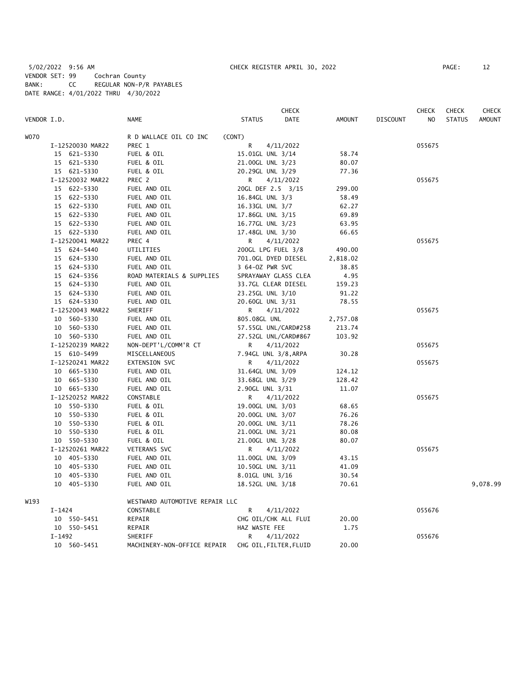5/02/2022 9:56 AM CHECK REGISTER APRIL 30, 2022 PAGE: 12 VENDOR SET: 99 Cochran County BANK: CC REGULAR NON-P/R PAYABLES DATE RANGE: 4/01/2022 THRU 4/30/2022

|             |                  |                                | <b>CHECK</b>           |               |                 | <b>CHECK</b> | <b>CHECK</b>  | <b>CHECK</b>  |
|-------------|------------------|--------------------------------|------------------------|---------------|-----------------|--------------|---------------|---------------|
| VENDOR I.D. |                  | <b>NAME</b>                    | DATE<br><b>STATUS</b>  | <b>AMOUNT</b> | <b>DISCOUNT</b> | NO           | <b>STATUS</b> | <b>AMOUNT</b> |
| <b>WO70</b> |                  | R D WALLACE OIL CO INC         | (CONT)                 |               |                 |              |               |               |
|             | I-12520030 MAR22 | PREC 1                         | R<br>4/11/2022         |               |                 | 055675       |               |               |
|             | 15 621-5330      | FUEL & OIL                     | 15.01GL UNL 3/14       | 58.74         |                 |              |               |               |
|             | 15 621-5330      | FUEL & OIL                     | 21.00GL UNL 3/23       | 80.07         |                 |              |               |               |
|             | 15 621-5330      | FUEL & OIL                     | 20.29GL UNL 3/29       | 77.36         |                 |              |               |               |
|             | I-12520032 MAR22 | PREC 2                         | 4/11/2022<br>R         |               |                 | 055675       |               |               |
|             | 15 622-5330      | FUEL AND OIL                   | 20GL DEF 2.5 3/15      | 299.00        |                 |              |               |               |
|             | 15 622-5330      | FUEL AND OIL                   | 16.84GL UNL 3/3        | 58.49         |                 |              |               |               |
|             | 15 622-5330      | FUEL AND OIL                   | 16.33GL UNL 3/7        | 62.27         |                 |              |               |               |
|             | 15 622-5330      | FUEL AND OIL                   | 17.86GL UNL 3/15       | 69.89         |                 |              |               |               |
|             | 15 622-5330      | FUEL AND OIL                   | 16.77GL UNL 3/23       | 63.95         |                 |              |               |               |
|             | 15 622-5330      | FUEL AND OIL                   | 17.48GL UNL 3/30       | 66.65         |                 |              |               |               |
|             | I-12520041 MAR22 | PREC 4                         | R<br>4/11/2022         |               |                 | 055675       |               |               |
|             | 15 624-5440      | UTILITIES                      | 200GL LPG FUEL 3/8     | 490.00        |                 |              |               |               |
|             | 15 624-5330      | FUEL AND OIL                   | 701.0GL DYED DIESEL    | 2,818.02      |                 |              |               |               |
|             | 15 624-5330      | FUEL AND OIL                   | 3 64-0Z PWR SVC        | 38.85         |                 |              |               |               |
|             | 15 624-5356      | ROAD MATERIALS & SUPPLIES      | SPRAYAWAY GLASS CLEA   | 4.95          |                 |              |               |               |
|             | 15 624-5330      | FUEL AND OIL                   | 33.7GL CLEAR DIESEL    | 159.23        |                 |              |               |               |
|             | 15 624-5330      | FUEL AND OIL                   | 23.25GL UNL 3/10       | 91.22         |                 |              |               |               |
|             | 15 624-5330      | FUEL AND OIL                   | 20.60GL UNL 3/31       | 78.55         |                 |              |               |               |
|             | I-12520043 MAR22 | SHERIFF                        | R<br>4/11/2022         |               |                 | 055675       |               |               |
|             | 10 560-5330      | FUEL AND OIL                   | 805.08GL UNL           | 2,757.08      |                 |              |               |               |
|             | 10 560-5330      | FUEL AND OIL                   | 57.55GL UNL/CARD#258   | 213.74        |                 |              |               |               |
|             | 10 560-5330      | FUEL AND OIL                   | 27.52GL UNL/CARD#867   | 103.92        |                 |              |               |               |
|             | I-12520239 MAR22 | NON-DEPT'L/COMM'R CT           | R<br>4/11/2022         |               |                 | 055675       |               |               |
|             | 15 610-5499      | MISCELLANEOUS                  | 7.94GL UNL 3/8, ARPA   | 30.28         |                 |              |               |               |
|             | I-12520241 MAR22 | EXTENSION SVC                  | R<br>4/11/2022         |               |                 | 055675       |               |               |
|             | 10 665-5330      | FUEL AND OIL                   | 31.64GL UNL 3/09       | 124.12        |                 |              |               |               |
|             | 10 665-5330      | FUEL AND OIL                   | 33.68GL UNL 3/29       | 128.42        |                 |              |               |               |
|             | 10 665-5330      | FUEL AND OIL                   | 2.90GL UNL 3/31        | 11.07         |                 |              |               |               |
|             | I-12520252 MAR22 | CONSTABLE                      | R<br>4/11/2022         |               |                 | 055675       |               |               |
|             | 10 550-5330      | FUEL & OIL                     | 19.00GL UNL 3/03       | 68.65         |                 |              |               |               |
|             | 10 550-5330      | FUEL & OIL                     | 20.00GL UNL 3/07       | 76.26         |                 |              |               |               |
|             | 10 550-5330      | FUEL & OIL                     | 20.00GL UNL 3/11       | 78.26         |                 |              |               |               |
|             | 10 550-5330      | FUEL & OIL                     | 21.00GL UNL 3/21       | 80.08         |                 |              |               |               |
|             | 10 550-5330      | FUEL & OIL                     | 21.00GL UNL 3/28       | 80.07         |                 |              |               |               |
|             | I-12520261 MAR22 | VETERANS SVC                   | 4/11/2022<br>R         |               |                 | 055675       |               |               |
|             | 10 405-5330      | FUEL AND OIL                   | 11.00GL UNL 3/09       | 43.15         |                 |              |               |               |
|             | 10 405-5330      | FUEL AND OIL                   | 10.50GL UNL 3/11       | 41.09         |                 |              |               |               |
|             | 10 405-5330      | FUEL AND OIL                   | 8.01GL UNL 3/16        | 30.54         |                 |              |               |               |
|             | 10 405-5330      | FUEL AND OIL                   | 18.52GL UNL 3/18       | 70.61         |                 |              |               | 9,078.99      |
| W193        |                  | WESTWARD AUTOMOTIVE REPAIR LLC |                        |               |                 |              |               |               |
|             | $I-1424$         | CONSTABLE                      | R<br>4/11/2022         |               |                 | 055676       |               |               |
|             | 10 550-5451      | REPAIR                         | CHG OIL/CHK ALL FLUI   | 20.00         |                 |              |               |               |
|             | 10 550-5451      | REPAIR                         | HAZ WASTE FEE          | 1.75          |                 |              |               |               |
|             | $I-1492$         | SHERIFF                        | R<br>4/11/2022         |               |                 | 055676       |               |               |
|             | 10 560-5451      | MACHINERY-NON-OFFICE REPAIR    | CHG OIL, FILTER, FLUID | 20.00         |                 |              |               |               |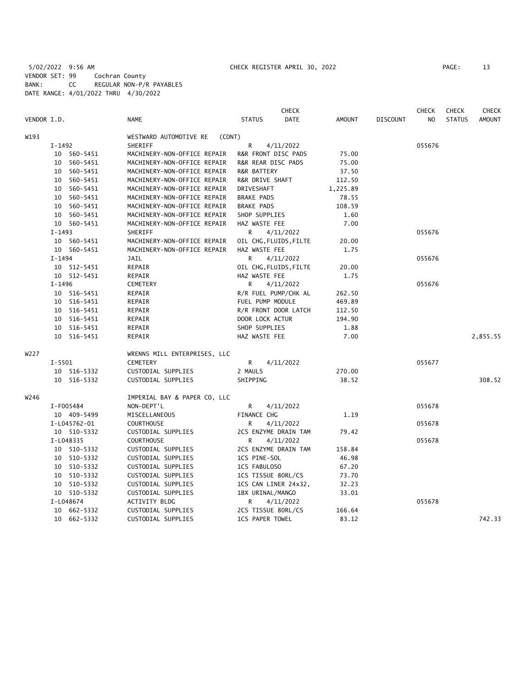5/02/2022 9:56 AM CHECK REGISTER APRIL 30, 2022 PAGE: 13 VENDOR SET: 99 Cochran County BANK: CC REGULAR NON-P/R PAYABLES DATE RANGE: 4/01/2022 THRU 4/30/2022

|             |          |              |                                  |                        | <b>CHECK</b>           |               |                 | <b>CHECK</b> | <b>CHECK</b>  | <b>CHECK</b>  |
|-------------|----------|--------------|----------------------------------|------------------------|------------------------|---------------|-----------------|--------------|---------------|---------------|
| VENDOR I.D. |          |              | <b>NAME</b>                      | <b>STATUS</b>          | <b>DATE</b>            | <b>AMOUNT</b> | <b>DISCOUNT</b> | NO           | <b>STATUS</b> | <b>AMOUNT</b> |
| W193        |          |              | WESTWARD AUTOMOTIVE RE<br>(CONT) |                        |                        |               |                 |              |               |               |
|             | $I-1492$ |              | SHERIFF                          | R                      | 4/11/2022              |               |                 | 055676       |               |               |
|             |          | 10 560-5451  | MACHINERY-NON-OFFICE REPAIR      | R&R FRONT DISC PADS    |                        | 75.00         |                 |              |               |               |
|             |          | 10 560-5451  | MACHINERY-NON-OFFICE REPAIR      | R&R REAR DISC PADS     |                        | 75.00         |                 |              |               |               |
|             |          | 10 560-5451  | MACHINERY-NON-OFFICE REPAIR      | R&R BATTERY            |                        | 37.50         |                 |              |               |               |
|             | 10       | 560-5451     | MACHINERY-NON-OFFICE REPAIR      | R&R DRIVE SHAFT        |                        | 112.50        |                 |              |               |               |
|             | 10       | 560-5451     | MACHINERY-NON-OFFICE REPAIR      | DRIVESHAFT             |                        | 1,225.89      |                 |              |               |               |
|             |          | 10 560-5451  | MACHINERY-NON-OFFICE REPAIR      | <b>BRAKE PADS</b>      |                        | 78.55         |                 |              |               |               |
|             |          | 10 560-5451  | MACHINERY-NON-OFFICE REPAIR      | <b>BRAKE PADS</b>      |                        | 108.59        |                 |              |               |               |
|             |          | 10 560-5451  | MACHINERY-NON-OFFICE REPAIR      | SHOP SUPPLIES          |                        | 1.60          |                 |              |               |               |
|             |          | 10 560-5451  | MACHINERY-NON-OFFICE REPAIR      | HAZ WASTE FEE          |                        | 7.00          |                 |              |               |               |
|             | $I-1493$ |              | SHERIFF                          | R.                     | 4/11/2022              |               |                 | 055676       |               |               |
|             |          | 10 560-5451  | MACHINERY-NON-OFFICE REPAIR      |                        | OIL CHG, FLUIDS, FILTE | 20.00         |                 |              |               |               |
|             |          | 10 560-5451  | MACHINERY-NON-OFFICE REPAIR      | HAZ WASTE FEE          |                        | 1.75          |                 |              |               |               |
|             | $I-1494$ |              | <b>JAIL</b>                      | R.                     | 4/11/2022              |               |                 | 055676       |               |               |
|             |          | 10 512-5451  | REPAIR                           |                        | OIL CHG, FLUIDS, FILTE | 20.00         |                 |              |               |               |
|             |          | 10 512-5451  | REPAIR                           | HAZ WASTE FEE          |                        | 1.75          |                 |              |               |               |
|             | I-1496   |              | CEMETERY                         | R                      | 4/11/2022              |               |                 | 055676       |               |               |
|             |          | 10 516-5451  | REPAIR                           |                        | R/R FUEL PUMP/CHK AL   | 262.50        |                 |              |               |               |
|             |          | 10 516-5451  | REPAIR                           | FUEL PUMP MODULE       |                        | 469.89        |                 |              |               |               |
|             |          | 10 516-5451  | REPAIR                           |                        | R/R FRONT DOOR LATCH   | 112.50        |                 |              |               |               |
|             |          | 10 516-5451  | REPAIR                           | DOOR LOCK ACTUR        |                        | 194.90        |                 |              |               |               |
|             |          | 10 516-5451  | REPAIR                           | SHOP SUPPLIES          |                        | 1.88          |                 |              |               |               |
|             |          | 10 516-5451  | REPAIR                           | HAZ WASTE FEE          |                        | 7.00          |                 |              |               | 2,855.55      |
| W227        |          |              | WRENNS MILL ENTERPRISES, LLC     |                        |                        |               |                 |              |               |               |
|             | I-5501   |              | CEMETERY                         | R                      | 4/11/2022              |               |                 | 055677       |               |               |
|             |          | 10 516-5332  | CUSTODIAL SUPPLIES               | 2 MAULS                |                        | 270.00        |                 |              |               |               |
|             |          | 10 516-5332  | CUSTODIAL SUPPLIES               | SHIPPING               |                        | 38.52         |                 |              |               | 308.52        |
| W246        |          |              | IMPERIAL BAY & PAPER CO, LLC     |                        |                        |               |                 |              |               |               |
|             |          | I-F005484    | NON-DEPT'L                       | R                      | 4/11/2022              |               |                 | 055678       |               |               |
|             |          | 10 409-5499  | MISCELLANEOUS                    | FINANCE CHG            |                        | 1.19          |                 |              |               |               |
|             |          | I-L045762-01 | <b>COURTHOUSE</b>                | R                      | 4/11/2022              |               |                 | 055678       |               |               |
|             |          | 10 510-5332  | CUSTODIAL SUPPLIES               |                        | 2CS ENZYME DRAIN TAM   | 79.42         |                 |              |               |               |
|             |          | I-L048335    | <b>COURTHOUSE</b>                | R                      | 4/11/2022              |               |                 | 055678       |               |               |
|             |          | 10 510-5332  | CUSTODIAL SUPPLIES               |                        | 2CS ENZYME DRAIN TAM   | 158.84        |                 |              |               |               |
|             |          | 10 510-5332  | CUSTODIAL SUPPLIES               | 1CS PINE-SOL           |                        | 46.98         |                 |              |               |               |
|             |          | 10 510-5332  | CUSTODIAL SUPPLIES               | 1CS FABULOSO           |                        | 67.20         |                 |              |               |               |
|             |          | 10 510-5332  | CUSTODIAL SUPPLIES               | 1CS TISSUE 80RL/CS     |                        | 73.70         |                 |              |               |               |
|             | 10       | 510-5332     | CUSTODIAL SUPPLIES               |                        | 1CS CAN LINER 24x32,   | 32.23         |                 |              |               |               |
|             |          | 10 510-5332  | CUSTODIAL SUPPLIES               | 1BX URINAL/MANGO       |                        | 33.01         |                 |              |               |               |
|             |          | I-L048674    | <b>ACTIVITY BLDG</b>             | R.                     | 4/11/2022              |               |                 | 055678       |               |               |
|             |          | 10 662-5332  | CUSTODIAL SUPPLIES               | 2CS TISSUE 80RL/CS     |                        | 166.64        |                 |              |               |               |
|             |          | 10 662-5332  | CUSTODIAL SUPPLIES               | <b>1CS PAPER TOWEL</b> |                        | 83.12         |                 |              |               | 742.33        |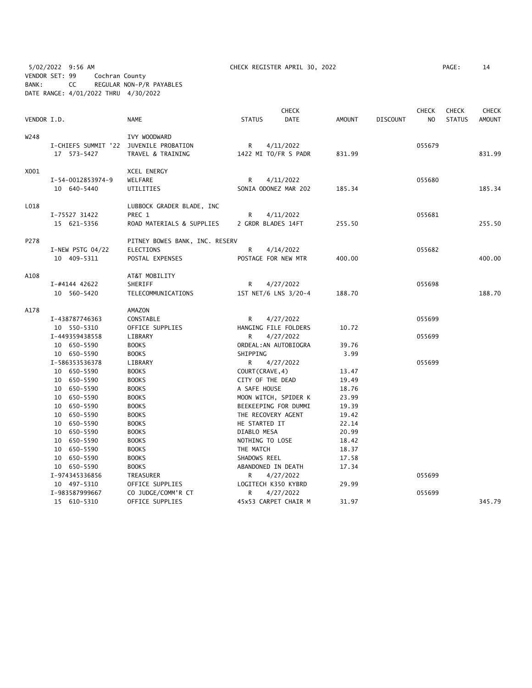5/02/2022 9:56 AM CHECK REGISTER APRIL 30, 2022 PAGE: 14 VENDOR SET: 99 Cochran County BANK: CC REGULAR NON-P/R PAYABLES DATE RANGE: 4/01/2022 THRU 4/30/2022

|             |                                        |                                |                    | <b>CHECK</b>          |        |                 | <b>CHECK</b> | <b>CHECK</b>  | <b>CHECK</b>  |
|-------------|----------------------------------------|--------------------------------|--------------------|-----------------------|--------|-----------------|--------------|---------------|---------------|
| VENDOR I.D. |                                        | <b>NAME</b>                    | <b>STATUS</b>      | <b>DATE</b>           | AMOUNT | <b>DISCOUNT</b> | NO           | <b>STATUS</b> | <b>AMOUNT</b> |
| W248        |                                        | IVY WOODWARD                   |                    |                       |        |                 |              |               |               |
|             | I-CHIEFS SUMMIT '22 JUVENILE PROBATION |                                | R                  | 4/11/2022             |        |                 | 055679       |               |               |
|             | 17 573-5427                            | TRAVEL & TRAINING              |                    | 1422 MI TO/FR S PADR  | 831.99 |                 |              |               | 831.99        |
| X001        |                                        | XCEL ENERGY                    |                    |                       |        |                 |              |               |               |
|             | I-54-0012853974-9                      | WELFARE                        | R                  | 4/11/2022             |        |                 | 055680       |               |               |
|             | 10 640-5440                            | UTILITIES                      |                    | SONIA ODONEZ MAR 202  | 185.34 |                 |              |               | 185.34        |
| L018        |                                        | LUBBOCK GRADER BLADE, INC      |                    |                       |        |                 |              |               |               |
|             | I-75527 31422                          | PREC 1                         | R                  | 4/11/2022             |        |                 | 055681       |               |               |
|             | 15 621-5356                            | ROAD MATERIALS & SUPPLIES      | 2 GRDR BLADES 14FT |                       | 255.50 |                 |              |               | 255.50        |
| P278        |                                        | PITNEY BOWES BANK, INC. RESERV |                    |                       |        |                 |              |               |               |
|             | $I-NEW$ PSTG 04/22                     | <b>ELECTIONS</b>               | R                  | 4/14/2022             |        |                 | 055682       |               |               |
|             | 10 409-5311                            | POSTAL EXPENSES                |                    | POSTAGE FOR NEW MTR   | 400.00 |                 |              |               | 400.00        |
| A108        |                                        | AT&T MOBILITY                  |                    |                       |        |                 |              |               |               |
|             | I-#4144 42622                          | SHERIFF                        | R                  | 4/27/2022             |        |                 | 055698       |               |               |
|             | 10 560-5420                            | TELECOMMUNICATIONS             |                    | 1ST NET/6 LNS 3/20-4  | 188.70 |                 |              |               | 188.70        |
| A178        |                                        | AMAZON                         |                    |                       |        |                 |              |               |               |
|             | I-438787746363                         | CONSTABLE                      | R                  | 4/27/2022             |        |                 | 055699       |               |               |
|             | 10 550-5310                            | OFFICE SUPPLIES                |                    | HANGING FILE FOLDERS  | 10.72  |                 |              |               |               |
|             | I-449359438558                         | LIBRARY                        | R                  | 4/27/2022             |        |                 | 055699       |               |               |
|             | 10 650-5590                            | <b>BOOKS</b>                   |                    | ORDEAL: AN AUTOBIOGRA | 39.76  |                 |              |               |               |
|             | 10 650-5590                            | <b>BOOKS</b>                   | SHIPPING           |                       | 3.99   |                 |              |               |               |
|             | I-586353536378                         | LIBRARY                        | R                  | 4/27/2022             |        |                 | 055699       |               |               |
|             | 10 650-5590                            | <b>BOOKS</b>                   | COURT (CRAVE, 4)   |                       | 13.47  |                 |              |               |               |
|             | 10 650-5590                            | <b>BOOKS</b>                   | CITY OF THE DEAD   |                       | 19.49  |                 |              |               |               |
|             | 10 650-5590                            | <b>BOOKS</b>                   | A SAFE HOUSE       |                       | 18.76  |                 |              |               |               |
|             | 10 650-5590                            | <b>BOOKS</b>                   |                    | MOON WITCH, SPIDER K  | 23.99  |                 |              |               |               |
|             | 10 650-5590                            | <b>BOOKS</b>                   |                    | BEEKEEPING FOR DUMMI  | 19.39  |                 |              |               |               |
|             | 10 650-5590                            | <b>BOOKS</b>                   | THE RECOVERY AGENT |                       | 19.42  |                 |              |               |               |
|             | 10 650-5590                            | <b>BOOKS</b>                   | HE STARTED IT      |                       | 22.14  |                 |              |               |               |
|             | 10 650-5590                            | <b>BOOKS</b>                   | DIABLO MESA        |                       | 20.99  |                 |              |               |               |
|             | 10 650-5590                            | <b>BOOKS</b>                   | NOTHING TO LOSE    |                       | 18.42  |                 |              |               |               |
|             | 10 650-5590                            | <b>BOOKS</b>                   | THE MATCH          |                       | 18.37  |                 |              |               |               |
|             | 10 650-5590                            | <b>BOOKS</b>                   | SHADOWS REEL       |                       | 17.58  |                 |              |               |               |
|             | 10 650-5590                            | <b>BOOKS</b>                   | ABANDONED IN DEATH |                       | 17.34  |                 |              |               |               |
|             | I-974345336856                         | TREASURER                      | R                  | 4/27/2022             |        |                 | 055699       |               |               |
|             | 10 497-5310                            | OFFICE SUPPLIES                |                    | LOGITECH K350 KYBRD   | 29.99  |                 |              |               |               |
|             | I-983587999667                         | CO JUDGE/COMM'R CT             | R                  | 4/27/2022             |        |                 | 055699       |               |               |
|             | 15 610-5310                            | OFFICE SUPPLIES                |                    | 45x53 CARPET CHAIR M  | 31.97  |                 |              |               | 345.79        |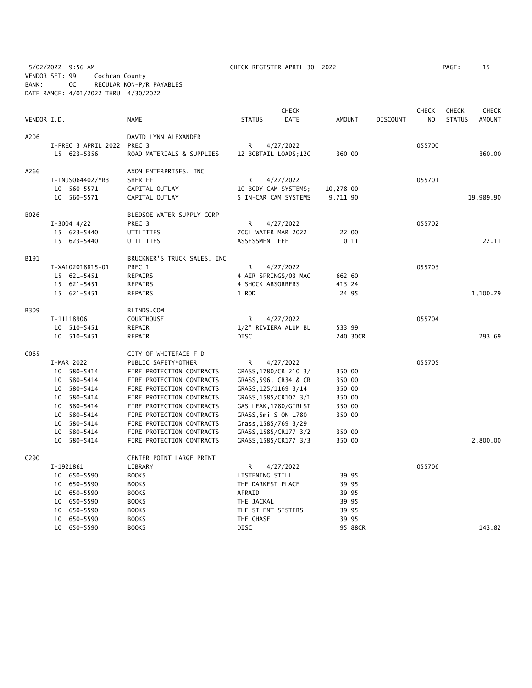5/02/2022 9:56 AM CHECK REGISTER APRIL 30, 2022 PAGE: 15 VENDOR SET: 99 Cochran County BANK: CC REGULAR NON-P/R PAYABLES DATE RANGE: 4/01/2022 THRU 4/30/2022

|             |    |                     |                             |                    | <b>CHECK</b>          |           |                 | <b>CHECK</b> | <b>CHECK</b>  | <b>CHECK</b>  |
|-------------|----|---------------------|-----------------------------|--------------------|-----------------------|-----------|-----------------|--------------|---------------|---------------|
| VENDOR I.D. |    |                     | NAME                        | <b>STATUS</b>      | <b>DATE</b>           | AMOUNT    | <b>DISCOUNT</b> | NO.          | <b>STATUS</b> | <b>AMOUNT</b> |
| A206        |    |                     | DAVID LYNN ALEXANDER        |                    |                       |           |                 |              |               |               |
|             |    | I-PREC 3 APRIL 2022 | PREC 3                      | R                  | 4/27/2022             |           |                 | 055700       |               |               |
|             |    | 15 623-5356         | ROAD MATERIALS & SUPPLIES   |                    | 12 BOBTAIL LOADS;12C  | 360.00    |                 |              |               | 360.00        |
| A266        |    |                     | AXON ENTERPRISES, INC       |                    |                       |           |                 |              |               |               |
|             |    | I-INUS064402/YR3    | SHERIFF                     | R                  | 4/27/2022             |           |                 | 055701       |               |               |
|             |    | 10 560-5571         | CAPITAL OUTLAY              |                    | 10 BODY CAM SYSTEMS;  | 10,278.00 |                 |              |               |               |
|             |    | 10 560-5571         | CAPITAL OUTLAY              |                    | 5 IN-CAR CAM SYSTEMS  | 9,711.90  |                 |              |               | 19,989.90     |
| B026        |    |                     | BLEDSOE WATER SUPPLY CORP   |                    |                       |           |                 |              |               |               |
|             |    | $I-3004$ 4/22       | PREC 3                      | R                  | 4/27/2022             |           |                 | 055702       |               |               |
|             |    | 15 623-5440         | UTILITIES                   |                    | 70GL WATER MAR 2022   | 22.00     |                 |              |               |               |
|             |    | 15 623-5440         | UTILITIES                   | ASSESSMENT FEE     |                       | 0.11      |                 |              |               | 22.11         |
| B191        |    |                     | BRUCKNER'S TRUCK SALES, INC |                    |                       |           |                 |              |               |               |
|             |    | I-XA102018815-01    | PREC 1                      | R                  | 4/27/2022             |           |                 | 055703       |               |               |
|             |    | 15 621-5451         | REPAIRS                     |                    | 4 AIR SPRINGS/03 MAC  | 662.60    |                 |              |               |               |
|             |    | 15 621-5451         | REPAIRS                     | 4 SHOCK ABSORBERS  |                       | 413.24    |                 |              |               |               |
|             |    | 15 621-5451         | REPAIRS                     | 1 ROD              |                       | 24.95     |                 |              |               | 1,100.79      |
| B309        |    |                     | BLINDS.COM                  |                    |                       |           |                 |              |               |               |
|             |    | I-11118906          | <b>COURTHOUSE</b>           | R                  | 4/27/2022             |           |                 | 055704       |               |               |
|             |    | 10 510-5451         | REPAIR                      |                    | 1/2" RIVIERA ALUM BL  | 533.99    |                 |              |               |               |
|             |    | 10 510-5451         | REPAIR                      | <b>DISC</b>        |                       | 240.30CR  |                 |              |               | 293.69        |
| C065        |    |                     | CITY OF WHITEFACE F D       |                    |                       |           |                 |              |               |               |
|             |    | I-MAR 2022          | PUBLIC SAFETY*OTHER         | R                  | 4/27/2022             |           |                 | 055705       |               |               |
|             | 10 | 580-5414            | FIRE PROTECTION CONTRACTS   |                    | GRASS, 1780/CR 210 3/ | 350.00    |                 |              |               |               |
|             | 10 | 580-5414            | FIRE PROTECTION CONTRACTS   |                    | GRASS, 596, CR34 & CR | 350.00    |                 |              |               |               |
|             | 10 | 580-5414            | FIRE PROTECTION CONTRACTS   |                    | GRASS, 125/1169 3/14  | 350.00    |                 |              |               |               |
|             |    | 10 580-5414         | FIRE PROTECTION CONTRACTS   |                    | GRASS, 1585/CR107 3/1 | 350.00    |                 |              |               |               |
|             |    | 10 580-5414         | FIRE PROTECTION CONTRACTS   |                    | GAS LEAK, 1780/GIRLST | 350.00    |                 |              |               |               |
|             |    | 10 580-5414         | FIRE PROTECTION CONTRACTS   |                    | GRASS, 5mi S ON 1780  | 350.00    |                 |              |               |               |
|             |    | 10 580-5414         | FIRE PROTECTION CONTRACTS   |                    | Grass, 1585/769 3/29  |           |                 |              |               |               |
|             |    | 10 580-5414         | FIRE PROTECTION CONTRACTS   |                    | GRASS, 1585/CR177 3/2 | 350.00    |                 |              |               |               |
|             |    | 10 580-5414         | FIRE PROTECTION CONTRACTS   |                    | GRASS, 1585/CR177 3/3 | 350.00    |                 |              |               | 2,800.00      |
| C290        |    |                     | CENTER POINT LARGE PRINT    |                    |                       |           |                 |              |               |               |
|             |    | I-1921861           | LIBRARY                     | R                  | 4/27/2022             |           |                 | 055706       |               |               |
|             |    | 10 650-5590         | <b>BOOKS</b>                | LISTENING STILL    |                       | 39.95     |                 |              |               |               |
|             |    | 10 650-5590         | <b>BOOKS</b>                | THE DARKEST PLACE  |                       | 39.95     |                 |              |               |               |
|             |    | 10 650-5590         | <b>BOOKS</b>                | AFRAID             |                       | 39.95     |                 |              |               |               |
|             |    | 10 650-5590         | <b>BOOKS</b>                | THE JACKAL         |                       | 39.95     |                 |              |               |               |
|             | 10 | 650-5590            | <b>BOOKS</b>                | THE SILENT SISTERS |                       | 39.95     |                 |              |               |               |
|             |    | 10 650-5590         | <b>BOOKS</b>                | THE CHASE          |                       | 39.95     |                 |              |               |               |
|             |    | 10 650-5590         | <b>BOOKS</b>                | <b>DISC</b>        |                       | 95.88CR   |                 |              |               | 143.82        |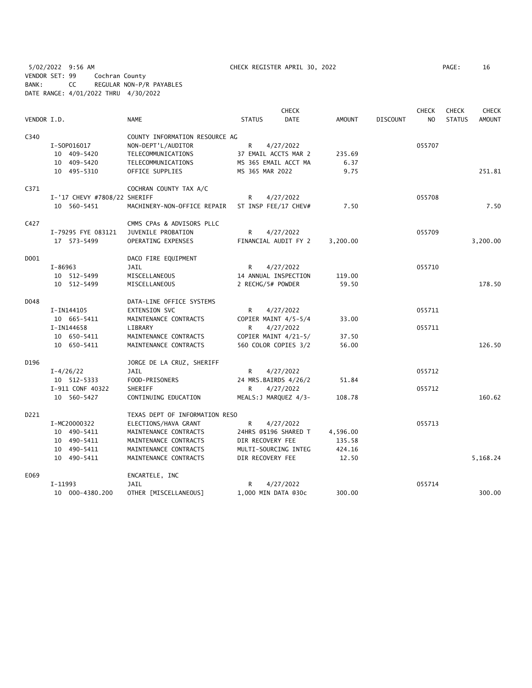5/02/2022 9:56 AM CHECK REGISTER APRIL 30, 2022 PAGE: 16 VENDOR SET: 99 Cochran County BANK: CC REGULAR NON-P/R PAYABLES DATE RANGE: 4/01/2022 THRU 4/30/2022

|             |                              |                                |                       | <b>CHECK</b> |               |                 | CHECK          | <b>CHECK</b>  | <b>CHECK</b>  |
|-------------|------------------------------|--------------------------------|-----------------------|--------------|---------------|-----------------|----------------|---------------|---------------|
| VENDOR I.D. |                              | <b>NAME</b>                    | <b>STATUS</b>         | <b>DATE</b>  | <b>AMOUNT</b> | <b>DISCOUNT</b> | N <sub>O</sub> | <b>STATUS</b> | <b>AMOUNT</b> |
| C340        |                              | COUNTY INFORMATION RESOURCE AG |                       |              |               |                 |                |               |               |
|             | I-S0P016017                  | NON-DEPT'L/AUDITOR             | R                     | 4/27/2022    |               |                 | 055707         |               |               |
|             | 10 409-5420                  | TELECOMMUNICATIONS             | 37 EMAIL ACCTS MAR 2  |              | 235.69        |                 |                |               |               |
|             | 10 409-5420                  | TELECOMMUNICATIONS             | MS 365 EMAIL ACCT MA  |              | 6.37          |                 |                |               |               |
|             | 10 495-5310                  | OFFICE SUPPLIES                | MS 365 MAR 2022       |              | 9.75          |                 |                |               | 251.81        |
| C371        |                              | COCHRAN COUNTY TAX A/C         |                       |              |               |                 |                |               |               |
|             | I-'17 CHEVY #7808/22 SHERIFF |                                | R                     | 4/27/2022    |               |                 | 055708         |               |               |
|             | 10 560-5451                  | MACHINERY-NON-OFFICE REPAIR    | ST INSP FEE/17 CHEV#  |              | 7.50          |                 |                |               | 7.50          |
| C427        |                              | CMMS CPAs & ADVISORS PLLC      |                       |              |               |                 |                |               |               |
|             | I-79295 FYE 083121           | JUVENILE PROBATION             | R                     | 4/27/2022    |               |                 | 055709         |               |               |
|             | 17 573-5499                  | OPERATING EXPENSES             | FINANCIAL AUDIT FY 2  |              | 3,200.00      |                 |                |               | 3,200.00      |
| D001        |                              | DACO FIRE EQUIPMENT            |                       |              |               |                 |                |               |               |
|             | $I - 86963$                  | <b>JAIL</b>                    | R                     | 4/27/2022    |               |                 | 055710         |               |               |
|             | 10 512-5499                  | MISCELLANEOUS                  | 14 ANNUAL INSPECTION  |              | 119.00        |                 |                |               |               |
|             | 10 512-5499                  | MISCELLANEOUS                  | 2 RECHG/5# POWDER     |              | 59.50         |                 |                |               | 178.50        |
| D048        |                              | DATA-LINE OFFICE SYSTEMS       |                       |              |               |                 |                |               |               |
|             | I-IN144105                   | <b>EXTENSION SVC</b>           | R                     | 4/27/2022    |               |                 | 055711         |               |               |
|             | 10 665-5411                  | MAINTENANCE CONTRACTS          | COPIER MAINT 4/5-5/4  |              | 33.00         |                 |                |               |               |
|             | I-IN144658                   | LIBRARY                        | R                     | 4/27/2022    |               |                 | 055711         |               |               |
|             | 10 650-5411                  | MAINTENANCE CONTRACTS          | COPIER MAINT 4/21-5/  |              | 37.50         |                 |                |               |               |
|             | 10 650-5411                  | MAINTENANCE CONTRACTS          | 560 COLOR COPIES 3/2  |              | 56.00         |                 |                |               | 126.50        |
| D196        |                              | JORGE DE LA CRUZ, SHERIFF      |                       |              |               |                 |                |               |               |
|             | $I - 4/26/22$                | <b>JAIL</b>                    | R                     | 4/27/2022    |               |                 | 055712         |               |               |
|             | 10 512-5333                  | FOOD-PRISONERS                 | 24 MRS.BAIRDS 4/26/2  |              | 51.84         |                 |                |               |               |
|             | I-911 CONF 40322             | <b>SHERIFF</b>                 | R                     | 4/27/2022    |               |                 | 055712         |               |               |
|             | 10 560-5427                  | CONTINUING EDUCATION           | MEALS: J MARQUEZ 4/3- |              | 108.78        |                 |                |               | 160.62        |
| D221        |                              | TEXAS DEPT OF INFORMATION RESO |                       |              |               |                 |                |               |               |
|             | I-MC20000322                 | ELECTIONS/HAVA GRANT           | R                     | 4/27/2022    |               |                 | 055713         |               |               |
|             | 10 490-5411                  | MAINTENANCE CONTRACTS          | 24HRS @\$196 SHARED T |              | 4,596.00      |                 |                |               |               |
|             | 10 490-5411                  | MAINTENANCE CONTRACTS          | DIR RECOVERY FEE      |              | 135.58        |                 |                |               |               |
|             | 10 490-5411                  | MAINTENANCE CONTRACTS          | MULTI-SOURCING INTEG  |              | 424.16        |                 |                |               |               |
|             | 10 490-5411                  | MAINTENANCE CONTRACTS          | DIR RECOVERY FEE      |              | 12.50         |                 |                |               | 5,168.24      |
| E069        |                              | ENCARTELE, INC                 |                       |              |               |                 |                |               |               |
|             | I-11993                      | JAIL                           | R                     | 4/27/2022    |               |                 | 055714         |               |               |
|             | 10 000-4380.200              | OTHER [MISCELLANEOUS]          | 1,000 MIN DATA @30c   |              | 300.00        |                 |                |               | 300.00        |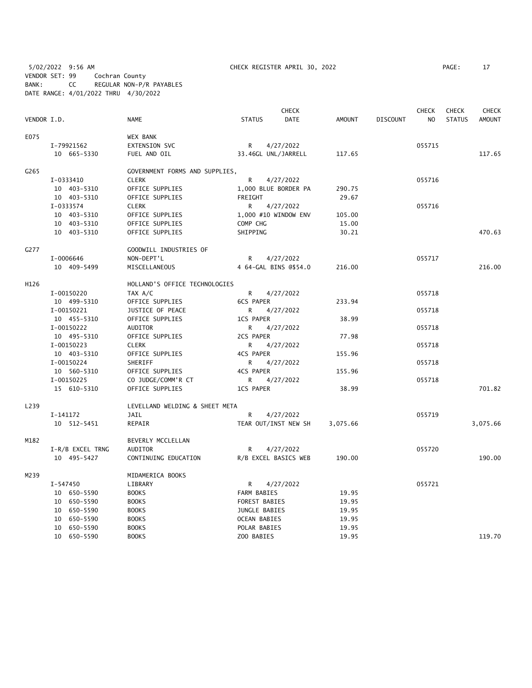5/02/2022 9:56 AM CHECK REGISTER APRIL 30, 2022 PAGE: 17 VENDOR SET: 99 Cochran County BANK: CC REGULAR NON-P/R PAYABLES DATE RANGE: 4/01/2022 THRU 4/30/2022

|             |                  |                                |                     | <b>CHECK</b>          |               |                 | <b>CHECK</b>   | <b>CHECK</b>  | <b>CHECK</b>  |
|-------------|------------------|--------------------------------|---------------------|-----------------------|---------------|-----------------|----------------|---------------|---------------|
| VENDOR I.D. |                  | <b>NAME</b>                    | <b>STATUS</b>       | <b>DATE</b>           | <b>AMOUNT</b> | <b>DISCOUNT</b> | N <sub>O</sub> | <b>STATUS</b> | <b>AMOUNT</b> |
| E075        |                  | WEX BANK                       |                     |                       |               |                 |                |               |               |
|             | I-79921562       | EXTENSION SVC                  | $\mathsf{R}$        | 4/27/2022             |               |                 | 055715         |               |               |
|             | 10 665-5330      | FUEL AND OIL                   | 33.46GL UNL/JARRELL |                       | 117.65        |                 |                |               | 117.65        |
| G265        |                  | GOVERNMENT FORMS AND SUPPLIES, |                     |                       |               |                 |                |               |               |
|             | I-0333410        | <b>CLERK</b>                   | $\mathsf{R}$        | 4/27/2022             |               |                 | 055716         |               |               |
|             | 10 403-5310      | OFFICE SUPPLIES                |                     | 1,000 BLUE BORDER PA  | 290.75        |                 |                |               |               |
|             | 10 403-5310      | OFFICE SUPPLIES                | FREIGHT             |                       | 29.67         |                 |                |               |               |
|             | I-0333574        | <b>CLERK</b>                   | R                   | 4/27/2022             |               |                 | 055716         |               |               |
|             | 10 403-5310      | OFFICE SUPPLIES                |                     | 1,000 #10 WINDOW ENV  | 105.00        |                 |                |               |               |
|             | 10 403-5310      | OFFICE SUPPLIES                | COMP CHG            |                       | 15.00         |                 |                |               |               |
|             | 10 403-5310      | OFFICE SUPPLIES                | SHIPPING            |                       | 30.21         |                 |                |               | 470.63        |
| G277        |                  | GOODWILL INDUSTRIES OF         |                     |                       |               |                 |                |               |               |
|             | I-0006646        | NON-DEPT'L                     | R                   | 4/27/2022             |               |                 | 055717         |               |               |
|             | 10 409-5499      | MISCELLANEOUS                  |                     | 4 64-GAL BINS @\$54.0 | 216.00        |                 |                |               | 216.00        |
| H126        |                  | HOLLAND'S OFFICE TECHNOLOGIES  |                     |                       |               |                 |                |               |               |
|             | I-00150220       | TAX A/C                        | R                   | 4/27/2022             |               |                 | 055718         |               |               |
|             | 10 499-5310      | OFFICE SUPPLIES                | <b>6CS PAPER</b>    |                       | 233.94        |                 |                |               |               |
|             | I-00150221       | JUSTICE OF PEACE               | R                   | 4/27/2022             |               |                 | 055718         |               |               |
|             | 10 455-5310      | OFFICE SUPPLIES                | 1CS PAPER           |                       | 38.99         |                 |                |               |               |
|             | I-00150222       | AUDITOR                        | R.                  | 4/27/2022             |               |                 | 055718         |               |               |
|             | 10 495-5310      | OFFICE SUPPLIES                | 2CS PAPER           |                       | 77.98         |                 |                |               |               |
|             | I-00150223       | <b>CLERK</b>                   | R                   | 4/27/2022             |               |                 | 055718         |               |               |
|             | 10 403-5310      | OFFICE SUPPLIES                | <b>4CS PAPER</b>    |                       | 155.96        |                 |                |               |               |
|             | I-00150224       | SHERIFF                        | R                   | 4/27/2022             |               |                 | 055718         |               |               |
|             | 10 560-5310      | OFFICE SUPPLIES                | <b>4CS PAPER</b>    |                       | 155.96        |                 |                |               |               |
|             | I-00150225       | CO JUDGE/COMM'R CT             | R                   | 4/27/2022             |               |                 | 055718         |               |               |
|             | 15 610-5310      | OFFICE SUPPLIES                | 1CS PAPER           |                       | 38.99         |                 |                |               | 701.82        |
| L239        |                  | LEVELLAND WELDING & SHEET META |                     |                       |               |                 |                |               |               |
|             | I-141172         | JAIL                           | R                   | 4/27/2022             |               |                 | 055719         |               |               |
|             | 10 512-5451      | REPAIR                         |                     | TEAR OUT/INST NEW SH  | 3,075.66      |                 |                |               | 3,075.66      |
| M182        |                  | BEVERLY MCCLELLAN              |                     |                       |               |                 |                |               |               |
|             | I-R/B EXCEL TRNG | AUDITOR                        | R                   | 4/27/2022             |               |                 | 055720         |               |               |
|             | 10 495-5427      | CONTINUING EDUCATION           |                     | R/B EXCEL BASICS WEB  | 190.00        |                 |                |               | 190.00        |
| M239        |                  | MIDAMERICA BOOKS               |                     |                       |               |                 |                |               |               |
|             | I-547450         | LIBRARY                        | R                   | 4/27/2022             |               |                 | 055721         |               |               |
|             | 10 650-5590      | <b>BOOKS</b>                   | FARM BABIES         |                       | 19.95         |                 |                |               |               |
|             | 10 650-5590      | <b>BOOKS</b>                   | FOREST BABIES       |                       | 19.95         |                 |                |               |               |
|             | 10 650-5590      | <b>BOOKS</b>                   | JUNGLE BABIES       |                       | 19.95         |                 |                |               |               |
|             | 10 650-5590      | <b>BOOKS</b>                   | <b>OCEAN BABIES</b> |                       | 19.95         |                 |                |               |               |
|             | 10 650-5590      | <b>BOOKS</b>                   | POLAR BABIES        |                       | 19.95         |                 |                |               |               |
|             | 10 650-5590      | <b>BOOKS</b>                   | ZOO BABIES          |                       | 19.95         |                 |                |               | 119.70        |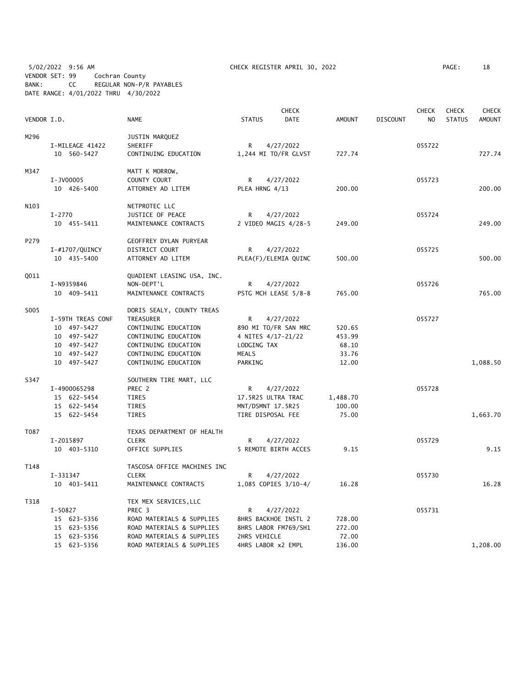5/02/2022 9:56 AM CHECK REGISTER APRIL 30, 2022 PAGE: 18 VENDOR SET: 99 Cochran County BANK: CC REGULAR NON-P/R PAYABLES DATE RANGE: 4/01/2022 THRU 4/30/2022

|             |                            |                                                        |                                    | <b>CHECK</b>         |                 |                 | <b>CHECK</b>   | <b>CHECK</b>  | <b>CHECK</b>  |
|-------------|----------------------------|--------------------------------------------------------|------------------------------------|----------------------|-----------------|-----------------|----------------|---------------|---------------|
| VENDOR I.D. |                            | <b>NAME</b>                                            | <b>STATUS</b>                      | DATE                 | AMOUNT          | <b>DISCOUNT</b> | N <sub>O</sub> | <b>STATUS</b> | <b>AMOUNT</b> |
| M296        |                            | JUSTIN MARQUEZ                                         |                                    |                      |                 |                 |                |               |               |
|             | I-MILEAGE 41422            | SHERIFF                                                | R                                  | 4/27/2022            |                 |                 | 055722         |               |               |
|             | 10 560-5427                | CONTINUING EDUCATION                                   |                                    | 1,244 MI TO/FR GLVST | 727.74          |                 |                |               | 727.74        |
| M347        |                            | MATT K MORROW,                                         |                                    |                      |                 |                 |                |               |               |
|             | I-JV00005                  | COUNTY COURT                                           | R                                  | 4/27/2022            |                 |                 | 055723         |               |               |
|             | 10 426-5400                | ATTORNEY AD LITEM                                      | PLEA HRNG 4/13                     |                      | 200.00          |                 |                |               | 200.00        |
| N103        |                            | NETPROTEC LLC                                          |                                    |                      |                 |                 |                |               |               |
|             | $I - 2770$                 | JUSTICE OF PEACE                                       | R                                  | 4/27/2022            |                 |                 | 055724         |               |               |
|             | 10 455-5411                | MAINTENANCE CONTRACTS                                  |                                    | 2 VIDEO MAGIS 4/28-5 | 249.00          |                 |                |               | 249.00        |
| P279        |                            | GEOFFREY DYLAN PURYEAR                                 |                                    |                      |                 |                 |                |               |               |
|             | I-#1707/QUINCY             | DISTRICT COURT                                         | R                                  | 4/27/2022            |                 |                 | 055725         |               |               |
|             | 10 435-5400                | ATTORNEY AD LITEM                                      |                                    | PLEA(F)/ELEMIA QUINC | 500.00          |                 |                |               | 500.00        |
| Q011        |                            | QUADIENT LEASING USA, INC.                             |                                    |                      |                 |                 |                |               |               |
|             | I-N9359846                 | NON-DEPT'L                                             | R                                  | 4/27/2022            |                 |                 | 055726         |               |               |
|             | 10 409-5411                | MAINTENANCE CONTRACTS                                  |                                    | PSTG MCH LEASE 5/8-8 | 765.00          |                 |                |               | 765.00        |
| S005        |                            | DORIS SEALY, COUNTY TREAS                              |                                    |                      |                 |                 |                |               |               |
|             | I-59TH TREAS CONF          | TREASURER                                              | R                                  | 4/27/2022            |                 |                 | 055727         |               |               |
|             | 10 497-5427<br>10 497-5427 | CONTINUING EDUCATION<br>CONTINUING EDUCATION           | 4 NITES 4/17-21/22                 | 890 MI TO/FR SAN MRC | 520.65          |                 |                |               |               |
|             | 10 497-5427                | CONTINUING EDUCATION                                   | LODGING TAX                        |                      | 453.99<br>68.10 |                 |                |               |               |
|             | 10 497-5427                | CONTINUING EDUCATION                                   | MEALS                              |                      | 33.76           |                 |                |               |               |
|             | 10 497-5427                | CONTINUING EDUCATION                                   | PARKING                            |                      | 12.00           |                 |                |               | 1,088.50      |
|             |                            |                                                        |                                    |                      |                 |                 |                |               |               |
| S347        |                            | SOUTHERN TIRE MART, LLC                                |                                    |                      |                 |                 |                |               |               |
|             | I-4900065298               | PREC 2                                                 | R                                  | 4/27/2022            |                 |                 | 055728         |               |               |
|             | 15 622-5454                | <b>TIRES</b>                                           | 17.5R25 ULTRA TRAC                 |                      | 1,488.70        |                 |                |               |               |
|             | 15 622-5454                | <b>TIRES</b>                                           | MNT/DSMNT 17.5R25                  |                      | 100.00          |                 |                |               |               |
|             | 15 622-5454                | <b>TIRES</b>                                           | TIRE DISPOSAL FEE                  |                      | 75.00           |                 |                |               | 1,663.70      |
| T087        |                            | TEXAS DEPARTMENT OF HEALTH                             |                                    |                      |                 |                 |                |               |               |
|             | I-2015897                  | <b>CLERK</b>                                           | R                                  | 4/27/2022            |                 |                 | 055729         |               |               |
|             | 10 403-5310                | OFFICE SUPPLIES                                        |                                    | 5 REMOTE BIRTH ACCES | 9.15            |                 |                |               | 9.15          |
| T148        |                            | TASCOSA OFFICE MACHINES INC                            |                                    |                      |                 |                 |                |               |               |
|             | I-331347                   | <b>CLERK</b>                                           | R                                  | 4/27/2022            |                 |                 | 055730         |               |               |
|             | 10 403-5411                | MAINTENANCE CONTRACTS                                  |                                    | 1,085 COPIES 3/10-4/ | 16.28           |                 |                |               | 16.28         |
| T318        |                            | TEX MEX SERVICES, LLC                                  |                                    |                      |                 |                 |                |               |               |
|             | $I-50827$                  | PREC 3                                                 | R                                  | 4/27/2022            |                 |                 | 055731         |               |               |
|             | 15 623-5356                | ROAD MATERIALS & SUPPLIES                              |                                    | 8HRS BACKHOE INSTL 2 | 728.00          |                 |                |               |               |
|             | 15 623-5356<br>15 623-5356 | ROAD MATERIALS & SUPPLIES<br>ROAD MATERIALS & SUPPLIES |                                    | 8HRS LABOR FM769/SH1 | 272.00          |                 |                |               |               |
|             | 15 623-5356                | ROAD MATERIALS & SUPPLIES                              | 2HRS VEHICLE<br>4HRS LABOR x2 EMPL |                      | 72.00<br>136.00 |                 |                |               | 1,208.00      |
|             |                            |                                                        |                                    |                      |                 |                 |                |               |               |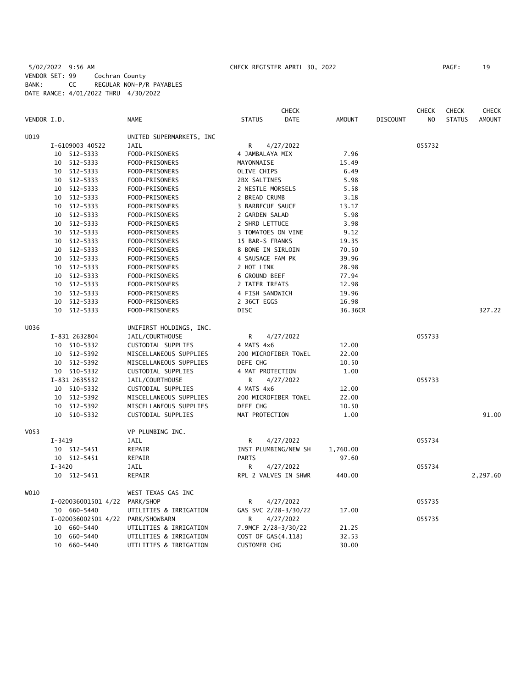5/02/2022 9:56 AM CHECK REGISTER APRIL 30, 2022 PAGE: 19 VENDOR SET: 99 Cochran County BANK: CC REGULAR NON-P/R PAYABLES DATE RANGE: 4/01/2022 THRU 4/30/2022

|             |                                   |                          |                      | <b>CHECK</b> |          |                 | <b>CHECK</b>   | <b>CHECK</b>  | <b>CHECK</b>  |
|-------------|-----------------------------------|--------------------------|----------------------|--------------|----------|-----------------|----------------|---------------|---------------|
| VENDOR I.D. |                                   | <b>NAME</b>              | <b>STATUS</b>        | DATE         | AMOUNT   | <b>DISCOUNT</b> | N <sub>O</sub> | <b>STATUS</b> | <b>AMOUNT</b> |
| U019        |                                   | UNITED SUPERMARKETS, INC |                      |              |          |                 |                |               |               |
|             | I-6109003 40522                   | <b>JAIL</b>              | R                    | 4/27/2022    |          |                 | 055732         |               |               |
|             | 10 512-5333                       | FOOD-PRISONERS           | 4 JAMBALAYA MIX      |              | 7.96     |                 |                |               |               |
|             | 10 512-5333                       | FOOD-PRISONERS           | MAYONNAISE           |              | 15.49    |                 |                |               |               |
|             | 10 512-5333                       | FOOD-PRISONERS           | OLIVE CHIPS          |              | 6.49     |                 |                |               |               |
|             | 10 512-5333                       | FOOD-PRISONERS           | 2BX SALTINES         |              | 5.98     |                 |                |               |               |
|             | 10 512-5333                       | FOOD-PRISONERS           | 2 NESTLE MORSELS     |              | 5.58     |                 |                |               |               |
|             | 10 512-5333                       | FOOD-PRISONERS           | 2 BREAD CRUMB        |              | 3.18     |                 |                |               |               |
|             | 10 512-5333                       | FOOD-PRISONERS           | 3 BARBECUE SAUCE     |              | 13.17    |                 |                |               |               |
|             | 10 512-5333                       | FOOD-PRISONERS           | 2 GARDEN SALAD       |              | 5.98     |                 |                |               |               |
|             | 10 512-5333                       | FOOD-PRISONERS           | 2 SHRD LETTUCE       |              | 3.98     |                 |                |               |               |
|             | 10 512-5333                       | FOOD-PRISONERS           | 3 TOMATOES ON VINE   |              | 9.12     |                 |                |               |               |
|             | 10 512-5333                       | FOOD-PRISONERS           | 15 BAR-S FRANKS      |              | 19.35    |                 |                |               |               |
|             | 10 512-5333                       | FOOD-PRISONERS           | 8 BONE IN SIRLOIN    |              | 70.50    |                 |                |               |               |
|             | 10 512-5333                       | FOOD-PRISONERS           | 4 SAUSAGE FAM PK     |              | 39.96    |                 |                |               |               |
|             | 10 512-5333                       | FOOD-PRISONERS           | 2 HOT LINK           |              | 28.98    |                 |                |               |               |
|             | 10 512-5333                       | FOOD-PRISONERS           | <b>6 GROUND BEEF</b> |              | 77.94    |                 |                |               |               |
|             | 10 512-5333                       | FOOD-PRISONERS           | 2 TATER TREATS       |              | 12.98    |                 |                |               |               |
|             | 10 512-5333                       | FOOD-PRISONERS           | 4 FISH SANDWICH      |              | 19.96    |                 |                |               |               |
|             | 10 512-5333                       | FOOD-PRISONERS           | 2 36CT EGGS          |              | 16.98    |                 |                |               |               |
|             | 10 512-5333                       | FOOD-PRISONERS           | <b>DISC</b>          |              | 36.36CR  |                 |                |               | 327.22        |
| U036        |                                   | UNIFIRST HOLDINGS, INC.  |                      |              |          |                 |                |               |               |
|             | I-831 2632804                     | JAIL/COURTHOUSE          | R                    | 4/27/2022    |          |                 | 055733         |               |               |
|             | 10 510-5332                       | CUSTODIAL SUPPLIES       | 4 MATS 4x6           |              | 12.00    |                 |                |               |               |
|             | 10 512-5392                       | MISCELLANEOUS SUPPLIES   | 200 MICROFIBER TOWEL |              | 22.00    |                 |                |               |               |
|             | 10 512-5392                       | MISCELLANEOUS SUPPLIES   | DEFE CHG             |              | 10.50    |                 |                |               |               |
|             | 10 510-5332                       | CUSTODIAL SUPPLIES       | 4 MAT PROTECTION     |              | 1.00     |                 |                |               |               |
|             | I-831 2635532                     | JAIL/COURTHOUSE          | R                    | 4/27/2022    |          |                 | 055733         |               |               |
|             | 10 510-5332                       | CUSTODIAL SUPPLIES       | 4 MATS 4x6           |              | 12.00    |                 |                |               |               |
|             | 10 512-5392                       | MISCELLANEOUS SUPPLIES   | 200 MICROFIBER TOWEL |              | 22.00    |                 |                |               |               |
|             | 10 512-5392                       | MISCELLANEOUS SUPPLIES   | DEFE CHG             |              | 10.50    |                 |                |               |               |
|             | 10 510-5332                       | CUSTODIAL SUPPLIES       | MAT PROTECTION       |              | 1.00     |                 |                |               | 91.00         |
| V053        |                                   | VP PLUMBING INC.         |                      |              |          |                 |                |               |               |
|             | $I - 3419$                        | JAIL                     | R                    | 4/27/2022    |          |                 | 055734         |               |               |
|             | 10 512-5451                       | REPAIR                   | INST PLUMBING/NEW SH |              | 1,760.00 |                 |                |               |               |
|             | 10 512-5451                       | REPAIR                   | <b>PARTS</b>         |              | 97.60    |                 |                |               |               |
|             | $I - 3420$                        | <b>JAIL</b>              | R.                   | 4/27/2022    |          |                 | 055734         |               |               |
|             | 10 512-5451                       | REPAIR                   | RPL 2 VALVES IN SHWR |              | 440.00   |                 |                |               | 2,297.60      |
| W010        |                                   | WEST TEXAS GAS INC       |                      |              |          |                 |                |               |               |
|             | I-020036001501 4/22               | PARK/SHOP                | R                    | 4/27/2022    |          |                 | 055735         |               |               |
|             | 10 660-5440                       | UTILITIES & IRRIGATION   | GAS SVC 2/28-3/30/22 |              | 17.00    |                 |                |               |               |
|             | I-020036002501 4/22 PARK/SHOWBARN |                          | R                    | 4/27/2022    |          |                 | 055735         |               |               |
|             | 10 660-5440                       | UTILITIES & IRRIGATION   | 7.9MCF 2/28-3/30/22  |              | 21.25    |                 |                |               |               |
|             | 660-5440<br>10                    | UTILITIES & IRRIGATION   | COST OF GAS(4.118)   |              | 32.53    |                 |                |               |               |
|             | 10 660-5440                       | UTILITIES & IRRIGATION   | <b>CUSTOMER CHG</b>  |              | 30.00    |                 |                |               |               |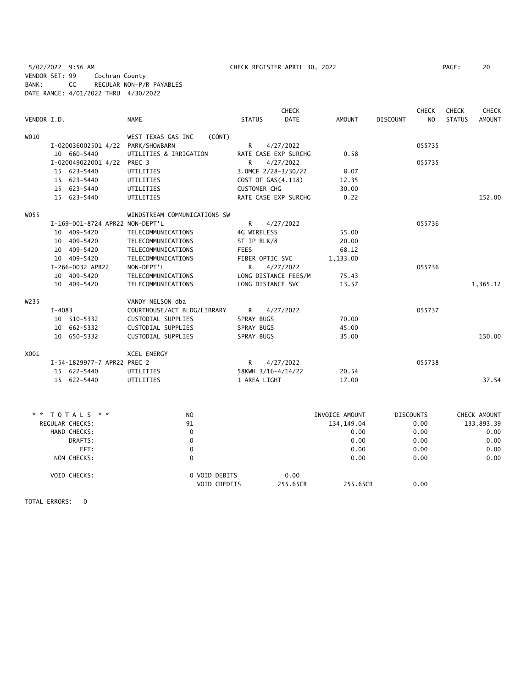5/02/2022 9:56 AM CHECK REGISTER APRIL 30, 2022 PAGE: 20 VENDOR SET: 99 Cochran County BANK: CC REGULAR NON-P/R PAYABLES DATE RANGE: 4/01/2022 THRU 4/30/2022

|             |          |                                   |                              |               | <b>CHECK</b>         |                |                  | <b>CHECK</b>   | <b>CHECK</b>  | <b>CHECK</b>  |
|-------------|----------|-----------------------------------|------------------------------|---------------|----------------------|----------------|------------------|----------------|---------------|---------------|
| VENDOR I.D. |          |                                   | <b>NAME</b>                  | <b>STATUS</b> | <b>DATE</b>          | <b>AMOUNT</b>  | <b>DISCOUNT</b>  | N <sub>O</sub> | <b>STATUS</b> | <b>AMOUNT</b> |
| W010        |          |                                   | WEST TEXAS GAS INC<br>(CONT) |               |                      |                |                  |                |               |               |
|             |          | I-020036002501 4/22 PARK/SHOWBARN |                              | R             | 4/27/2022            |                |                  | 055735         |               |               |
|             |          | 10 660-5440                       | UTILITIES & IRRIGATION       |               | RATE CASE EXP SURCHG | 0.58           |                  |                |               |               |
|             |          | I-020049022001 4/22 PREC 3        |                              | R             | 4/27/2022            |                |                  | 055735         |               |               |
|             |          | 15 623-5440                       | UTILITIES                    |               | 3.0MCF 2/28-3/30/22  | 8.07           |                  |                |               |               |
|             |          | 15 623-5440                       | UTILITIES                    |               | COST OF GAS(4.118)   | 12.35          |                  |                |               |               |
|             |          | 15 623-5440                       | UTILITIES                    |               | <b>CUSTOMER CHG</b>  | 30.00          |                  |                |               |               |
|             |          | 15 623-5440                       | UTILITIES                    |               | RATE CASE EXP SURCHG | 0.22           |                  |                |               | 152.00        |
| W055        |          |                                   | WINDSTREAM COMMUNICATIONS SW |               |                      |                |                  |                |               |               |
|             |          | I-169-001-8724 APR22 NON-DEPT'L   |                              | R             | 4/27/2022            |                |                  | 055736         |               |               |
|             |          | 10 409-5420                       | TELECOMMUNICATIONS           |               | 4G WIRELESS          | 55.00          |                  |                |               |               |
|             |          | 10 409-5420                       | TELECOMMUNICATIONS           |               | ST IP BLK/8          | 20.00          |                  |                |               |               |
|             |          | 10 409-5420                       | TELECOMMUNICATIONS           | <b>FEES</b>   |                      | 68.12          |                  |                |               |               |
|             |          | 10 409-5420                       | TELECOMMUNICATIONS           |               | FIBER OPTIC SVC      | 1,133.00       |                  |                |               |               |
|             |          | I-266-0032 APR22                  | NON-DEPT'L                   | R             | 4/27/2022            |                |                  | 055736         |               |               |
|             |          | 10 409-5420                       | TELECOMMUNICATIONS           |               | LONG DISTANCE FEES/M | 75.43          |                  |                |               |               |
|             |          | 10 409-5420                       | TELECOMMUNICATIONS           |               | LONG DISTANCE SVC    | 13.57          |                  |                |               | 1,365.12      |
| W235        |          |                                   | VANDY NELSON dba             |               |                      |                |                  |                |               |               |
|             | $I-4083$ |                                   | COURTHOUSE/ACT BLDG/LIBRARY  | R             | 4/27/2022            |                |                  | 055737         |               |               |
|             |          | 10 510-5332                       | CUSTODIAL SUPPLIES           | SPRAY BUGS    |                      | 70.00          |                  |                |               |               |
|             |          | 10 662-5332                       | CUSTODIAL SUPPLIES           | SPRAY BUGS    |                      | 45.00          |                  |                |               |               |
|             |          | 10 650-5332                       | CUSTODIAL SUPPLIES           | SPRAY BUGS    |                      | 35.00          |                  |                |               | 150.00        |
| X001        |          |                                   | XCEL ENERGY                  |               |                      |                |                  |                |               |               |
|             |          | I-54-1829977-7 APR22 PREC 2       |                              | R             | 4/27/2022            |                |                  | 055738         |               |               |
|             |          | 15 622-5440                       | UTILITIES                    |               | 58KWH 3/16-4/14/22   | 20.54          |                  |                |               |               |
|             |          | 15 622-5440                       | UTILITIES                    |               | 1 AREA LIGHT         | 17.00          |                  |                |               | 37.54         |
|             |          |                                   |                              |               |                      |                |                  |                |               |               |
|             |          | TOTALS * *                        | N <sub>O</sub>               |               |                      | INVOICE AMOUNT | <b>DISCOUNTS</b> |                |               | CHECK AMOUNT  |
|             |          | REGULAR CHECKS:                   | 91                           |               |                      | 134, 149.04    |                  | 0.00           |               | 133,893.39    |
|             |          | HAND CHECKS:                      | $\mathbf 0$                  |               |                      | 0.00           |                  | 0.00           |               | 0.00          |
|             |          | DRAFTS:                           | $\Omega$                     |               |                      | 0.00           |                  | 0.00           |               | 0.00          |
|             |          | EFT:                              | $\pmb{0}$                    |               |                      | 0.00           |                  | 0.00           |               | 0.00          |
|             |          | NON CHECKS:                       | $\mathbf{0}$                 |               |                      | 0.00           |                  | 0.00           |               | 0.00          |
|             |          | VOID CHECKS:                      | 0 VOID DEBITS                |               | 0.00                 |                |                  |                |               |               |
|             |          |                                   | VOID CREDITS                 |               | 255.65CR             | 255.65CR       |                  | 0.00           |               |               |

TOTAL ERRORS: 0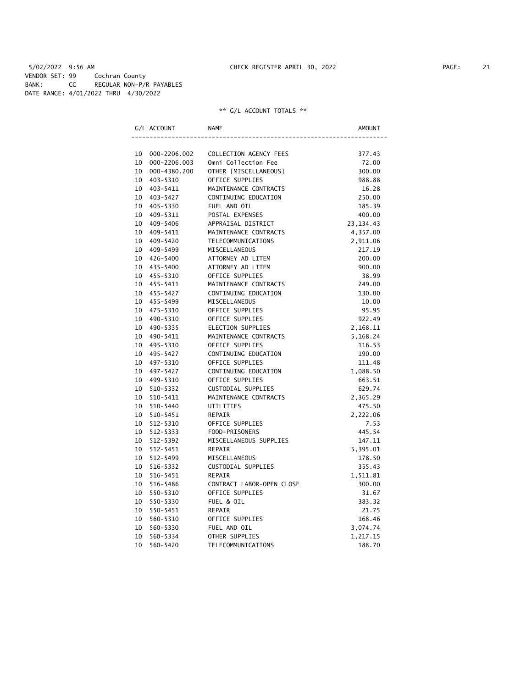5/02/2022 9:56 AM CHECK REGISTER APRIL 30, 2022 PAGE: 21 VENDOR SET: 99 Cochran County BANK: CC REGULAR NON-P/R PAYABLES DATE RANGE: 4/01/2022 THRU 4/30/2022

|    | G/L ACCOUNT  | NAME                      | AMOUNT      |
|----|--------------|---------------------------|-------------|
|    |              |                           |             |
| 10 | 000-2206.002 | COLLECTION AGENCY FEES    | 377.43      |
| 10 | 000-2206.003 | Omni Collection Fee       | 72.00       |
| 10 | 000-4380.200 | OTHER [MISCELLANEOUS]     | 300.00      |
| 10 | 403-5310     | OFFICE SUPPLIES           | 988.88      |
| 10 | 403-5411     | MAINTENANCE CONTRACTS     | 16.28       |
|    | 10 403-5427  | CONTINUING EDUCATION      | 250.00      |
| 10 | 405-5330     | FUEL AND OIL              | 185.39      |
| 10 | 409-5311     | POSTAL EXPENSES           | 400.00      |
| 10 | 409-5406     | APPRAISAL DISTRICT        | 23, 134. 43 |
| 10 | 409-5411     | MAINTENANCE CONTRACTS     | 4,357.00    |
| 10 | 409-5420     | TELECOMMUNICATIONS        | 2,911.06    |
| 10 | 409–5499     | MISCELLANEOUS             | 217.19      |
| 10 | 426-5400     | ATTORNEY AD LITEM         | 200.00      |
| 10 | 435-5400     | ATTORNEY AD LITEM         | 900.00      |
|    | 10 455-5310  | OFFICE SUPPLIES           | 38.99       |
| 10 | 455-5411     | MAINTENANCE CONTRACTS     | 249.00      |
| 10 | 455-5427     | CONTINUING EDUCATION      | 130.00      |
| 10 | 455-5499     | MISCELLANEOUS             | 10.00       |
| 10 | 475-5310     | OFFICE SUPPLIES           | 95.95       |
| 10 | 490-5310     | OFFICE SUPPLIES           | 922.49      |
| 10 | 490-5335     | ELECTION SUPPLIES         | 2,168.11    |
| 10 | 490-5411     | MAINTENANCE CONTRACTS     | 5,168.24    |
|    | 10 495-5310  | OFFICE SUPPLIES           | 116.53      |
| 10 | 495–5427     | CONTINUING EDUCATION      | 190.00      |
| 10 | 497-5310     | OFFICE SUPPLIES           | 111.48      |
| 10 | 497-5427     | CONTINUING EDUCATION      | 1,088.50    |
| 10 | 499-5310     | OFFICE SUPPLIES           | 663.51      |
| 10 | 510-5332     | CUSTODIAL SUPPLIES        | 629.74      |
| 10 | 510-5411     | MAINTENANCE CONTRACTS     | 2,365.29    |
| 10 | 510-5440     | UTILITIES                 | 475.50      |
| 10 | 510-5451     | REPAIR                    | 2,222.06    |
| 10 | 512-5310     | OFFICE SUPPLIES           | 7.53        |
| 10 | 512-5333     | FOOD-PRISONERS            | 445.54      |
| 10 | 512-5392     | MISCELLANEOUS SUPPLIES    | 147.11      |
| 10 | 512-5451     | REPAIR                    | 5,395.01    |
| 10 | 512-5499     | MISCELLANEOUS             | 178.50      |
| 10 | 516-5332     | CUSTODIAL SUPPLIES        | 355.43      |
| 10 | 516-5451     | <b>REPAIR</b>             | 1,511.81    |
| 10 | 516-5486     | CONTRACT LABOR-OPEN CLOSE | 300.00      |
| 10 | 550-5310     | OFFICE SUPPLIES           | 31.67       |
| 10 | 550-5330     | FUEL & OIL                | 383.32      |
| 10 | 550-5451     | REPAIR                    | 21.75       |
| 10 | 560-5310     | OFFICE SUPPLIES           | 168.46      |
| 10 | 560-5330     | FUEL AND OIL              | 3,074.74    |
| 10 | 560-5334     | OTHER SUPPLIES            | 1,217.15    |
| 10 | 560-5420     | TELECOMMUNICATIONS        | 188.70      |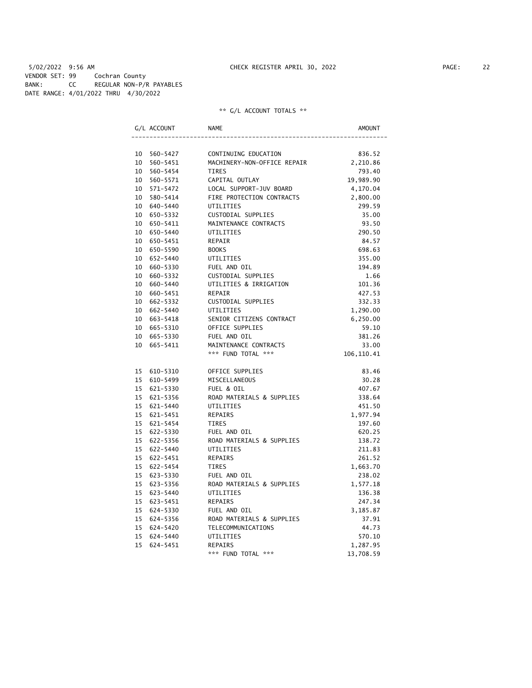5/02/2022 9:56 AM CHECK REGISTER APRIL 30, 2022 PAGE: 22 VENDOR SET: 99 Cochran County BANK: CC REGULAR NON-P/R PAYABLES DATE RANGE: 4/01/2022 THRU 4/30/2022

| G/L ACCOUNT    | NAME                        | AMOUNT      |
|----------------|-----------------------------|-------------|
|                |                             |             |
| 10 560-5427    | CONTINUING EDUCATION        | 836.52      |
| 10 560-5451    | MACHINERY-NON-OFFICE REPAIR | 2,210.86    |
| 10 560-5454    | <b>TIRES</b>                | 793.40      |
| 10 560-5571    | CAPITAL OUTLAY              | 19,989.90   |
| 10 571-5472    | LOCAL SUPPORT-JUV BOARD     | 4,170.04    |
| 10 580-5414    | FIRE PROTECTION CONTRACTS   | 2,800.00    |
| 10 640-5440    | UTILITIES                   | 299.59      |
| 10 650-5332    | CUSTODIAL SUPPLIES          | 35.00       |
| 10 650-5411    | MAINTENANCE CONTRACTS       | 93.50       |
| 10 650-5440    | UTILITIES                   | 290.50      |
| 10 650-5451    | REPAIR                      | 84.57       |
| 10 650-5590    | <b>BOOKS</b>                | 698.63      |
| 10 652-5440    | UTILITIES                   | 355.00      |
| 10 660-5330    | FUEL AND OIL                | 194.89      |
| 10 660-5332    | CUSTODIAL SUPPLIES          | 1.66        |
| 10 660-5440    | UTILITIES & IRRIGATION      | 101.36      |
| 10<br>660-5451 | REPAIR                      | 427.53      |
| 10 662-5332    | CUSTODIAL SUPPLIES          | 332.33      |
| 10 662-5440    | UTILITIES                   | 1,290.00    |
| 10 663-5418    | SENIOR CITIZENS CONTRACT    | 6,250.00    |
| 10 665-5310    | OFFICE SUPPLIES             | 59.10       |
| 10 665-5330    | FUEL AND OIL                | 381.26      |
| 10 665-5411    | MAINTENANCE CONTRACTS       | 33.00       |
|                | *** FUND TOTAL ***          | 106, 110.41 |
| 15 610-5310    | OFFICE SUPPLIES             | 83.46       |
| 15 610-5499    | MISCELLANEOUS               | 30.28       |
| 15 621-5330    | FUEL & OIL                  | 407.67      |
| 15 621-5356    | ROAD MATERIALS & SUPPLIES   | 338.64      |
| 15 621-5440    | UTILITIES                   | 451.50      |
| 15 621-5451    | REPAIRS                     | 1,977.94    |
| 15 621-5454    | <b>TIRES</b>                | 197.60      |
| 15 622-5330    | FUEL AND OIL                | 620.25      |
| 15 622-5356    | ROAD MATERIALS & SUPPLIES   | 138.72      |
| 15 622-5440    | UTILITIES                   | 211.83      |
| 15 622-5451    | REPAIRS                     | 261.52      |
| 15 622-5454    | TIRES                       | 1,663.70    |
| 15 623-5330    | FUEL AND OIL                | 238.02      |
| 15 623-5356    | ROAD MATERIALS & SUPPLIES   | 1,577.18    |
| 15 623-5440    | UTILITIES                   | 136.38      |
| 15 623-5451    | <b>REPAIRS</b>              | 247.34      |
| 15 624-5330    | FUEL AND OIL                | 3,185.87    |
| 15 624-5356    | ROAD MATERIALS & SUPPLIES   | 37.91       |
| 15 624-5420    | TELECOMMUNICATIONS          | 44.73       |
| 15<br>624-5440 | UTILITIES                   | 570.10      |
| 15 624-5451    | REPAIRS                     | 1,287.95    |
|                | *** FUND TOTAL ***          | 13,708.59   |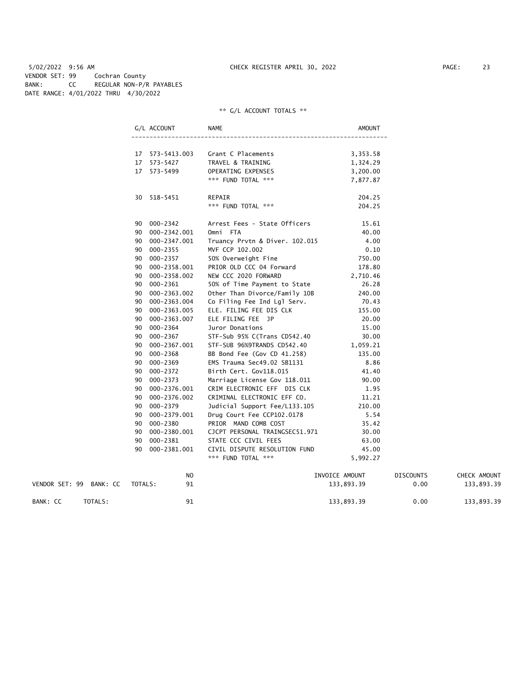5/02/2022 9:56 AM CHECK REGISTER APRIL 30, 2022 PAGE: 23 VENDOR SET: 99 Cochran County BANK: CC REGULAR NON-P/R PAYABLES DATE RANGE: 4/01/2022 THRU 4/30/2022

| G/L ACCOUNT        | <b>NAME</b>                    | AMOUNT         |                  |              |
|--------------------|--------------------------------|----------------|------------------|--------------|
| 17 573-5413.003    | Grant C Placements             | 3,353.58       |                  |              |
| 17 573-5427        | TRAVEL & TRAINING              | 1,324.29       |                  |              |
| 17 573-5499        | OPERATING EXPENSES             | 3,200.00       |                  |              |
|                    | *** FUND TOTAL ***             | 7,877.87       |                  |              |
| 30 518-5451        | REPAIR                         | 204.25         |                  |              |
|                    | *** FUND TOTAL ***             | 204.25         |                  |              |
| 90 000-2342        | Arrest Fees - State Officers   | 15.61          |                  |              |
| 90 000-2342.001    | Omni FTA                       | 40.00          |                  |              |
| 90 000-2347.001    | Truancy Prvtn & Diver. 102.015 | 4.00           |                  |              |
| 90 000-2355        | MVF CCP 102.002                | 0.10           |                  |              |
| 90 000-2357        | 50% Overweight Fine            | 750.00         |                  |              |
| 90 000-2358.001    | PRIOR OLD CCC 04 Forward       | 178.80         |                  |              |
| 90 000-2358.002    | NEW CCC 2020 FORWARD           | 2,710.46       |                  |              |
| 000-2361<br>90     | 50% of Time Payment to State   | 26.28          |                  |              |
| 000-2363.002<br>90 | Other Than Divorce/Family 10B  | 240.00         |                  |              |
| 90 000-2363.004    | Co Filing Fee Ind Lgl Serv.    | 70.43          |                  |              |
| 90 000-2363.005    | ELE. FILING FEE DIS CLK        | 155.00         |                  |              |
| 90 000-2363.007    | ELE FILING FEE JP              | 20.00          |                  |              |
| 90 000-2364        | Juror Donations                | 15.00          |                  |              |
| 000-2367<br>90     | STF-Sub 95% C(Trans CD542.40   | 30.00          |                  |              |
| 000-2367.001<br>90 | STF-SUB 96%9TRANDS CD542.40    | 1,059.21       |                  |              |
| 90 000-2368        | BB Bond Fee (Gov CD 41.258)    | 135.00         |                  |              |
| 000-2369<br>90     | EMS Trauma Sec49.02 SB1131     | 8.86           |                  |              |
| 000-2372<br>90     | Birth Cert. Gov118.015         | 41.40          |                  |              |
| 90 000-2373        | Marriage License Gov 118.011   | 90.00          |                  |              |
| 90 000-2376.001    | CRIM ELECTRONIC EFF DIS CLK    | 1.95           |                  |              |
| 000-2376.002<br>90 | CRIMINAL ELECTRONIC EFF CO.    | 11.21          |                  |              |
| 90 000-2379        | Judicial Support Fee/L133.105  | 210.00         |                  |              |
| 90 000-2379.001    | Drug Court Fee CCP102.0178     | 5.54           |                  |              |
| 90 000-2380        | PRIOR MAND COMB COST           | 35.42          |                  |              |
| 90 000-2380.001    | CJCPT PERSONAL TRAINGSEC51.971 | 30.00          |                  |              |
| 90 000-2381        | STATE CCC CIVIL FEES           | 63.00          |                  |              |
| 000-2381.001<br>90 | CIVIL DISPUTE RESOLUTION FUND  | 45.00          |                  |              |
|                    | *** FUND TOTAL ***             | 5,992.27       |                  |              |
| N <sub>O</sub>     |                                | INVOICE AMOUNT | <b>DISCOUNTS</b> | CHECK AMOUNT |

| VENDOR SET: 99 BANK: CC | TOTALS: | .<br>-91       | _ _ _ _ _<br>133.893.39 | ----------<br>0.00 | ------------------<br>133,893.39 |
|-------------------------|---------|----------------|-------------------------|--------------------|----------------------------------|
|                         |         |                |                         |                    |                                  |
| BANK: CC<br>TOTALS:     |         | Q <sub>1</sub> | 133,893.39              | 0.00               | 133,893.39                       |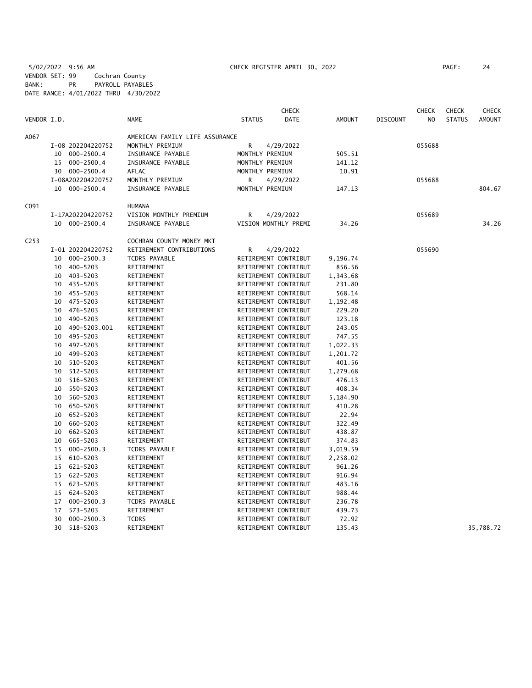5/02/2022 9:56 AM CHECK REGISTER APRIL 30, 2022 PAGE: 24 VENDOR SET: 99 Cochran County BANK: PR PAYROLL PAYABLES DATE RANGE: 4/01/2022 THRU 4/30/2022

|                  |                      |                                |                      | <b>CHECK</b> |               |                 | <b>CHECK</b>   | <b>CHECK</b>  | <b>CHECK</b>  |
|------------------|----------------------|--------------------------------|----------------------|--------------|---------------|-----------------|----------------|---------------|---------------|
| VENDOR I.D.      |                      | <b>NAME</b>                    | <b>STATUS</b>        | <b>DATE</b>  | <b>AMOUNT</b> | <b>DISCOUNT</b> | N <sub>O</sub> | <b>STATUS</b> | <b>AMOUNT</b> |
| A067             |                      | AMERICAN FAMILY LIFE ASSURANCE |                      |              |               |                 |                |               |               |
|                  | I-08 202204220752    | MONTHLY PREMIUM                | R                    | 4/29/2022    |               |                 | 055688         |               |               |
|                  | 10 000-2500.4        | INSURANCE PAYABLE              | MONTHLY PREMIUM      |              | 505.51        |                 |                |               |               |
|                  | 000-2500.4<br>15     | INSURANCE PAYABLE              | MONTHLY PREMIUM      |              | 141.12        |                 |                |               |               |
|                  | 30 000-2500.4        | AFLAC                          | MONTHLY PREMIUM      |              | 10.91         |                 |                |               |               |
|                  | I-08A202204220752    | MONTHLY PREMIUM                | R                    | 4/29/2022    |               |                 | 055688         |               |               |
|                  | 10 000-2500.4        | INSURANCE PAYABLE              | MONTHLY PREMIUM      |              | 147.13        |                 |                |               | 804.67        |
| C091             |                      | <b>HUMANA</b>                  |                      |              |               |                 |                |               |               |
|                  | I-17A202204220752    | VISION MONTHLY PREMIUM         | R                    | 4/29/2022    |               |                 | 055689         |               |               |
|                  | 10 000-2500.4        | INSURANCE PAYABLE              | VISION MONTHLY PREMI |              | 34.26         |                 |                |               | 34.26         |
| C <sub>253</sub> |                      | COCHRAN COUNTY MONEY MKT       |                      |              |               |                 |                |               |               |
|                  | I-01 202204220752    | RETIREMENT CONTRIBUTIONS       | R                    | 4/29/2022    |               |                 | 055690         |               |               |
|                  | 10 000-2500.3        | <b>TCDRS PAYABLE</b>           | RETIREMENT CONTRIBUT |              | 9,196.74      |                 |                |               |               |
|                  | 400-5203<br>10       | RETIREMENT                     | RETIREMENT CONTRIBUT |              | 856.56        |                 |                |               |               |
|                  | 403-5203<br>10       | RETIREMENT                     | RETIREMENT CONTRIBUT |              | 1,343.68      |                 |                |               |               |
|                  | 435-5203<br>10       | RETIREMENT                     | RETIREMENT CONTRIBUT |              | 231.80        |                 |                |               |               |
|                  | 455-5203<br>10       | RETIREMENT                     | RETIREMENT CONTRIBUT |              | 568.14        |                 |                |               |               |
|                  | 475-5203<br>10       | RETIREMENT                     | RETIREMENT CONTRIBUT |              | 1,192.48      |                 |                |               |               |
|                  | 476-5203<br>10       | RETIREMENT                     | RETIREMENT CONTRIBUT |              | 229.20        |                 |                |               |               |
|                  | 490-5203<br>10       | RETIREMENT                     | RETIREMENT CONTRIBUT |              | 123.18        |                 |                |               |               |
|                  | 490-5203.001<br>10   | RETIREMENT                     | RETIREMENT CONTRIBUT |              | 243.05        |                 |                |               |               |
|                  | 495-5203<br>10       | RETIREMENT                     | RETIREMENT CONTRIBUT |              | 747.55        |                 |                |               |               |
|                  | 497-5203<br>10       | RETIREMENT                     | RETIREMENT CONTRIBUT |              | 1,022.33      |                 |                |               |               |
|                  | 499-5203<br>10       | RETIREMENT                     | RETIREMENT CONTRIBUT |              | 1,201.72      |                 |                |               |               |
|                  | 10<br>510-5203       | RETIREMENT                     | RETIREMENT CONTRIBUT |              | 401.56        |                 |                |               |               |
|                  | 512-5203<br>10       | RETIREMENT                     | RETIREMENT CONTRIBUT |              | 1,279.68      |                 |                |               |               |
|                  | 516-5203<br>10       | RETIREMENT                     | RETIREMENT CONTRIBUT |              | 476.13        |                 |                |               |               |
|                  | 550-5203<br>10       | RETIREMENT                     | RETIREMENT CONTRIBUT |              | 408.34        |                 |                |               |               |
|                  | 560-5203<br>10       | RETIREMENT                     | RETIREMENT CONTRIBUT |              | 5,184.90      |                 |                |               |               |
|                  | 650-5203<br>10       | RETIREMENT                     | RETIREMENT CONTRIBUT |              | 410.28        |                 |                |               |               |
|                  | 652-5203<br>10       | RETIREMENT                     | RETIREMENT CONTRIBUT |              | 22.94         |                 |                |               |               |
|                  | 10<br>660-5203       | RETIREMENT                     | RETIREMENT CONTRIBUT |              | 322.49        |                 |                |               |               |
|                  | 662-5203<br>10       | RETIREMENT                     | RETIREMENT CONTRIBUT |              | 438.87        |                 |                |               |               |
|                  | 665-5203<br>10       | RETIREMENT                     | RETIREMENT CONTRIBUT |              | 374.83        |                 |                |               |               |
|                  | $000 - 2500.3$<br>15 | <b>TCDRS PAYABLE</b>           | RETIREMENT CONTRIBUT |              | 3,019.59      |                 |                |               |               |
|                  | 610-5203<br>15       | RETIREMENT                     | RETIREMENT CONTRIBUT |              | 2,258.02      |                 |                |               |               |
|                  | 15<br>621-5203       | RETIREMENT                     | RETIREMENT CONTRIBUT |              | 961.26        |                 |                |               |               |
|                  | 622-5203<br>15       | RETIREMENT                     | RETIREMENT CONTRIBUT |              | 916.94        |                 |                |               |               |
|                  | 15 623-5203          | RETIREMENT                     | RETIREMENT CONTRIBUT |              | 483.16        |                 |                |               |               |
|                  | 624-5203<br>15       | RETIREMENT                     | RETIREMENT CONTRIBUT |              | 988.44        |                 |                |               |               |
|                  | 000-2500.3<br>17     | <b>TCDRS PAYABLE</b>           | RETIREMENT CONTRIBUT |              | 236.78        |                 |                |               |               |
|                  | 573-5203<br>17       | RETIREMENT                     | RETIREMENT CONTRIBUT |              | 439.73        |                 |                |               |               |
|                  | $000 - 2500.3$<br>30 | <b>TCDRS</b>                   | RETIREMENT CONTRIBUT |              | 72.92         |                 |                |               |               |
|                  | 30<br>$518 - 5203$   | RETIREMENT                     | RETIREMENT CONTRIBUT |              | 135.43        |                 |                |               | 35,788.72     |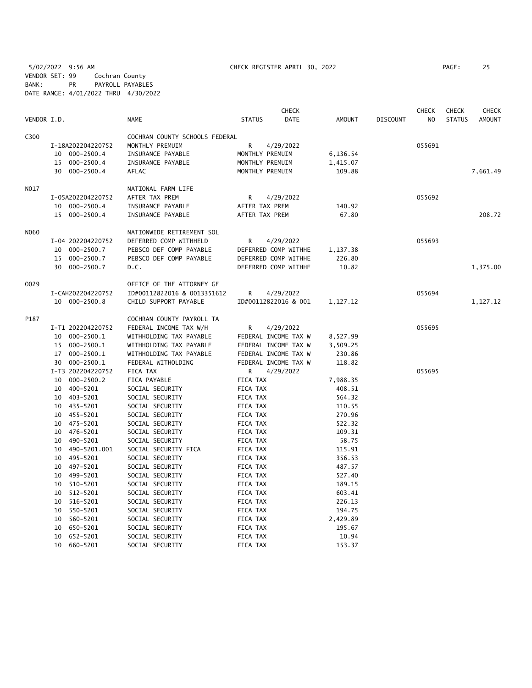5/02/2022 9:56 AM CHECK REGISTER APRIL 30, 2022 PAGE: 25 VENDOR SET: 99 Cochran County BANK: PR PAYROLL PAYABLES DATE RANGE: 4/01/2022 THRU 4/30/2022

|             |                    |                                | <b>CHECK</b>          |               |                 | <b>CHECK</b>   | <b>CHECK</b>  | <b>CHECK</b>  |
|-------------|--------------------|--------------------------------|-----------------------|---------------|-----------------|----------------|---------------|---------------|
| VENDOR I.D. |                    | <b>NAME</b>                    | <b>STATUS</b><br>DATE | <b>AMOUNT</b> | <b>DISCOUNT</b> | N <sub>O</sub> | <b>STATUS</b> | <b>AMOUNT</b> |
| C300        |                    | COCHRAN COUNTY SCHOOLS FEDERAL |                       |               |                 |                |               |               |
|             | I-18A202204220752  | MONTHLY PREMUIM                | R<br>4/29/2022        |               |                 | 055691         |               |               |
|             | 10 000-2500.4      | INSURANCE PAYABLE              | MONTHLY PREMUIM       | 6,136.54      |                 |                |               |               |
|             | 15 000-2500.4      | INSURANCE PAYABLE              | MONTHLY PREMUIM       | 1,415.07      |                 |                |               |               |
|             | 30 000-2500.4      | <b>AFLAC</b>                   | MONTHLY PREMUIM       | 109.88        |                 |                |               | 7,661.49      |
| N017        |                    | NATIONAL FARM LIFE             |                       |               |                 |                |               |               |
|             | I-05A202204220752  | AFTER TAX PREM                 | R<br>4/29/2022        |               |                 | 055692         |               |               |
|             | 10 000-2500.4      | INSURANCE PAYABLE              | AFTER TAX PREM        | 140.92        |                 |                |               |               |
|             | 15 000-2500.4      | INSURANCE PAYABLE              | AFTER TAX PREM        | 67.80         |                 |                |               | 208.72        |
| <b>NO60</b> |                    | NATIONWIDE RETIREMENT SOL      |                       |               |                 |                |               |               |
|             | I-04 202204220752  | DEFERRED COMP WITHHELD         | R<br>4/29/2022        |               |                 | 055693         |               |               |
|             | 10 000-2500.7      | PEBSCO DEF COMP PAYABLE        | DEFERRED COMP WITHHE  | 1,137.38      |                 |                |               |               |
|             | 15 000-2500.7      | PEBSCO DEF COMP PAYABLE        | DEFERRED COMP WITHHE  | 226.80        |                 |                |               |               |
|             | 30 000-2500.7      | D.C.                           | DEFERRED COMP WITHHE  | 10.82         |                 |                |               | 1,375.00      |
| 0029        |                    | OFFICE OF THE ATTORNEY GE      |                       |               |                 |                |               |               |
|             | I-CAH202204220752  | ID#00112822016 & 0013351612    | R<br>4/29/2022        |               |                 | 055694         |               |               |
|             | 10 000-2500.8      | CHILD SUPPORT PAYABLE          | ID#00112822016 & 001  | 1,127.12      |                 |                |               | 1,127.12      |
| P187        |                    | COCHRAN COUNTY PAYROLL TA      |                       |               |                 |                |               |               |
|             | I-T1 202204220752  | FEDERAL INCOME TAX W/H         | R<br>4/29/2022        |               |                 | 055695         |               |               |
|             | 10 000-2500.1      | WITHHOLDING TAX PAYABLE        | FEDERAL INCOME TAX W  | 8,527.99      |                 |                |               |               |
|             | 15 000-2500.1      | WITHHOLDING TAX PAYABLE        | FEDERAL INCOME TAX W  | 3,509.25      |                 |                |               |               |
|             | 17 000-2500.1      | WITHHOLDING TAX PAYABLE        | FEDERAL INCOME TAX W  | 230.86        |                 |                |               |               |
|             | 30 000-2500.1      | FEDERAL WITHOLDING             | FEDERAL INCOME TAX W  | 118.82        |                 |                |               |               |
|             | I-T3 202204220752  | FICA TAX                       | R<br>4/29/2022        |               |                 | 055695         |               |               |
|             | 10 000-2500.2      | FICA PAYABLE                   | FICA TAX              | 7,988.35      |                 |                |               |               |
|             | 10 400-5201        | SOCIAL SECURITY                | FICA TAX              | 408.51        |                 |                |               |               |
|             | 10 403-5201        | SOCIAL SECURITY                | FICA TAX              | 564.32        |                 |                |               |               |
|             | 10 435-5201        | SOCIAL SECURITY                | FICA TAX              | 110.55        |                 |                |               |               |
|             | 10 455-5201        | SOCIAL SECURITY                | FICA TAX              | 270.96        |                 |                |               |               |
|             | 10 475-5201        | SOCIAL SECURITY                | FICA TAX              | 522.32        |                 |                |               |               |
|             | 476-5201<br>10     | SOCIAL SECURITY                | FICA TAX              | 109.31        |                 |                |               |               |
|             | 490-5201<br>10     | SOCIAL SECURITY                | FICA TAX              | 58.75         |                 |                |               |               |
|             | 490-5201.001<br>10 | SOCIAL SECURITY FICA           | FICA TAX              | 115.91        |                 |                |               |               |
|             | 495-5201<br>10     | SOCIAL SECURITY                | FICA TAX              | 356.53        |                 |                |               |               |
|             | 497-5201<br>10     | SOCIAL SECURITY                | FICA TAX              | 487.57        |                 |                |               |               |
|             | 10 499-5201        | SOCIAL SECURITY                | FICA TAX              | 527.40        |                 |                |               |               |
|             | 510-5201<br>10     | SOCIAL SECURITY                | FICA TAX              | 189.15        |                 |                |               |               |
|             | 512-5201<br>10     | SOCIAL SECURITY                | FICA TAX              | 603.41        |                 |                |               |               |
|             | 516-5201<br>10     | SOCIAL SECURITY                | FICA TAX              | 226.13        |                 |                |               |               |
|             | 550-5201<br>10     | SOCIAL SECURITY                | FICA TAX              | 194.75        |                 |                |               |               |
|             | 10<br>560-5201     | SOCIAL SECURITY                | FICA TAX              | 2,429.89      |                 |                |               |               |
|             | 650-5201<br>10     | SOCIAL SECURITY                | FICA TAX              | 195.67        |                 |                |               |               |
|             | 652-5201<br>10     | SOCIAL SECURITY                | FICA TAX              | 10.94         |                 |                |               |               |
|             | 10<br>660-5201     | SOCIAL SECURITY                | FICA TAX              | 153.37        |                 |                |               |               |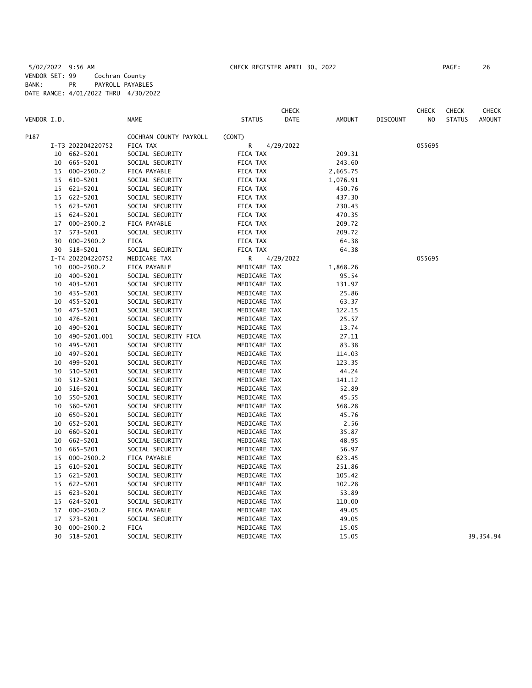|             |    |                   |                        |               | <b>CHECK</b> |               |                 | <b>CHECK</b> | <b>CHECK</b>  | CHECK         |
|-------------|----|-------------------|------------------------|---------------|--------------|---------------|-----------------|--------------|---------------|---------------|
| VENDOR I.D. |    |                   | <b>NAME</b>            | <b>STATUS</b> | DATE         | <b>AMOUNT</b> | <b>DISCOUNT</b> | NO           | <b>STATUS</b> | <b>AMOUNT</b> |
| P187        |    |                   | COCHRAN COUNTY PAYROLL | (CONT)        |              |               |                 |              |               |               |
|             |    | I-T3 202204220752 | FICA TAX               | R             | 4/29/2022    |               |                 | 055695       |               |               |
|             | 10 | 662-5201          | SOCIAL SECURITY        | FICA TAX      |              | 209.31        |                 |              |               |               |
|             | 10 | 665-5201          | SOCIAL SECURITY        | FICA TAX      |              | 243.60        |                 |              |               |               |
|             | 15 | $000 - 2500.2$    | FICA PAYABLE           | FICA TAX      |              | 2,665.75      |                 |              |               |               |
|             | 15 | 610-5201          | SOCIAL SECURITY        | FICA TAX      |              | 1,076.91      |                 |              |               |               |
|             |    | 15 621-5201       | SOCIAL SECURITY        | FICA TAX      |              | 450.76        |                 |              |               |               |
|             | 15 | 622-5201          | SOCIAL SECURITY        | FICA TAX      |              | 437.30        |                 |              |               |               |
|             |    | 15 623-5201       | SOCIAL SECURITY        | FICA TAX      |              | 230.43        |                 |              |               |               |
|             | 15 | 624-5201          | SOCIAL SECURITY        | FICA TAX      |              | 470.35        |                 |              |               |               |
|             | 17 | $000 - 2500.2$    | FICA PAYABLE           | FICA TAX      |              | 209.72        |                 |              |               |               |
|             | 17 | 573-5201          | SOCIAL SECURITY        | FICA TAX      |              | 209.72        |                 |              |               |               |
|             | 30 | $000 - 2500.2$    | <b>FICA</b>            | FICA TAX      |              | 64.38         |                 |              |               |               |
|             | 30 | 518-5201          | SOCIAL SECURITY        | FICA TAX      |              | 64.38         |                 |              |               |               |
|             |    | I-T4 202204220752 | MEDICARE TAX           | R             | 4/29/2022    |               |                 | 055695       |               |               |
|             | 10 | $000 - 2500.2$    | FICA PAYABLE           | MEDICARE TAX  |              | 1,868.26      |                 |              |               |               |
|             | 10 | 400-5201          | SOCIAL SECURITY        | MEDICARE TAX  |              | 95.54         |                 |              |               |               |
|             | 10 | 403-5201          | SOCIAL SECURITY        | MEDICARE TAX  |              | 131.97        |                 |              |               |               |
|             | 10 | 435-5201          | SOCIAL SECURITY        | MEDICARE TAX  |              | 25.86         |                 |              |               |               |
|             | 10 | 455-5201          | SOCIAL SECURITY        | MEDICARE TAX  |              | 63.37         |                 |              |               |               |
|             | 10 | 475-5201          | SOCIAL SECURITY        | MEDICARE TAX  |              | 122.15        |                 |              |               |               |
|             | 10 | 476-5201          | SOCIAL SECURITY        | MEDICARE TAX  |              | 25.57         |                 |              |               |               |
|             | 10 | 490-5201          | SOCIAL SECURITY        | MEDICARE TAX  |              | 13.74         |                 |              |               |               |
|             | 10 | 490-5201.001      | SOCIAL SECURITY FICA   | MEDICARE TAX  |              | 27.11         |                 |              |               |               |
|             | 10 | 495-5201          | SOCIAL SECURITY        | MEDICARE TAX  |              | 83.38         |                 |              |               |               |
|             | 10 | 497-5201          | SOCIAL SECURITY        | MEDICARE TAX  |              | 114.03        |                 |              |               |               |
|             | 10 | 499-5201          | SOCIAL SECURITY        | MEDICARE TAX  |              | 123.35        |                 |              |               |               |
|             | 10 | 510-5201          | SOCIAL SECURITY        | MEDICARE TAX  |              | 44.24         |                 |              |               |               |
|             | 10 | 512-5201          | SOCIAL SECURITY        | MEDICARE TAX  |              | 141.12        |                 |              |               |               |
|             | 10 | 516-5201          | SOCIAL SECURITY        | MEDICARE TAX  |              | 52.89         |                 |              |               |               |
|             | 10 | 550-5201          | SOCIAL SECURITY        | MEDICARE TAX  |              | 45.55         |                 |              |               |               |
|             | 10 | 560-5201          | SOCIAL SECURITY        | MEDICARE TAX  |              | 568.28        |                 |              |               |               |
|             | 10 | 650-5201          | SOCIAL SECURITY        | MEDICARE TAX  |              | 45.76         |                 |              |               |               |
|             | 10 | 652-5201          | SOCIAL SECURITY        | MEDICARE TAX  |              | 2.56          |                 |              |               |               |
|             | 10 | 660-5201          | SOCIAL SECURITY        | MEDICARE TAX  |              | 35.87         |                 |              |               |               |
|             | 10 | 662-5201          | SOCIAL SECURITY        | MEDICARE TAX  |              | 48.95         |                 |              |               |               |
|             | 10 | 665-5201          | SOCIAL SECURITY        | MEDICARE TAX  |              | 56.97         |                 |              |               |               |
|             | 15 | $000 - 2500.2$    | FICA PAYABLE           | MEDICARE TAX  |              | 623.45        |                 |              |               |               |
|             | 15 | 610-5201          | SOCIAL SECURITY        | MEDICARE TAX  |              | 251.86        |                 |              |               |               |
|             | 15 | 621-5201          | SOCIAL SECURITY        | MEDICARE TAX  |              | 105.42        |                 |              |               |               |
|             | 15 | 622-5201          | SOCIAL SECURITY        | MEDICARE TAX  |              | 102.28        |                 |              |               |               |
|             | 15 | 623-5201          | SOCIAL SECURITY        | MEDICARE TAX  |              | 53.89         |                 |              |               |               |
|             | 15 | 624-5201          | SOCIAL SECURITY        | MEDICARE TAX  |              | 110.00        |                 |              |               |               |
|             | 17 | $000 - 2500.2$    | FICA PAYABLE           | MEDICARE TAX  |              | 49.05         |                 |              |               |               |
|             | 17 | 573-5201          | SOCIAL SECURITY        | MEDICARE TAX  |              | 49.05         |                 |              |               |               |
|             | 30 | $000 - 2500.2$    | <b>FICA</b>            | MEDICARE TAX  |              | 15.05         |                 |              |               |               |
|             | 30 | 518-5201          | SOCIAL SECURITY        | MEDICARE TAX  |              | 15.05         |                 |              |               | 39,354.94     |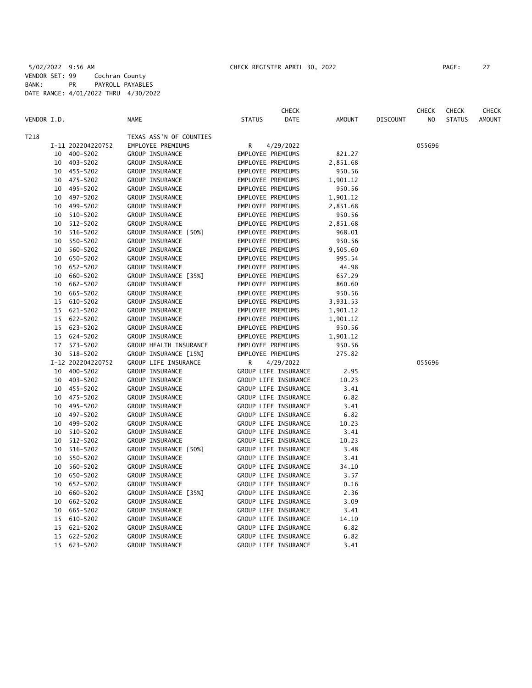|             |          |                                                                                                                                                                      |               | <b>CHECK</b> |                                                                                                                                                                                                                                                                                                                                                                                                                                                                                                                                                                                                                                                                                                                                                                                                                                                                                                                                                                                                                                                                        |                 | <b>CHECK</b>   | <b>CHECK</b>  | CHECK         |
|-------------|----------|----------------------------------------------------------------------------------------------------------------------------------------------------------------------|---------------|--------------|------------------------------------------------------------------------------------------------------------------------------------------------------------------------------------------------------------------------------------------------------------------------------------------------------------------------------------------------------------------------------------------------------------------------------------------------------------------------------------------------------------------------------------------------------------------------------------------------------------------------------------------------------------------------------------------------------------------------------------------------------------------------------------------------------------------------------------------------------------------------------------------------------------------------------------------------------------------------------------------------------------------------------------------------------------------------|-----------------|----------------|---------------|---------------|
| VENDOR I.D. |          | <b>NAME</b>                                                                                                                                                          | <b>STATUS</b> | <b>DATE</b>  | <b>AMOUNT</b>                                                                                                                                                                                                                                                                                                                                                                                                                                                                                                                                                                                                                                                                                                                                                                                                                                                                                                                                                                                                                                                          | <b>DISCOUNT</b> | N <sub>O</sub> | <b>STATUS</b> | <b>AMOUNT</b> |
|             |          | TEXAS ASS'N OF COUNTIES                                                                                                                                              |               |              |                                                                                                                                                                                                                                                                                                                                                                                                                                                                                                                                                                                                                                                                                                                                                                                                                                                                                                                                                                                                                                                                        |                 |                |               |               |
|             |          | EMPLOYEE PREMIUMS                                                                                                                                                    | R             |              |                                                                                                                                                                                                                                                                                                                                                                                                                                                                                                                                                                                                                                                                                                                                                                                                                                                                                                                                                                                                                                                                        |                 | 055696         |               |               |
|             |          | GROUP INSURANCE                                                                                                                                                      |               |              | 821.27                                                                                                                                                                                                                                                                                                                                                                                                                                                                                                                                                                                                                                                                                                                                                                                                                                                                                                                                                                                                                                                                 |                 |                |               |               |
|             |          | GROUP INSURANCE                                                                                                                                                      |               |              | 2,851.68                                                                                                                                                                                                                                                                                                                                                                                                                                                                                                                                                                                                                                                                                                                                                                                                                                                                                                                                                                                                                                                               |                 |                |               |               |
| 10          |          | GROUP INSURANCE                                                                                                                                                      |               |              | 950.56                                                                                                                                                                                                                                                                                                                                                                                                                                                                                                                                                                                                                                                                                                                                                                                                                                                                                                                                                                                                                                                                 |                 |                |               |               |
| 10          | 475-5202 | GROUP INSURANCE                                                                                                                                                      |               |              | 1,901.12                                                                                                                                                                                                                                                                                                                                                                                                                                                                                                                                                                                                                                                                                                                                                                                                                                                                                                                                                                                                                                                               |                 |                |               |               |
| 10          | 495-5202 | GROUP INSURANCE                                                                                                                                                      |               |              | 950.56                                                                                                                                                                                                                                                                                                                                                                                                                                                                                                                                                                                                                                                                                                                                                                                                                                                                                                                                                                                                                                                                 |                 |                |               |               |
| 10          | 497-5202 | GROUP INSURANCE                                                                                                                                                      |               |              | 1,901.12                                                                                                                                                                                                                                                                                                                                                                                                                                                                                                                                                                                                                                                                                                                                                                                                                                                                                                                                                                                                                                                               |                 |                |               |               |
| 10          | 499-5202 | GROUP INSURANCE                                                                                                                                                      |               |              | 2,851.68                                                                                                                                                                                                                                                                                                                                                                                                                                                                                                                                                                                                                                                                                                                                                                                                                                                                                                                                                                                                                                                               |                 |                |               |               |
|             |          | GROUP INSURANCE                                                                                                                                                      |               |              | 950.56                                                                                                                                                                                                                                                                                                                                                                                                                                                                                                                                                                                                                                                                                                                                                                                                                                                                                                                                                                                                                                                                 |                 |                |               |               |
| 10          | 512-5202 | GROUP INSURANCE                                                                                                                                                      |               |              | 2,851.68                                                                                                                                                                                                                                                                                                                                                                                                                                                                                                                                                                                                                                                                                                                                                                                                                                                                                                                                                                                                                                                               |                 |                |               |               |
| 10          | 516-5202 | GROUP INSURANCE [50%]                                                                                                                                                |               |              | 968.01                                                                                                                                                                                                                                                                                                                                                                                                                                                                                                                                                                                                                                                                                                                                                                                                                                                                                                                                                                                                                                                                 |                 |                |               |               |
| 10          | 550-5202 | GROUP INSURANCE                                                                                                                                                      |               |              | 950.56                                                                                                                                                                                                                                                                                                                                                                                                                                                                                                                                                                                                                                                                                                                                                                                                                                                                                                                                                                                                                                                                 |                 |                |               |               |
| 10          | 560-5202 | GROUP INSURANCE                                                                                                                                                      |               |              | 9,505.60                                                                                                                                                                                                                                                                                                                                                                                                                                                                                                                                                                                                                                                                                                                                                                                                                                                                                                                                                                                                                                                               |                 |                |               |               |
| 10          | 650-5202 | GROUP INSURANCE                                                                                                                                                      |               |              | 995.54                                                                                                                                                                                                                                                                                                                                                                                                                                                                                                                                                                                                                                                                                                                                                                                                                                                                                                                                                                                                                                                                 |                 |                |               |               |
| 10          | 652-5202 | GROUP INSURANCE                                                                                                                                                      |               |              | 44.98                                                                                                                                                                                                                                                                                                                                                                                                                                                                                                                                                                                                                                                                                                                                                                                                                                                                                                                                                                                                                                                                  |                 |                |               |               |
| 10          | 660-5202 | GROUP INSURANCE [35%]                                                                                                                                                |               |              | 657.29                                                                                                                                                                                                                                                                                                                                                                                                                                                                                                                                                                                                                                                                                                                                                                                                                                                                                                                                                                                                                                                                 |                 |                |               |               |
| 10          | 662-5202 | GROUP INSURANCE                                                                                                                                                      |               |              | 860.60                                                                                                                                                                                                                                                                                                                                                                                                                                                                                                                                                                                                                                                                                                                                                                                                                                                                                                                                                                                                                                                                 |                 |                |               |               |
| 10          | 665-5202 | GROUP INSURANCE                                                                                                                                                      |               |              | 950.56                                                                                                                                                                                                                                                                                                                                                                                                                                                                                                                                                                                                                                                                                                                                                                                                                                                                                                                                                                                                                                                                 |                 |                |               |               |
| 15          | 610-5202 | GROUP INSURANCE                                                                                                                                                      |               |              | 3,931.53                                                                                                                                                                                                                                                                                                                                                                                                                                                                                                                                                                                                                                                                                                                                                                                                                                                                                                                                                                                                                                                               |                 |                |               |               |
| 15          | 621-5202 | GROUP INSURANCE                                                                                                                                                      |               |              | 1,901.12                                                                                                                                                                                                                                                                                                                                                                                                                                                                                                                                                                                                                                                                                                                                                                                                                                                                                                                                                                                                                                                               |                 |                |               |               |
| 15          | 622-5202 | GROUP INSURANCE                                                                                                                                                      |               |              | 1,901.12                                                                                                                                                                                                                                                                                                                                                                                                                                                                                                                                                                                                                                                                                                                                                                                                                                                                                                                                                                                                                                                               |                 |                |               |               |
| 15          | 623-5202 | GROUP INSURANCE                                                                                                                                                      |               |              | 950.56                                                                                                                                                                                                                                                                                                                                                                                                                                                                                                                                                                                                                                                                                                                                                                                                                                                                                                                                                                                                                                                                 |                 |                |               |               |
| 15          | 624-5202 | GROUP INSURANCE                                                                                                                                                      |               |              | 1,901.12                                                                                                                                                                                                                                                                                                                                                                                                                                                                                                                                                                                                                                                                                                                                                                                                                                                                                                                                                                                                                                                               |                 |                |               |               |
| 17          | 573-5202 | GROUP HEALTH INSURANCE                                                                                                                                               |               |              | 950.56                                                                                                                                                                                                                                                                                                                                                                                                                                                                                                                                                                                                                                                                                                                                                                                                                                                                                                                                                                                                                                                                 |                 |                |               |               |
|             |          | GROUP INSURANCE [15%]                                                                                                                                                |               |              | 275.82                                                                                                                                                                                                                                                                                                                                                                                                                                                                                                                                                                                                                                                                                                                                                                                                                                                                                                                                                                                                                                                                 |                 |                |               |               |
|             |          | GROUP LIFE INSURANCE                                                                                                                                                 | R             |              |                                                                                                                                                                                                                                                                                                                                                                                                                                                                                                                                                                                                                                                                                                                                                                                                                                                                                                                                                                                                                                                                        |                 | 055696         |               |               |
|             |          | GROUP INSURANCE                                                                                                                                                      |               |              | 2.95                                                                                                                                                                                                                                                                                                                                                                                                                                                                                                                                                                                                                                                                                                                                                                                                                                                                                                                                                                                                                                                                   |                 |                |               |               |
| 10          |          | GROUP INSURANCE                                                                                                                                                      |               |              | 10.23                                                                                                                                                                                                                                                                                                                                                                                                                                                                                                                                                                                                                                                                                                                                                                                                                                                                                                                                                                                                                                                                  |                 |                |               |               |
| 10          | 455-5202 | GROUP INSURANCE                                                                                                                                                      |               |              | 3.41                                                                                                                                                                                                                                                                                                                                                                                                                                                                                                                                                                                                                                                                                                                                                                                                                                                                                                                                                                                                                                                                   |                 |                |               |               |
| 10          |          | GROUP INSURANCE                                                                                                                                                      |               |              | 6.82                                                                                                                                                                                                                                                                                                                                                                                                                                                                                                                                                                                                                                                                                                                                                                                                                                                                                                                                                                                                                                                                   |                 |                |               |               |
|             |          | GROUP INSURANCE                                                                                                                                                      |               |              | 3.41                                                                                                                                                                                                                                                                                                                                                                                                                                                                                                                                                                                                                                                                                                                                                                                                                                                                                                                                                                                                                                                                   |                 |                |               |               |
| 10          | 497-5202 | GROUP INSURANCE                                                                                                                                                      |               |              | 6.82                                                                                                                                                                                                                                                                                                                                                                                                                                                                                                                                                                                                                                                                                                                                                                                                                                                                                                                                                                                                                                                                   |                 |                |               |               |
| 10          | 499-5202 | GROUP INSURANCE                                                                                                                                                      |               |              | 10.23                                                                                                                                                                                                                                                                                                                                                                                                                                                                                                                                                                                                                                                                                                                                                                                                                                                                                                                                                                                                                                                                  |                 |                |               |               |
| 10          | 510-5202 | GROUP INSURANCE                                                                                                                                                      |               |              | 3.41                                                                                                                                                                                                                                                                                                                                                                                                                                                                                                                                                                                                                                                                                                                                                                                                                                                                                                                                                                                                                                                                   |                 |                |               |               |
| 10          | 512-5202 | GROUP INSURANCE                                                                                                                                                      |               |              | 10.23                                                                                                                                                                                                                                                                                                                                                                                                                                                                                                                                                                                                                                                                                                                                                                                                                                                                                                                                                                                                                                                                  |                 |                |               |               |
| 10          | 516-5202 | GROUP INSURANCE [50%]                                                                                                                                                |               |              | 3.48                                                                                                                                                                                                                                                                                                                                                                                                                                                                                                                                                                                                                                                                                                                                                                                                                                                                                                                                                                                                                                                                   |                 |                |               |               |
| 10          | 550-5202 | GROUP INSURANCE                                                                                                                                                      |               |              | 3.41                                                                                                                                                                                                                                                                                                                                                                                                                                                                                                                                                                                                                                                                                                                                                                                                                                                                                                                                                                                                                                                                   |                 |                |               |               |
| 10          | 560-5202 | GROUP INSURANCE                                                                                                                                                      |               |              | 34.10                                                                                                                                                                                                                                                                                                                                                                                                                                                                                                                                                                                                                                                                                                                                                                                                                                                                                                                                                                                                                                                                  |                 |                |               |               |
| 10          | 650-5202 | GROUP INSURANCE                                                                                                                                                      |               |              | 3.57                                                                                                                                                                                                                                                                                                                                                                                                                                                                                                                                                                                                                                                                                                                                                                                                                                                                                                                                                                                                                                                                   |                 |                |               |               |
| 10          | 652-5202 | GROUP INSURANCE                                                                                                                                                      |               |              | 0.16                                                                                                                                                                                                                                                                                                                                                                                                                                                                                                                                                                                                                                                                                                                                                                                                                                                                                                                                                                                                                                                                   |                 |                |               |               |
| 10          | 660-5202 | GROUP INSURANCE [35%]                                                                                                                                                |               |              | 2.36                                                                                                                                                                                                                                                                                                                                                                                                                                                                                                                                                                                                                                                                                                                                                                                                                                                                                                                                                                                                                                                                   |                 |                |               |               |
| 10          | 662-5202 | GROUP INSURANCE                                                                                                                                                      |               |              | 3.09                                                                                                                                                                                                                                                                                                                                                                                                                                                                                                                                                                                                                                                                                                                                                                                                                                                                                                                                                                                                                                                                   |                 |                |               |               |
| 10          | 665-5202 | GROUP INSURANCE                                                                                                                                                      |               |              | 3.41                                                                                                                                                                                                                                                                                                                                                                                                                                                                                                                                                                                                                                                                                                                                                                                                                                                                                                                                                                                                                                                                   |                 |                |               |               |
| 15          | 610-5202 | GROUP INSURANCE                                                                                                                                                      |               |              | 14.10                                                                                                                                                                                                                                                                                                                                                                                                                                                                                                                                                                                                                                                                                                                                                                                                                                                                                                                                                                                                                                                                  |                 |                |               |               |
| 15          | 621-5202 | GROUP INSURANCE                                                                                                                                                      |               |              | 6.82                                                                                                                                                                                                                                                                                                                                                                                                                                                                                                                                                                                                                                                                                                                                                                                                                                                                                                                                                                                                                                                                   |                 |                |               |               |
| 15          | 622-5202 | GROUP INSURANCE                                                                                                                                                      |               |              | 6.82                                                                                                                                                                                                                                                                                                                                                                                                                                                                                                                                                                                                                                                                                                                                                                                                                                                                                                                                                                                                                                                                   |                 |                |               |               |
| 15          | 623-5202 | GROUP INSURANCE                                                                                                                                                      |               |              | 3.41                                                                                                                                                                                                                                                                                                                                                                                                                                                                                                                                                                                                                                                                                                                                                                                                                                                                                                                                                                                                                                                                   |                 |                |               |               |
|             |          | I-11 202204220752<br>10 400-5202<br>10 403-5202<br>455-5202<br>10 510-5202<br>30 518-5202<br>I-12 202204220752<br>10 400-5202<br>403-5202<br>475-5202<br>10 495-5202 |               |              | 4/29/2022<br>EMPLOYEE PREMIUMS<br>EMPLOYEE PREMIUMS<br>EMPLOYEE PREMIUMS<br>EMPLOYEE PREMIUMS<br>EMPLOYEE PREMIUMS<br>EMPLOYEE PREMIUMS<br>EMPLOYEE PREMIUMS<br>EMPLOYEE PREMIUMS<br>EMPLOYEE PREMIUMS<br>EMPLOYEE PREMIUMS<br>EMPLOYEE PREMIUMS<br>EMPLOYEE PREMIUMS<br>EMPLOYEE PREMIUMS<br>EMPLOYEE PREMIUMS<br>EMPLOYEE PREMIUMS<br>EMPLOYEE PREMIUMS<br>EMPLOYEE PREMIUMS<br>EMPLOYEE PREMIUMS<br>EMPLOYEE PREMIUMS<br>EMPLOYEE PREMIUMS<br>EMPLOYEE PREMIUMS<br>EMPLOYEE PREMIUMS<br>EMPLOYEE PREMIUMS<br>EMPLOYEE PREMIUMS<br>4/29/2022<br>GROUP LIFE INSURANCE<br>GROUP LIFE INSURANCE<br>GROUP LIFE INSURANCE<br>GROUP LIFE INSURANCE<br>GROUP LIFE INSURANCE<br>GROUP LIFE INSURANCE<br>GROUP LIFE INSURANCE<br>GROUP LIFE INSURANCE<br>GROUP LIFE INSURANCE<br>GROUP LIFE INSURANCE<br>GROUP LIFE INSURANCE<br>GROUP LIFE INSURANCE<br>GROUP LIFE INSURANCE<br>GROUP LIFE INSURANCE<br>GROUP LIFE INSURANCE<br>GROUP LIFE INSURANCE<br>GROUP LIFE INSURANCE<br>GROUP LIFE INSURANCE<br>GROUP LIFE INSURANCE<br>GROUP LIFE INSURANCE<br>GROUP LIFE INSURANCE |                 |                |               |               |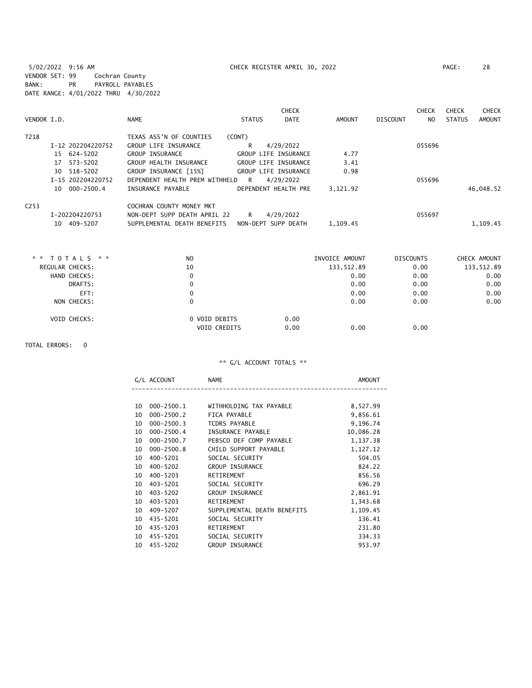5/02/2022 9:56 AM CHECK REGISTER APRIL 30, 2022 PAGE: 28 VENDOR SET: 99 Cochran County BANK: PR PAYROLL PAYABLES DATE RANGE: 4/01/2022 THRU 4/30/2022

|                  |                                     |                                                             |               | <b>CHECK</b>                                 |              |          | <b>CHECK</b>   | <b>CHECK</b>  | <b>CHECK</b> |
|------------------|-------------------------------------|-------------------------------------------------------------|---------------|----------------------------------------------|--------------|----------|----------------|---------------|--------------|
| VENDOR I.D.      |                                     | <b>NAME</b>                                                 | <b>STATUS</b> | <b>DATE</b>                                  | AMOUNT       | DISCOUNT | N <sub>O</sub> | <b>STATUS</b> | AMOUNT       |
| T218             | I-12 202204220752                   | TEXAS ASS'N OF COUNTIES<br>GROUP LIFE INSURANCE             | (CONT)<br>R   | 4/29/2022                                    |              |          | 055696         |               |              |
|                  | 624-5202<br>15<br>573-5202<br>17    | <b>GROUP INSURANCE</b><br>GROUP HEALTH INSURANCE            |               | GROUP LIFE INSURANCE<br>GROUP LIFE INSURANCE | 4.77<br>3.41 |          |                |               |              |
|                  | 518-5202<br>30<br>I-15 202204220752 | GROUP INSURANCE [15%]<br>DEPENDENT HEALTH PREM WITHHELD     | R             | GROUP LIFE INSURANCE<br>4/29/2022            | 0.98         |          | 055696         |               |              |
|                  | 10 000-2500.4                       | INSURANCE PAYABLE                                           |               | DEPENDENT HEALTH PRE                         | 3.121.92     |          |                |               | 46,048.52    |
| C <sub>253</sub> |                                     | COCHRAN COUNTY MONEY MKT                                    |               |                                              |              |          |                |               |              |
|                  | I-202204220753<br>409-5207<br>10    | NON-DEPT SUPP DEATH APRIL 22<br>SUPPLEMENTAL DEATH BENEFITS | R             | 4/29/2022<br>NON-DEPT SUPP DEATH             | 1,109.45     |          | 055697         |               | 1,109.45     |

| * * TOTALS * *      | N <sub>O</sub>                       | INVOICE AMOUNT       | <b>DISCOUNTS</b> | CHECK AMOUNT |
|---------------------|--------------------------------------|----------------------|------------------|--------------|
| REGULAR CHECKS:     | 10                                   | 133,512.89           | 0.00             | 133,512.89   |
| HAND CHECKS:        | 0                                    | 0.00                 | 0.00             | 0.00         |
| DRAFTS:             | 0                                    | 0.00                 | 0.00             | 0.00         |
| EFT:                | 0                                    | 0.00                 | 0.00             | 0.00         |
| NON CHECKS:         | 0                                    | 0.00                 | 0.00             | 0.00         |
| <b>VOID CHECKS:</b> | 0 VOID DEBITS<br><b>VOID CREDITS</b> | 0.00<br>0.00<br>0.00 | 0.00             |              |

TOTAL ERRORS: 0

|    | G/L ACCOUNT    | <b>NAME</b>                 | <b>AMOUNT</b> |
|----|----------------|-----------------------------|---------------|
|    |                |                             |               |
| 10 | 000-2500.1     | WITHHOLDING TAX PAYABLE     | 8,527.99      |
| 10 | $000 - 2500.2$ | FICA PAYABLE                | 9,856.61      |
| 10 | $000 - 2500.3$ | <b>TCDRS PAYABLE</b>        | 9,196.74      |
| 10 | $000 - 2500.4$ | INSURANCE PAYABLE           | 10,086.28     |
| 10 | $000 - 2500.7$ | PEBSCO DEF COMP PAYABLE     | 1,137.38      |
| 10 | $000 - 2500.8$ | CHILD SUPPORT PAYABLE       | 1,127.12      |
| 10 | 400-5201       | SOCIAL SECURITY             | 504.05        |
| 10 | $400 - 5202$   | GROUP INSURANCE             | 824.22        |
| 10 | 400-5203       | RETIREMENT                  | 856.56        |
| 10 | 403-5201       | SOCIAL SECURITY             | 696.29        |
| 10 | $403 - 5202$   | <b>GROUP INSURANCE</b>      | 2,861.91      |
| 10 | $403 - 5203$   | RETIREMENT                  | 1,343.68      |
| 10 | 409-5207       | SUPPLEMENTAL DEATH BENEFITS | 1,109.45      |
| 10 | 435-5201       | SOCIAL SECURITY             | 136.41        |
| 10 | 435-5203       | RETIREMENT                  | 231.80        |
| 10 | 455-5201       | SOCIAL SECURITY             | 334.33        |
| 10 | 455-5202       | <b>GROUP INSURANCE</b>      | 953.97        |
|    |                |                             |               |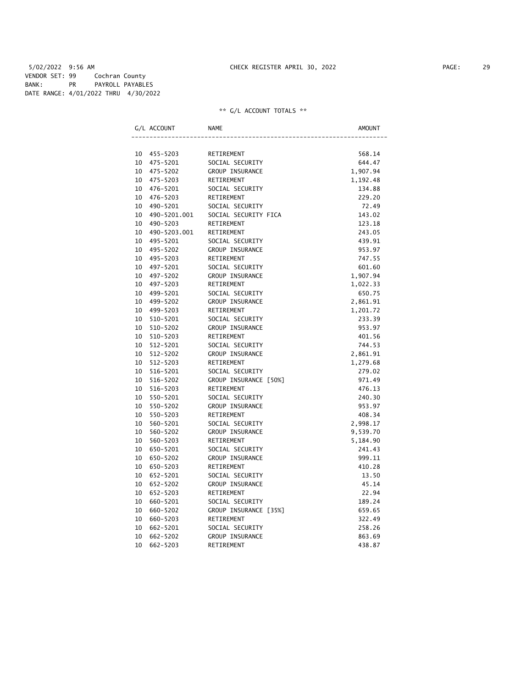5/02/2022 9:56 AM CHECK REGISTER APRIL 30, 2022 PAGE: 29 VENDOR SET: 99 Cochran County BANK: PR PAYROLL PAYABLES DATE RANGE: 4/01/2022 THRU 4/30/2022

|    | G/L ACCOUNT  | <b>NAME</b>           | AMOUNT   |
|----|--------------|-----------------------|----------|
|    |              |                       |          |
| 10 | 455-5203     | RETIREMENT            | 568.14   |
| 10 | 475-5201     | SOCIAL SECURITY       | 644.47   |
| 10 | 475-5202     | GROUP INSURANCE       | 1,907.94 |
| 10 | 475-5203     | RETIREMENT            | 1,192.48 |
| 10 | 476-5201     | SOCIAL SECURITY       | 134.88   |
| 10 | 476-5203     | RETIREMENT            | 229.20   |
| 10 | 490-5201     | SOCIAL SECURITY       | 72.49    |
| 10 | 490-5201.001 | SOCIAL SECURITY FICA  | 143.02   |
| 10 | 490-5203     | RETIREMENT            | 123.18   |
| 10 | 490-5203.001 | RETIREMENT            | 243.05   |
| 10 | 495-5201     | SOCIAL SECURITY       | 439.91   |
| 10 | 495-5202     | GROUP INSURANCE       | 953.97   |
| 10 | 495-5203     | RETIREMENT            | 747.55   |
| 10 | 497-5201     | SOCIAL SECURITY       | 601.60   |
| 10 | 497-5202     | GROUP INSURANCE       | 1,907.94 |
| 10 | 497-5203     | RETIREMENT            | 1,022.33 |
| 10 | 499-5201     | SOCIAL SECURITY       | 650.75   |
| 10 | 499-5202     | GROUP INSURANCE       | 2,861.91 |
| 10 | 499-5203     | RETIREMENT            | 1,201.72 |
| 10 | 510-5201     | SOCIAL SECURITY       | 233.39   |
| 10 | 510-5202     | GROUP INSURANCE       | 953.97   |
| 10 | 510-5203     | RETIREMENT            | 401.56   |
| 10 | 512-5201     | SOCIAL SECURITY       | 744.53   |
| 10 | $512 - 5202$ | GROUP INSURANCE       | 2,861.91 |
| 10 | $512 - 5203$ | RETIREMENT            | 1,279.68 |
| 10 | 516-5201     | SOCIAL SECURITY       | 279.02   |
| 10 | 516-5202     | GROUP INSURANCE [50%] | 971.49   |
| 10 | 516-5203     | RETIREMENT            | 476.13   |
| 10 | 550-5201     | SOCIAL SECURITY       | 240.30   |
| 10 | 550-5202     | GROUP INSURANCE       | 953.97   |
| 10 | 550-5203     | RETIREMENT            | 408.34   |
| 10 | 560-5201     | SOCIAL SECURITY       | 2,998.17 |
| 10 | 560-5202     | GROUP INSURANCE       | 9,539.70 |
| 10 | 560-5203     | RETIREMENT            | 5,184.90 |
| 10 | 650-5201     | SOCIAL SECURITY       | 241.43   |
| 10 | 650-5202     | GROUP INSURANCE       | 999.11   |
| 10 | 650-5203     | RETIREMENT            | 410.28   |
| 10 | 652-5201     | SOCIAL SECURITY       | 13.50    |
| 10 | 652-5202     | GROUP INSURANCE       | 45.14    |
| 10 | 652-5203     | RETIREMENT            | 22.94    |
| 10 | 660-5201     | SOCIAL SECURITY       | 189.24   |
| 10 | 660-5202     | GROUP INSURANCE [35%] | 659.65   |
| 10 | 660-5203     | RETIREMENT            | 322.49   |
| 10 | 662-5201     | SOCIAL SECURITY       | 258.26   |
| 10 | 662-5202     | GROUP INSURANCE       | 863.69   |
| 10 | 662-5203     | RETIREMENT            | 438.87   |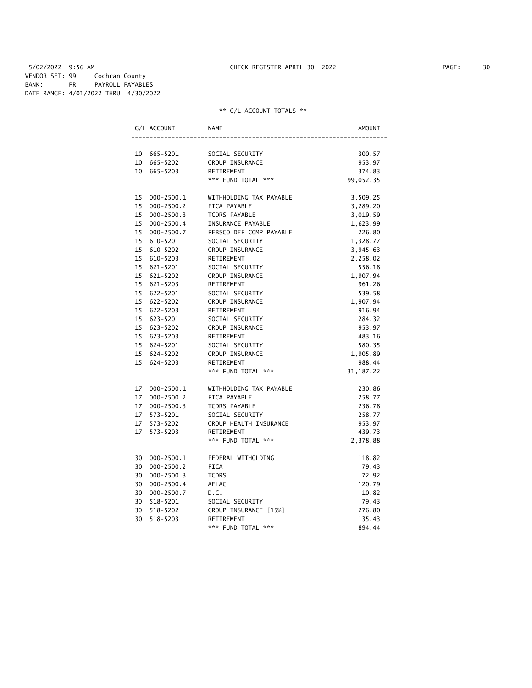5/02/2022 9:56 AM CHECK REGISTER APRIL 30, 2022 PAGE: 30 VENDOR SET: 99 Cochran County BANK: PR PAYROLL PAYABLES DATE RANGE: 4/01/2022 THRU 4/30/2022

|    | G/L ACCOUNT    | NAME                    | AMOUNT      |
|----|----------------|-------------------------|-------------|
|    |                |                         |             |
|    | 10 665-5201    | SOCIAL SECURITY         | 300.57      |
|    | 10 665-5202    | GROUP INSURANCE         | 953.97      |
|    | 10 665-5203    | RETIREMENT              | 374.83      |
|    |                | *** FUND TOTAL ***      | 99,052.35   |
|    | 15 000-2500.1  | WITHHOLDING TAX PAYABLE | 3,509.25    |
| 15 | $000 - 2500.2$ | FICA PAYABLE            | 3,289.20    |
| 15 | $000 - 2500.3$ | TCDRS PAYABLE           | 3,019.59    |
|    | 15 000-2500.4  | INSURANCE PAYABLE       | 1,623.99    |
| 15 | 000-2500.7     | PEBSCO DEF COMP PAYABLE | 226.80      |
|    | 15 610-5201    | SOCIAL SECURITY         | 1,328.77    |
|    | 15 610-5202    | GROUP INSURANCE         | 3,945.63    |
| 15 | 610-5203       | RETIREMENT              | 2,258.02    |
| 15 | 621-5201       | SOCIAL SECURITY         | 556.18      |
| 15 | 621-5202       | GROUP INSURANCE         | 1,907.94    |
|    | 15 621-5203    | RETIREMENT              | 961.26      |
| 15 | 622-5201       | SOCIAL SECURITY         | 539.58      |
| 15 | 622-5202       | GROUP INSURANCE         | 1,907.94    |
|    | 15 622-5203    | RETIREMENT              | 916.94      |
|    | 15 623-5201    | SOCIAL SECURITY         | 284.32      |
|    | 15 623-5202    | GROUP INSURANCE         | 953.97      |
|    | 15 623-5203    | RETIREMENT              | 483.16      |
| 15 | 624-5201       | SOCIAL SECURITY         | 580.35      |
|    | 15 624-5202    | <b>GROUP INSURANCE</b>  | 1,905.89    |
| 15 | 624-5203       | RETIREMENT              | 988.44      |
|    |                | *** FUND TOTAL ***      | 31, 187. 22 |
|    | 17 000-2500.1  | WITHHOLDING TAX PAYABLE | 230.86      |
| 17 | $000 - 2500.2$ | FICA PAYABLE            | 258.77      |
| 17 | $000 - 2500.3$ | TCDRS PAYABLE           | 236.78      |
| 17 | 573-5201       | SOCIAL SECURITY         | 258.77      |
| 17 | 573-5202       | GROUP HEALTH INSURANCE  | 953.97      |
| 17 | 573-5203       | RETIREMENT              | 439.73      |
|    |                | *** FUND TOTAL ***      | 2,378.88    |
|    | 30 000-2500.1  | FEDERAL WITHOLDING      | 118.82      |
| 30 | $000 - 2500.2$ | <b>FICA</b>             | 79.43       |
| 30 | $000 - 2500.3$ | <b>TCDRS</b>            | 72.92       |
|    | 30 000-2500.4  | AFLAC                   | 120.79      |
| 30 | $000 - 2500.7$ | D.C.                    | 10.82       |
| 30 | 518-5201       | SOCIAL SECURITY         | 79.43       |
| 30 | 518-5202       | GROUP INSURANCE [15%]   | 276.80      |
| 30 | 518-5203       | RETIREMENT              | 135.43      |
|    |                | *** FUND TOTAL ***      | 894.44      |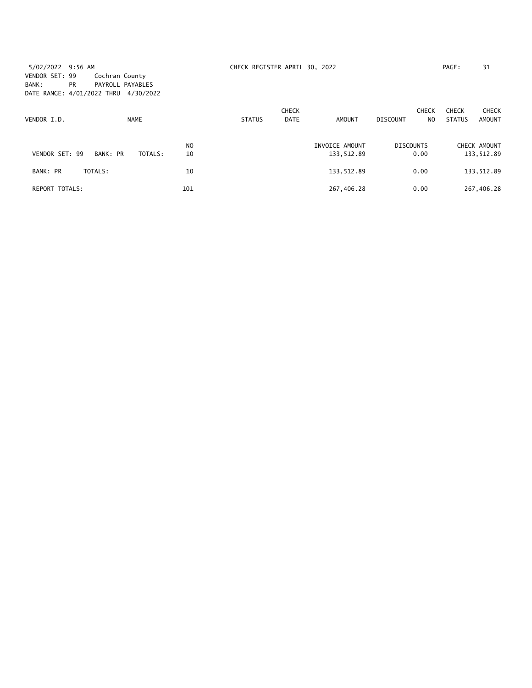5/02/2022 9:56 AM CHECK REGISTER APRIL 30, 2022 PAGE: 31 VENDOR SET: 99 Cochran County BANK: PR PAYROLL PAYABLES DATE RANGE: 4/01/2022 THRU 4/30/2022

| VENDOR I.D.    | <b>NAME</b>         |                      | <b>STATUS</b> | <b>CHECK</b><br><b>DATE</b> | AMOUNT                       | CHECK<br><b>DISCOUNT</b><br>N <sub>O</sub> | <b>CHECK</b><br><b>STATUS</b> | <b>CHECK</b><br><b>AMOUNT</b> |
|----------------|---------------------|----------------------|---------------|-----------------------------|------------------------------|--------------------------------------------|-------------------------------|-------------------------------|
| VENDOR SET: 99 | BANK: PR<br>TOTALS: | N <sub>O</sub><br>10 |               |                             | INVOICE AMOUNT<br>133,512.89 | <b>DISCOUNTS</b><br>0.00                   |                               | CHECK AMOUNT<br>133,512.89    |
| BANK: PR       | TOTALS:             | 10                   |               |                             | 133,512.89                   | 0.00                                       |                               | 133,512.89                    |
| REPORT TOTALS: |                     | 101                  |               |                             | 267,406.28                   | 0.00                                       |                               | 267,406.28                    |